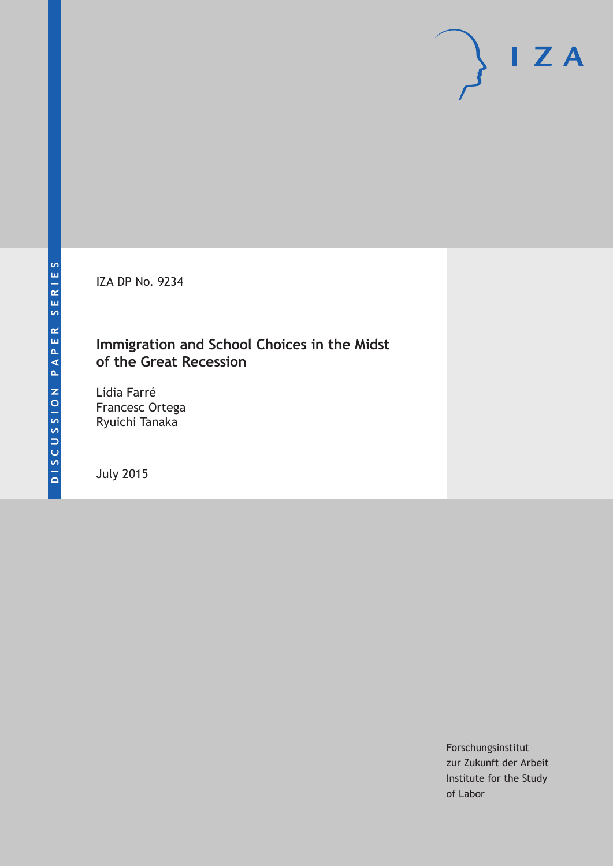IZA DP No. 9234

## **Immigration and School Choices in the Midst of the Great Recession**

Lídia Farré Francesc Ortega Ryuichi Tanaka

July 2015

Forschungsinstitut zur Zukunft der Arbeit Institute for the Study of Labor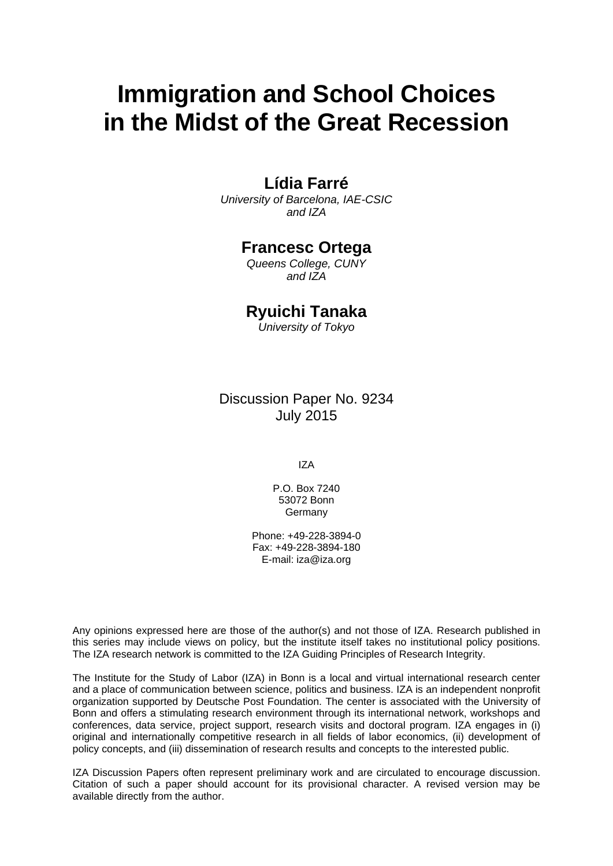# **Immigration and School Choices in the Midst of the Great Recession**

## **Lídia Farré**

*University of Barcelona, IAE-CSIC and IZA* 

## **Francesc Ortega**

*Queens College, CUNY and IZA* 

## **Ryuichi Tanaka**

*University of Tokyo*

Discussion Paper No. 9234 July 2015

IZA

P.O. Box 7240 53072 Bonn **Germany** 

Phone: +49-228-3894-0 Fax: +49-228-3894-180 E-mail: iza@iza.org

Any opinions expressed here are those of the author(s) and not those of IZA. Research published in this series may include views on policy, but the institute itself takes no institutional policy positions. The IZA research network is committed to the IZA Guiding Principles of Research Integrity.

The Institute for the Study of Labor (IZA) in Bonn is a local and virtual international research center and a place of communication between science, politics and business. IZA is an independent nonprofit organization supported by Deutsche Post Foundation. The center is associated with the University of Bonn and offers a stimulating research environment through its international network, workshops and conferences, data service, project support, research visits and doctoral program. IZA engages in (i) original and internationally competitive research in all fields of labor economics, (ii) development of policy concepts, and (iii) dissemination of research results and concepts to the interested public.

IZA Discussion Papers often represent preliminary work and are circulated to encourage discussion. Citation of such a paper should account for its provisional character. A revised version may be available directly from the author.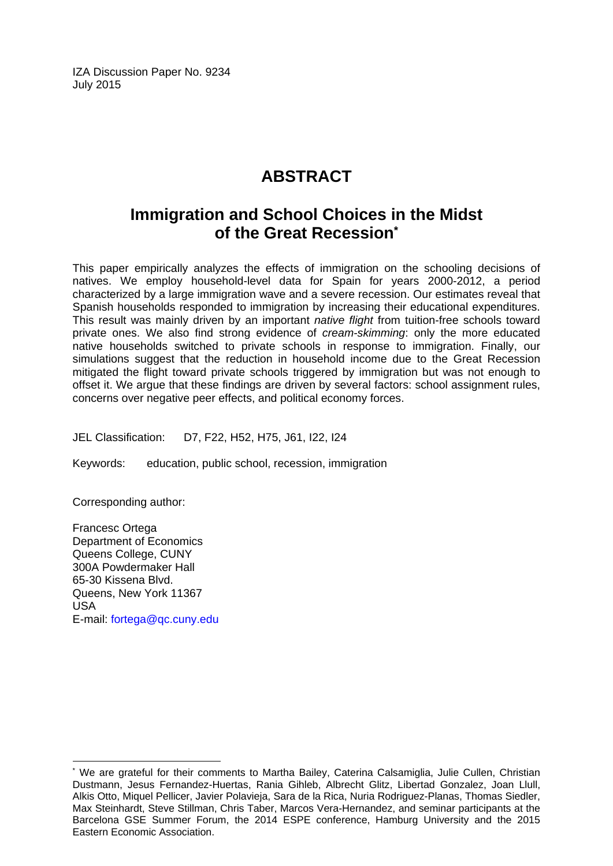IZA Discussion Paper No. 9234 July 2015

## **ABSTRACT**

## **Immigration and School Choices in the Midst of the Great Recession\***

This paper empirically analyzes the effects of immigration on the schooling decisions of natives. We employ household-level data for Spain for years 2000-2012, a period characterized by a large immigration wave and a severe recession. Our estimates reveal that Spanish households responded to immigration by increasing their educational expenditures. This result was mainly driven by an important *native flight* from tuition-free schools toward private ones. We also find strong evidence of *cream-skimming*: only the more educated native households switched to private schools in response to immigration. Finally, our simulations suggest that the reduction in household income due to the Great Recession mitigated the flight toward private schools triggered by immigration but was not enough to offset it. We argue that these findings are driven by several factors: school assignment rules, concerns over negative peer effects, and political economy forces.

JEL Classification: D7, F22, H52, H75, J61, I22, I24

Keywords: education, public school, recession, immigration

Corresponding author:

 $\overline{a}$ 

Francesc Ortega Department of Economics Queens College, CUNY 300A Powdermaker Hall 65-30 Kissena Blvd. Queens, New York 11367 USA E-mail: fortega@qc.cuny.edu

<sup>\*</sup> We are grateful for their comments to Martha Bailey, Caterina Calsamiglia, Julie Cullen, Christian Dustmann, Jesus Fernandez-Huertas, Rania Gihleb, Albrecht Glitz, Libertad Gonzalez, Joan Llull, Alkis Otto, Miquel Pellicer, Javier Polavieja, Sara de la Rica, Nuria Rodriguez-Planas, Thomas Siedler, Max Steinhardt, Steve Stillman, Chris Taber, Marcos Vera-Hernandez, and seminar participants at the Barcelona GSE Summer Forum, the 2014 ESPE conference, Hamburg University and the 2015 Eastern Economic Association.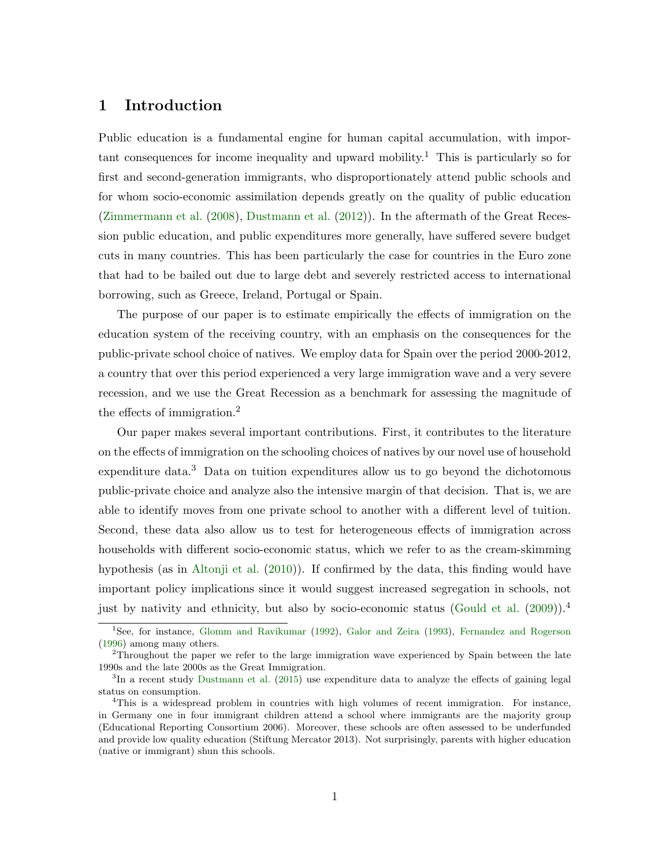## 1 Introduction

Public education is a fundamental engine for human capital accumulation, with important consequences for income inequality and upward mobility.<sup>1</sup> This is particularly so for first and second-generation immigrants, who disproportionately attend public schools and for whom socio-economic assimilation depends greatly on the quality of public education [\(Zimmermann et al.](#page-42-0) [\(2008\)](#page-42-0), [Dustmann et al.](#page-40-0) [\(2012\)](#page-40-0)). In the aftermath of the Great Recession public education, and public expenditures more generally, have suffered severe budget cuts in many countries. This has been particularly the case for countries in the Euro zone that had to be bailed out due to large debt and severely restricted access to international borrowing, such as Greece, Ireland, Portugal or Spain.

The purpose of our paper is to estimate empirically the effects of immigration on the education system of the receiving country, with an emphasis on the consequences for the public-private school choice of natives. We employ data for Spain over the period 2000-2012, a country that over this period experienced a very large immigration wave and a very severe recession, and we use the Great Recession as a benchmark for assessing the magnitude of the effects of immigration.<sup>2</sup>

Our paper makes several important contributions. First, it contributes to the literature on the effects of immigration on the schooling choices of natives by our novel use of household expenditure data.<sup>3</sup> Data on tuition expenditures allow us to go beyond the dichotomous public-private choice and analyze also the intensive margin of that decision. That is, we are able to identify moves from one private school to another with a different level of tuition. Second, these data also allow us to test for heterogeneous effects of immigration across households with different socio-economic status, which we refer to as the cream-skimming hypothesis (as in [Altonji et al.](#page-39-0) [\(2010\)](#page-39-0)). If confirmed by the data, this finding would have important policy implications since it would suggest increased segregation in schools, not just by nativity and ethnicity, but also by socio-economic status [\(Gould et al.](#page-41-0)  $(2009)$ ).<sup>4</sup>

<sup>&</sup>lt;sup>1</sup>See, for instance, [Glomm and Ravikumar](#page-40-1) [\(1992\)](#page-40-1), [Galor and Zeira](#page-40-2) [\(1993\)](#page-40-2), [Fernandez and Rogerson](#page-40-3) [\(1996\)](#page-40-3) among many others.

<sup>2</sup>Throughout the paper we refer to the large immigration wave experienced by Spain between the late 1990s and the late 2000s as the Great Immigration.

<sup>&</sup>lt;sup>3</sup>In a recent study [Dustmann et al.](#page-40-4) [\(2015\)](#page-40-4) use expenditure data to analyze the effects of gaining legal status on consumption.

<sup>&</sup>lt;sup>4</sup>This is a widespread problem in countries with high volumes of recent immigration. For instance, in Germany one in four immigrant children attend a school where immigrants are the majority group (Educational Reporting Consortium 2006). Moreover, these schools are often assessed to be underfunded and provide low quality education (Stiftung Mercator 2013). Not surprisingly, parents with higher education (native or immigrant) shun this schools.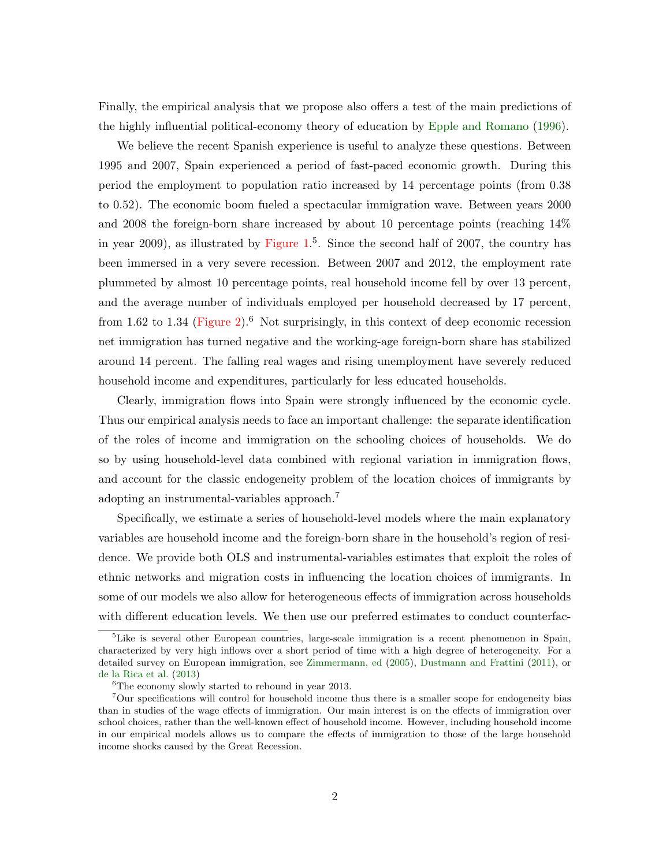Finally, the empirical analysis that we propose also offers a test of the main predictions of the highly influential political-economy theory of education by [Epple and Romano](#page-40-5) [\(1996\)](#page-40-5).

We believe the recent Spanish experience is useful to analyze these questions. Between 1995 and 2007, Spain experienced a period of fast-paced economic growth. During this period the employment to population ratio increased by 14 percentage points (from 0.38 to 0.52). The economic boom fueled a spectacular immigration wave. Between years 2000 and 2008 the foreign-born share increased by about 10 percentage points (reaching 14% in year 2009), as illustrated by [Figure 1.](#page-53-0) 5 . Since the second half of 2007, the country has been immersed in a very severe recession. Between 2007 and 2012, the employment rate plummeted by almost 10 percentage points, real household income fell by over 13 percent, and the average number of individuals employed per household decreased by 17 percent, from 1.62 to 1.34 [\(Figure 2\)](#page-53-1).<sup>6</sup> Not surprisingly, in this context of deep economic recession net immigration has turned negative and the working-age foreign-born share has stabilized around 14 percent. The falling real wages and rising unemployment have severely reduced household income and expenditures, particularly for less educated households.

Clearly, immigration flows into Spain were strongly influenced by the economic cycle. Thus our empirical analysis needs to face an important challenge: the separate identification of the roles of income and immigration on the schooling choices of households. We do so by using household-level data combined with regional variation in immigration flows, and account for the classic endogeneity problem of the location choices of immigrants by adopting an instrumental-variables approach.<sup>7</sup>

Specifically, we estimate a series of household-level models where the main explanatory variables are household income and the foreign-born share in the household's region of residence. We provide both OLS and instrumental-variables estimates that exploit the roles of ethnic networks and migration costs in influencing the location choices of immigrants. In some of our models we also allow for heterogeneous effects of immigration across households with different education levels. We then use our preferred estimates to conduct counterfac-

<sup>&</sup>lt;sup>5</sup>Like is several other European countries, large-scale immigration is a recent phenomenon in Spain, characterized by very high inflows over a short period of time with a high degree of heterogeneity. For a detailed survey on European immigration, see [Zimmermann, ed](#page-42-1) [\(2005\)](#page-42-1), [Dustmann and Frattini](#page-40-6) [\(2011\)](#page-40-6), or [de la Rica et al.](#page-40-7) [\(2013\)](#page-40-7)

 $^6\!$  The economy slowly started to rebound in year 2013.

<sup>7</sup>Our specifications will control for household income thus there is a smaller scope for endogeneity bias than in studies of the wage effects of immigration. Our main interest is on the effects of immigration over school choices, rather than the well-known effect of household income. However, including household income in our empirical models allows us to compare the effects of immigration to those of the large household income shocks caused by the Great Recession.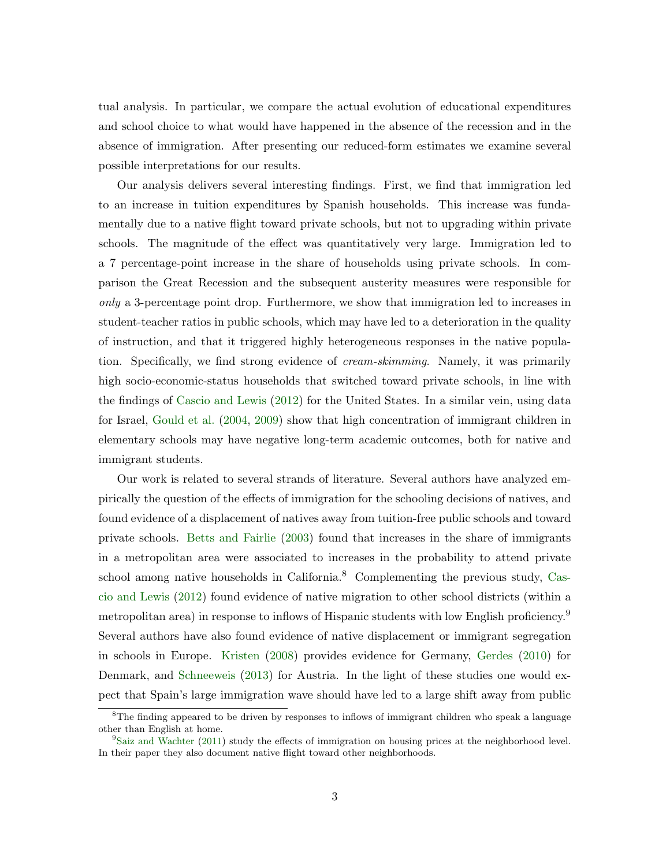tual analysis. In particular, we compare the actual evolution of educational expenditures and school choice to what would have happened in the absence of the recession and in the absence of immigration. After presenting our reduced-form estimates we examine several possible interpretations for our results.

Our analysis delivers several interesting findings. First, we find that immigration led to an increase in tuition expenditures by Spanish households. This increase was fundamentally due to a native flight toward private schools, but not to upgrading within private schools. The magnitude of the effect was quantitatively very large. Immigration led to a 7 percentage-point increase in the share of households using private schools. In comparison the Great Recession and the subsequent austerity measures were responsible for only a 3-percentage point drop. Furthermore, we show that immigration led to increases in student-teacher ratios in public schools, which may have led to a deterioration in the quality of instruction, and that it triggered highly heterogeneous responses in the native population. Specifically, we find strong evidence of cream-skimming. Namely, it was primarily high socio-economic-status households that switched toward private schools, in line with the findings of [Cascio and Lewis](#page-39-1) [\(2012\)](#page-39-1) for the United States. In a similar vein, using data for Israel, [Gould et al.](#page-41-1) [\(2004,](#page-41-1) [2009\)](#page-41-0) show that high concentration of immigrant children in elementary schools may have negative long-term academic outcomes, both for native and immigrant students.

Our work is related to several strands of literature. Several authors have analyzed empirically the question of the effects of immigration for the schooling decisions of natives, and found evidence of a displacement of natives away from tuition-free public schools and toward private schools. [Betts and Fairlie](#page-39-2) [\(2003\)](#page-39-2) found that increases in the share of immigrants in a metropolitan area were associated to increases in the probability to attend private school among native households in California.<sup>8</sup> Complementing the previous study, [Cas](#page-39-1)[cio and Lewis](#page-39-1) [\(2012\)](#page-39-1) found evidence of native migration to other school districts (within a metropolitan area) in response to inflows of Hispanic students with low English proficiency.<sup>9</sup> Several authors have also found evidence of native displacement or immigrant segregation in schools in Europe. [Kristen](#page-41-2) [\(2008\)](#page-41-2) provides evidence for Germany, [Gerdes](#page-40-8) [\(2010\)](#page-40-8) for Denmark, and [Schneeweis](#page-41-3) [\(2013\)](#page-41-3) for Austria. In the light of these studies one would expect that Spain's large immigration wave should have led to a large shift away from public

<sup>&</sup>lt;sup>8</sup>The finding appeared to be driven by responses to inflows of immigrant children who speak a language other than English at home.

 $9$ [Saiz and Wachter](#page-41-4) [\(2011\)](#page-41-4) study the effects of immigration on housing prices at the neighborhood level. In their paper they also document native flight toward other neighborhoods.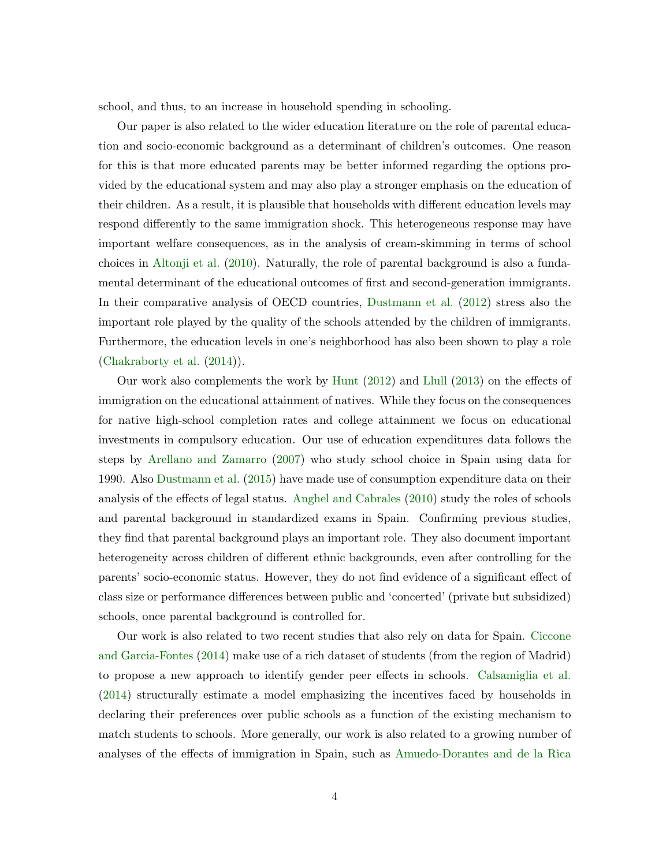school, and thus, to an increase in household spending in schooling.

Our paper is also related to the wider education literature on the role of parental education and socio-economic background as a determinant of children's outcomes. One reason for this is that more educated parents may be better informed regarding the options provided by the educational system and may also play a stronger emphasis on the education of their children. As a result, it is plausible that households with different education levels may respond differently to the same immigration shock. This heterogeneous response may have important welfare consequences, as in the analysis of cream-skimming in terms of school choices in [Altonji et al.](#page-39-0) [\(2010\)](#page-39-0). Naturally, the role of parental background is also a fundamental determinant of the educational outcomes of first and second-generation immigrants. In their comparative analysis of OECD countries, [Dustmann et al.](#page-40-0) [\(2012\)](#page-40-0) stress also the important role played by the quality of the schools attended by the children of immigrants. Furthermore, the education levels in one's neighborhood has also been shown to play a role [\(Chakraborty et al.](#page-39-3) [\(2014\)](#page-39-3)).

Our work also complements the work by [Hunt](#page-41-5) [\(2012\)](#page-41-5) and [Llull](#page-41-6) [\(2013\)](#page-41-6) on the effects of immigration on the educational attainment of natives. While they focus on the consequences for native high-school completion rates and college attainment we focus on educational investments in compulsory education. Our use of education expenditures data follows the steps by [Arellano and Zamarro](#page-39-4) [\(2007\)](#page-39-4) who study school choice in Spain using data for 1990. Also [Dustmann et al.](#page-40-4) [\(2015\)](#page-40-4) have made use of consumption expenditure data on their analysis of the effects of legal status. [Anghel and Cabrales](#page-39-5) [\(2010\)](#page-39-5) study the roles of schools and parental background in standardized exams in Spain. Confirming previous studies, they find that parental background plays an important role. They also document important heterogeneity across children of different ethnic backgrounds, even after controlling for the parents' socio-economic status. However, they do not find evidence of a significant effect of class size or performance differences between public and 'concerted' (private but subsidized) schools, once parental background is controlled for.

Our work is also related to two recent studies that also rely on data for Spain. [Ciccone](#page-40-9) [and Garcia-Fontes](#page-40-9) [\(2014\)](#page-40-9) make use of a rich dataset of students (from the region of Madrid) to propose a new approach to identify gender peer effects in schools. [Calsamiglia et al.](#page-39-6) [\(2014\)](#page-39-6) structurally estimate a model emphasizing the incentives faced by households in declaring their preferences over public schools as a function of the existing mechanism to match students to schools. More generally, our work is also related to a growing number of analyses of the effects of immigration in Spain, such as [Amuedo-Dorantes and de la Rica](#page-39-7)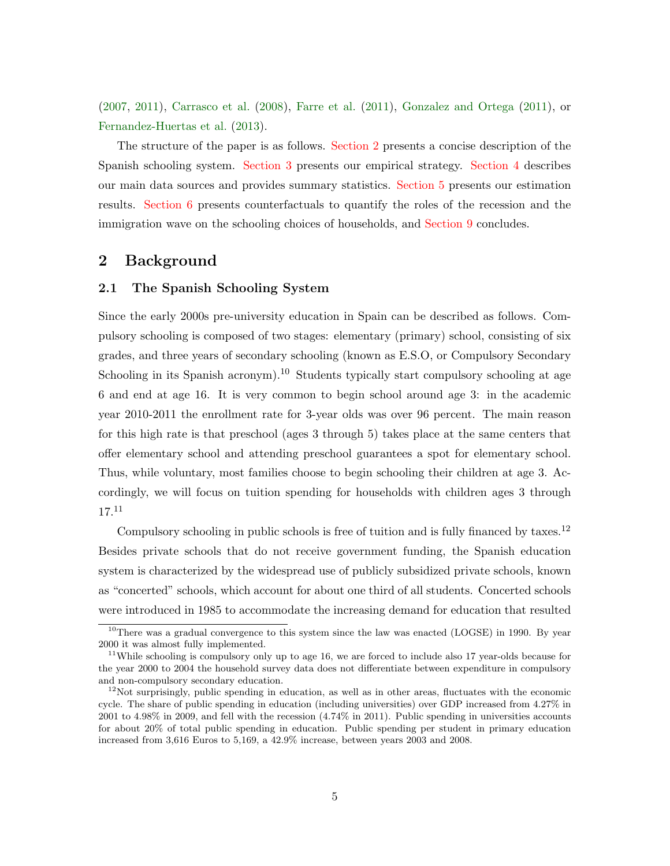[\(2007,](#page-39-7) [2011\)](#page-39-8), [Carrasco et al.](#page-39-9) [\(2008\)](#page-39-9), [Farre et al.](#page-40-10) [\(2011\)](#page-40-10), [Gonzalez and Ortega](#page-41-7) [\(2011\)](#page-41-7), or [Fernandez-Huertas et al.](#page-40-11) [\(2013\)](#page-40-11).

The structure of the paper is as follows. [Section 2](#page-7-0) presents a concise description of the Spanish schooling system. [Section 3](#page-11-0) presents our empirical strategy. [Section 4](#page-13-0) describes our main data sources and provides summary statistics. [Section 5](#page-16-0) presents our estimation results. [Section 6](#page-20-0) presents counterfactuals to quantify the roles of the recession and the immigration wave on the schooling choices of households, and [Section 9](#page-38-0) concludes.

## <span id="page-7-0"></span>2 Background

#### <span id="page-7-1"></span>2.1 The Spanish Schooling System

Since the early 2000s pre-university education in Spain can be described as follows. Compulsory schooling is composed of two stages: elementary (primary) school, consisting of six grades, and three years of secondary schooling (known as E.S.O, or Compulsory Secondary Schooling in its Spanish acronym).<sup>10</sup> Students typically start compulsory schooling at age 6 and end at age 16. It is very common to begin school around age 3: in the academic year 2010-2011 the enrollment rate for 3-year olds was over 96 percent. The main reason for this high rate is that preschool (ages 3 through 5) takes place at the same centers that offer elementary school and attending preschool guarantees a spot for elementary school. Thus, while voluntary, most families choose to begin schooling their children at age 3. Accordingly, we will focus on tuition spending for households with children ages 3 through  $17.<sup>11</sup>$ 

Compulsory schooling in public schools is free of tuition and is fully financed by taxes.<sup>12</sup> Besides private schools that do not receive government funding, the Spanish education system is characterized by the widespread use of publicly subsidized private schools, known as "concerted" schools, which account for about one third of all students. Concerted schools were introduced in 1985 to accommodate the increasing demand for education that resulted

<sup>&</sup>lt;sup>10</sup>There was a gradual convergence to this system since the law was enacted (LOGSE) in 1990. By year 2000 it was almost fully implemented.

<sup>&</sup>lt;sup>11</sup>While schooling is compulsory only up to age 16, we are forced to include also 17 year-olds because for the year 2000 to 2004 the household survey data does not differentiate between expenditure in compulsory and non-compulsory secondary education.

 $12$ Not surprisingly, public spending in education, as well as in other areas, fluctuates with the economic cycle. The share of public spending in education (including universities) over GDP increased from 4.27% in 2001 to 4.98% in 2009, and fell with the recession (4.74% in 2011). Public spending in universities accounts for about 20% of total public spending in education. Public spending per student in primary education increased from 3,616 Euros to 5,169, a 42.9% increase, between years 2003 and 2008.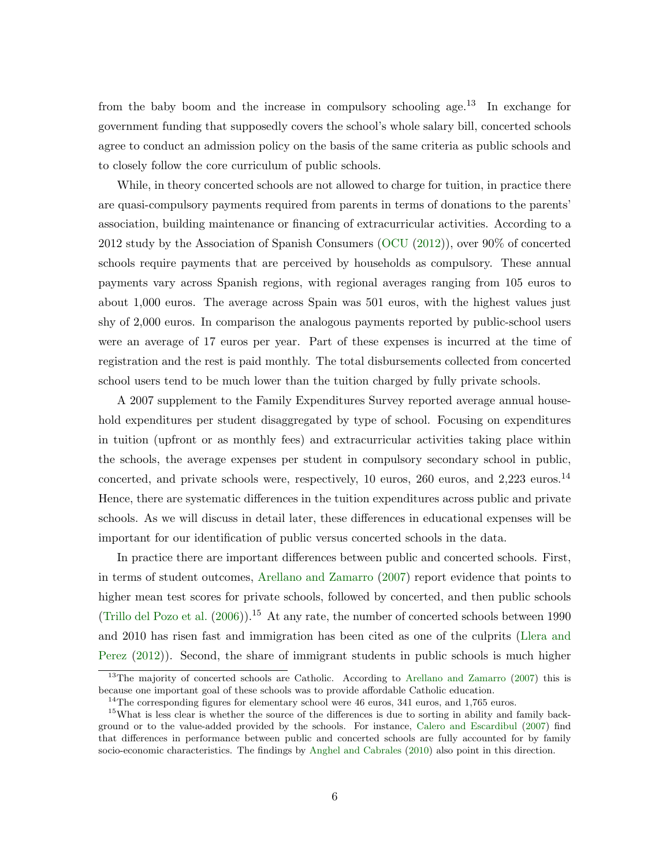from the baby boom and the increase in compulsory schooling age.<sup>13</sup> In exchange for government funding that supposedly covers the school's whole salary bill, concerted schools agree to conduct an admission policy on the basis of the same criteria as public schools and to closely follow the core curriculum of public schools.

While, in theory concerted schools are not allowed to charge for tuition, in practice there are quasi-compulsory payments required from parents in terms of donations to the parents' association, building maintenance or financing of extracurricular activities. According to a 2012 study by the Association of Spanish Consumers [\(OCU](#page-41-8) [\(2012\)](#page-41-8)), over 90% of concerted schools require payments that are perceived by households as compulsory. These annual payments vary across Spanish regions, with regional averages ranging from 105 euros to about 1,000 euros. The average across Spain was 501 euros, with the highest values just shy of 2,000 euros. In comparison the analogous payments reported by public-school users were an average of 17 euros per year. Part of these expenses is incurred at the time of registration and the rest is paid monthly. The total disbursements collected from concerted school users tend to be much lower than the tuition charged by fully private schools.

A 2007 supplement to the Family Expenditures Survey reported average annual household expenditures per student disaggregated by type of school. Focusing on expenditures in tuition (upfront or as monthly fees) and extracurricular activities taking place within the schools, the average expenses per student in compulsory secondary school in public, concerted, and private schools were, respectively, 10 euros, 260 euros, and 2,223 euros.<sup>14</sup> Hence, there are systematic differences in the tuition expenditures across public and private schools. As we will discuss in detail later, these differences in educational expenses will be important for our identification of public versus concerted schools in the data.

In practice there are important differences between public and concerted schools. First, in terms of student outcomes, [Arellano and Zamarro](#page-39-4) [\(2007\)](#page-39-4) report evidence that points to higher mean test scores for private schools, followed by concerted, and then public schools [\(Trillo del Pozo et al.](#page-40-12)  $(2006)$ ).<sup>15</sup> At any rate, the number of concerted schools between 1990 and 2010 has risen fast and immigration has been cited as one of the culprits [\(Llera and](#page-41-9) [Perez](#page-41-9) [\(2012\)](#page-41-9)). Second, the share of immigrant students in public schools is much higher

<sup>&</sup>lt;sup>13</sup>The majority of concerted schools are Catholic. According to [Arellano and Zamarro](#page-39-4) [\(2007\)](#page-39-4) this is because one important goal of these schools was to provide affordable Catholic education.

 $14$ The corresponding figures for elementary school were 46 euros, 341 euros, and 1,765 euros.

<sup>&</sup>lt;sup>15</sup>What is less clear is whether the source of the differences is due to sorting in ability and family background or to the value-added provided by the schools. For instance, [Calero and Escardibul](#page-39-10) [\(2007\)](#page-39-10) find that differences in performance between public and concerted schools are fully accounted for by family socio-economic characteristics. The findings by [Anghel and Cabrales](#page-39-5) [\(2010\)](#page-39-5) also point in this direction.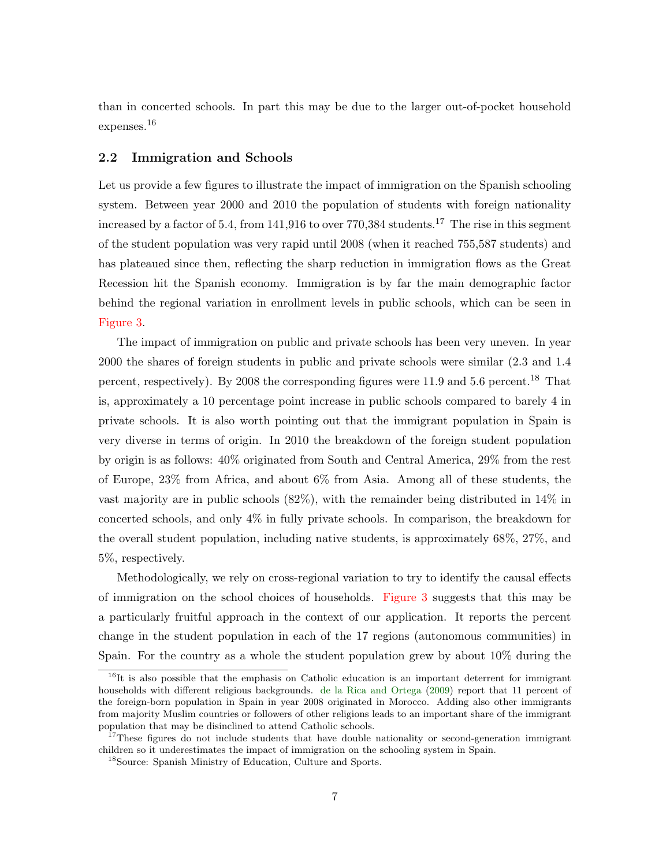than in concerted schools. In part this may be due to the larger out-of-pocket household expenses.<sup>16</sup>

#### 2.2 Immigration and Schools

Let us provide a few figures to illustrate the impact of immigration on the Spanish schooling system. Between year 2000 and 2010 the population of students with foreign nationality increased by a factor of 5.4, from 141,916 to over  $770,384$  students.<sup>17</sup> The rise in this segment of the student population was very rapid until 2008 (when it reached 755,587 students) and has plateaued since then, reflecting the sharp reduction in immigration flows as the Great Recession hit the Spanish economy. Immigration is by far the main demographic factor behind the regional variation in enrollment levels in public schools, which can be seen in [Figure 3.](#page-54-0)

The impact of immigration on public and private schools has been very uneven. In year 2000 the shares of foreign students in public and private schools were similar (2.3 and 1.4 percent, respectively). By 2008 the corresponding figures were 11.9 and 5.6 percent.<sup>18</sup> That is, approximately a 10 percentage point increase in public schools compared to barely 4 in private schools. It is also worth pointing out that the immigrant population in Spain is very diverse in terms of origin. In 2010 the breakdown of the foreign student population by origin is as follows: 40% originated from South and Central America, 29% from the rest of Europe, 23% from Africa, and about 6% from Asia. Among all of these students, the vast majority are in public schools (82%), with the remainder being distributed in 14% in concerted schools, and only 4% in fully private schools. In comparison, the breakdown for the overall student population, including native students, is approximately 68%, 27%, and 5%, respectively.

Methodologically, we rely on cross-regional variation to try to identify the causal effects of immigration on the school choices of households. [Figure 3](#page-54-0) suggests that this may be a particularly fruitful approach in the context of our application. It reports the percent change in the student population in each of the 17 regions (autonomous communities) in Spain. For the country as a whole the student population grew by about 10% during the

 $16$ It is also possible that the emphasis on Catholic education is an important deterrent for immigrant households with different religious backgrounds. [de la Rica and Ortega](#page-40-13) [\(2009\)](#page-40-13) report that 11 percent of the foreign-born population in Spain in year 2008 originated in Morocco. Adding also other immigrants from majority Muslim countries or followers of other religions leads to an important share of the immigrant population that may be disinclined to attend Catholic schools.

<sup>&</sup>lt;sup>17</sup>These figures do not include students that have double nationality or second-generation immigrant children so it underestimates the impact of immigration on the schooling system in Spain.

<sup>18</sup>Source: Spanish Ministry of Education, Culture and Sports.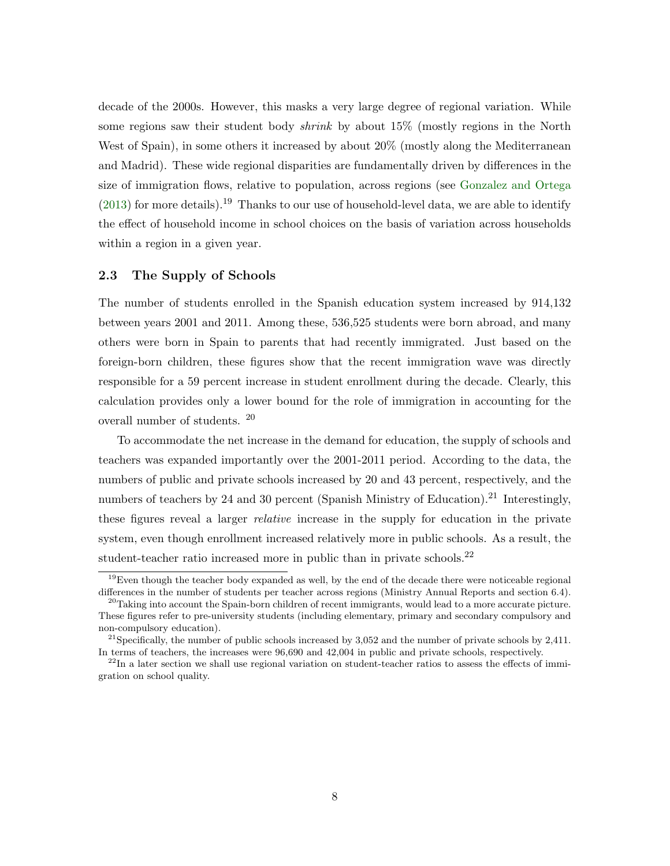decade of the 2000s. However, this masks a very large degree of regional variation. While some regions saw their student body *shrink* by about 15% (mostly regions in the North West of Spain), in some others it increased by about  $20\%$  (mostly along the Mediterranean and Madrid). These wide regional disparities are fundamentally driven by differences in the size of immigration flows, relative to population, across regions (see [Gonzalez and Ortega](#page-41-10)  $(2013)$  for more details).<sup>19</sup> Thanks to our use of household-level data, we are able to identify the effect of household income in school choices on the basis of variation across households within a region in a given year.

#### <span id="page-10-0"></span>2.3 The Supply of Schools

The number of students enrolled in the Spanish education system increased by 914,132 between years 2001 and 2011. Among these, 536,525 students were born abroad, and many others were born in Spain to parents that had recently immigrated. Just based on the foreign-born children, these figures show that the recent immigration wave was directly responsible for a 59 percent increase in student enrollment during the decade. Clearly, this calculation provides only a lower bound for the role of immigration in accounting for the overall number of students. <sup>20</sup>

To accommodate the net increase in the demand for education, the supply of schools and teachers was expanded importantly over the 2001-2011 period. According to the data, the numbers of public and private schools increased by 20 and 43 percent, respectively, and the numbers of teachers by 24 and 30 percent (Spanish Ministry of Education).<sup>21</sup> Interestingly, these figures reveal a larger relative increase in the supply for education in the private system, even though enrollment increased relatively more in public schools. As a result, the student-teacher ratio increased more in public than in private schools.<sup>22</sup>

 $19E$ ven though the teacher body expanded as well, by the end of the decade there were noticeable regional differences in the number of students per teacher across regions (Ministry Annual Reports and section 6.4).

 $^{20}$ Taking into account the Spain-born children of recent immigrants, would lead to a more accurate picture. These figures refer to pre-university students (including elementary, primary and secondary compulsory and non-compulsory education).

<sup>&</sup>lt;sup>21</sup>Specifically, the number of public schools increased by  $3,052$  and the number of private schools by  $2,411$ . In terms of teachers, the increases were 96,690 and 42,004 in public and private schools, respectively.

 $^{22}$ In a later section we shall use regional variation on student-teacher ratios to assess the effects of immigration on school quality.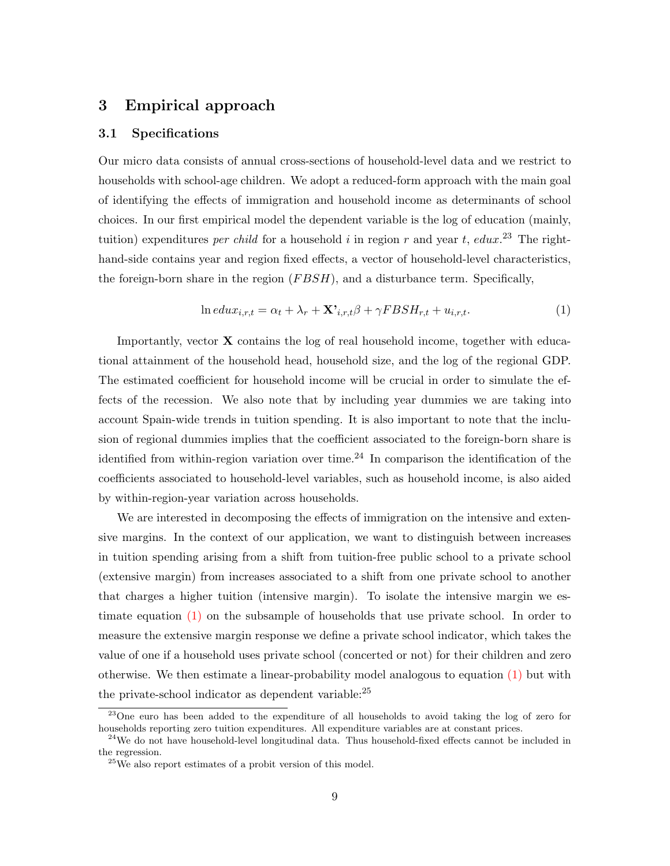### <span id="page-11-0"></span>3 Empirical approach

#### 3.1 Specifications

Our micro data consists of annual cross-sections of household-level data and we restrict to households with school-age children. We adopt a reduced-form approach with the main goal of identifying the effects of immigration and household income as determinants of school choices. In our first empirical model the dependent variable is the log of education (mainly, tuition) expenditures *per child* for a household i in region r and year t, edux.<sup>23</sup> The righthand-side contains year and region fixed effects, a vector of household-level characteristics, the foreign-born share in the region  $(FBSH)$ , and a disturbance term. Specifically,

<span id="page-11-1"></span>
$$
\ln edu x_{i,r,t} = \alpha_t + \lambda_r + \mathbf{X'}_{i,r,t} \beta + \gamma FBSH_{r,t} + u_{i,r,t}.
$$
\n<sup>(1)</sup>

Importantly, vector X contains the log of real household income, together with educational attainment of the household head, household size, and the log of the regional GDP. The estimated coefficient for household income will be crucial in order to simulate the effects of the recession. We also note that by including year dummies we are taking into account Spain-wide trends in tuition spending. It is also important to note that the inclusion of regional dummies implies that the coefficient associated to the foreign-born share is identified from within-region variation over time.<sup>24</sup> In comparison the identification of the coefficients associated to household-level variables, such as household income, is also aided by within-region-year variation across households.

We are interested in decomposing the effects of immigration on the intensive and extensive margins. In the context of our application, we want to distinguish between increases in tuition spending arising from a shift from tuition-free public school to a private school (extensive margin) from increases associated to a shift from one private school to another that charges a higher tuition (intensive margin). To isolate the intensive margin we estimate equation [\(1\)](#page-11-1) on the subsample of households that use private school. In order to measure the extensive margin response we define a private school indicator, which takes the value of one if a household uses private school (concerted or not) for their children and zero otherwise. We then estimate a linear-probability model analogous to equation [\(1\)](#page-11-1) but with the private-school indicator as dependent variable: $^{25}$ 

<sup>23</sup>One euro has been added to the expenditure of all households to avoid taking the log of zero for households reporting zero tuition expenditures. All expenditure variables are at constant prices.

<sup>&</sup>lt;sup>24</sup>We do not have household-level longitudinal data. Thus household-fixed effects cannot be included in the regression.

 $25$ We also report estimates of a probit version of this model.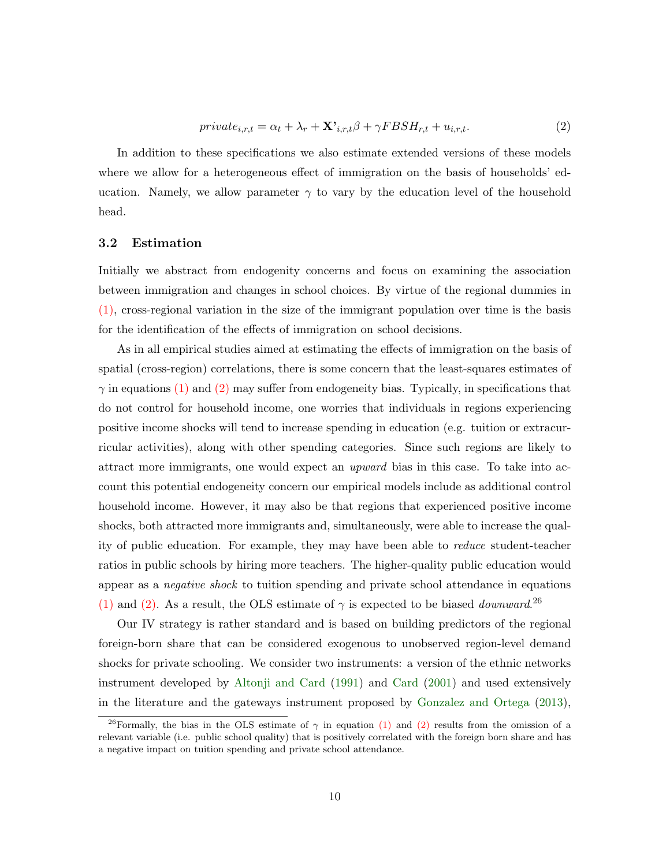<span id="page-12-0"></span>
$$
private_{i,r,t} = \alpha_t + \lambda_r + \mathbf{X'}_{i,r,t}\beta + \gamma FBSH_{r,t} + u_{i,r,t}.
$$
\n<sup>(2)</sup>

In addition to these specifications we also estimate extended versions of these models where we allow for a heterogeneous effect of immigration on the basis of households' education. Namely, we allow parameter  $\gamma$  to vary by the education level of the household head.

#### 3.2 Estimation

Initially we abstract from endogenity concerns and focus on examining the association between immigration and changes in school choices. By virtue of the regional dummies in [\(1\),](#page-11-1) cross-regional variation in the size of the immigrant population over time is the basis for the identification of the effects of immigration on school decisions.

As in all empirical studies aimed at estimating the effects of immigration on the basis of spatial (cross-region) correlations, there is some concern that the least-squares estimates of  $\gamma$  in equations [\(1\)](#page-11-1) and [\(2\)](#page-12-0) may suffer from endogeneity bias. Typically, in specifications that do not control for household income, one worries that individuals in regions experiencing positive income shocks will tend to increase spending in education (e.g. tuition or extracurricular activities), along with other spending categories. Since such regions are likely to attract more immigrants, one would expect an upward bias in this case. To take into account this potential endogeneity concern our empirical models include as additional control household income. However, it may also be that regions that experienced positive income shocks, both attracted more immigrants and, simultaneously, were able to increase the quality of public education. For example, they may have been able to reduce student-teacher ratios in public schools by hiring more teachers. The higher-quality public education would appear as a negative shock to tuition spending and private school attendance in equations [\(1\)](#page-11-1) and [\(2\).](#page-12-0) As a result, the OLS estimate of  $\gamma$  is expected to be biased *downward*.<sup>26</sup>

Our IV strategy is rather standard and is based on building predictors of the regional foreign-born share that can be considered exogenous to unobserved region-level demand shocks for private schooling. We consider two instruments: a version of the ethnic networks instrument developed by [Altonji and Card](#page-39-11) [\(1991\)](#page-39-11) and [Card](#page-39-12) [\(2001\)](#page-39-12) and used extensively in the literature and the gateways instrument proposed by [Gonzalez and Ortega](#page-41-10) [\(2013\)](#page-41-10),

<sup>&</sup>lt;sup>26</sup>Formally, the bias in the OLS estimate of  $\gamma$  in equation [\(1\)](#page-11-1) and [\(2\)](#page-12-0) results from the omission of a relevant variable (i.e. public school quality) that is positively correlated with the foreign born share and has a negative impact on tuition spending and private school attendance.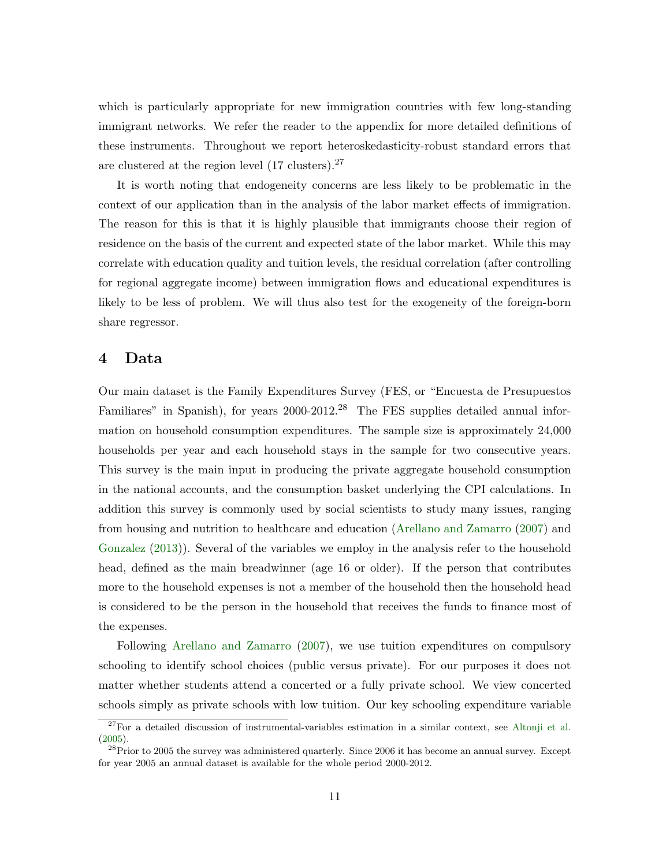which is particularly appropriate for new immigration countries with few long-standing immigrant networks. We refer the reader to the appendix for more detailed definitions of these instruments. Throughout we report heteroskedasticity-robust standard errors that are clustered at the region level  $(17 \text{ clusters})$ .<sup>27</sup>

It is worth noting that endogeneity concerns are less likely to be problematic in the context of our application than in the analysis of the labor market effects of immigration. The reason for this is that it is highly plausible that immigrants choose their region of residence on the basis of the current and expected state of the labor market. While this may correlate with education quality and tuition levels, the residual correlation (after controlling for regional aggregate income) between immigration flows and educational expenditures is likely to be less of problem. We will thus also test for the exogeneity of the foreign-born share regressor.

### <span id="page-13-0"></span>4 Data

Our main dataset is the Family Expenditures Survey (FES, or "Encuesta de Presupuestos Familiares" in Spanish), for years 2000-2012.<sup>28</sup> The FES supplies detailed annual information on household consumption expenditures. The sample size is approximately 24,000 households per year and each household stays in the sample for two consecutive years. This survey is the main input in producing the private aggregate household consumption in the national accounts, and the consumption basket underlying the CPI calculations. In addition this survey is commonly used by social scientists to study many issues, ranging from housing and nutrition to healthcare and education [\(Arellano and Zamarro](#page-39-4) [\(2007\)](#page-39-4) and [Gonzalez](#page-41-11) [\(2013\)](#page-41-11)). Several of the variables we employ in the analysis refer to the household head, defined as the main breadwinner (age 16 or older). If the person that contributes more to the household expenses is not a member of the household then the household head is considered to be the person in the household that receives the funds to finance most of the expenses.

Following [Arellano and Zamarro](#page-39-4) [\(2007\)](#page-39-4), we use tuition expenditures on compulsory schooling to identify school choices (public versus private). For our purposes it does not matter whether students attend a concerted or a fully private school. We view concerted schools simply as private schools with low tuition. Our key schooling expenditure variable

 $27$ For a detailed discussion of instrumental-variables estimation in a similar context, see [Altonji et al.](#page-39-13) [\(2005\)](#page-39-13).

<sup>&</sup>lt;sup>28</sup>Prior to 2005 the survey was administered quarterly. Since 2006 it has become an annual survey. Except for year 2005 an annual dataset is available for the whole period 2000-2012.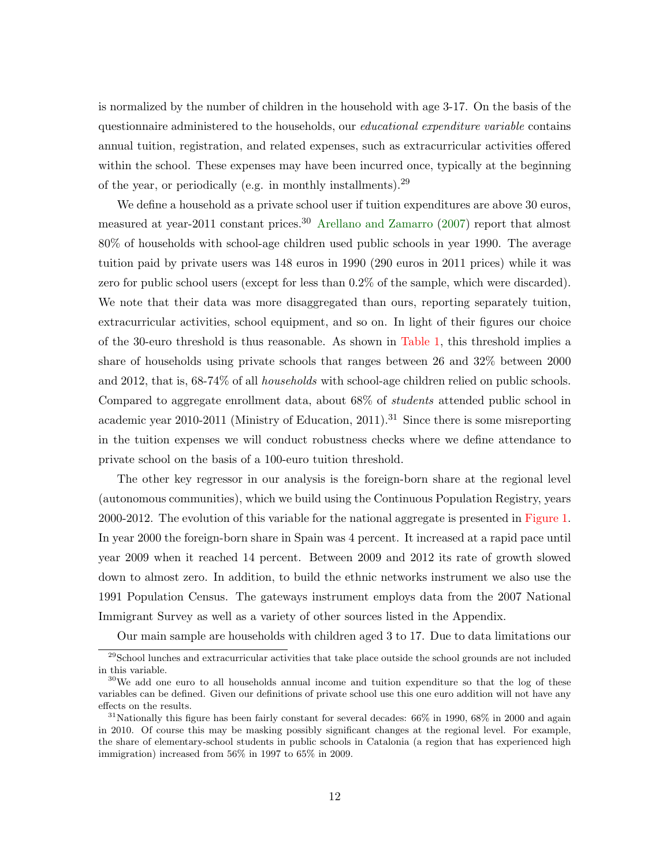is normalized by the number of children in the household with age 3-17. On the basis of the questionnaire administered to the households, our *educational expenditure variable* contains annual tuition, registration, and related expenses, such as extracurricular activities offered within the school. These expenses may have been incurred once, typically at the beginning of the year, or periodically (e.g. in monthly installments).<sup>29</sup>

We define a household as a private school user if tuition expenditures are above 30 euros, measured at year-2011 constant prices.<sup>30</sup> [Arellano and Zamarro](#page-39-4)  $(2007)$  report that almost 80% of households with school-age children used public schools in year 1990. The average tuition paid by private users was 148 euros in 1990 (290 euros in 2011 prices) while it was zero for public school users (except for less than 0.2% of the sample, which were discarded). We note that their data was more disaggregated than ours, reporting separately tuition, extracurricular activities, school equipment, and so on. In light of their figures our choice of the 30-euro threshold is thus reasonable. As shown in [Table 1,](#page-43-0) this threshold implies a share of households using private schools that ranges between 26 and 32% between 2000 and 2012, that is,  $68-74\%$  of all *households* with school-age children relied on public schools. Compared to aggregate enrollment data, about 68% of students attended public school in academic year 2010-2011 (Ministry of Education, 2011).<sup>31</sup> Since there is some misreporting in the tuition expenses we will conduct robustness checks where we define attendance to private school on the basis of a 100-euro tuition threshold.

The other key regressor in our analysis is the foreign-born share at the regional level (autonomous communities), which we build using the Continuous Population Registry, years 2000-2012. The evolution of this variable for the national aggregate is presented in [Figure 1.](#page-53-0) In year 2000 the foreign-born share in Spain was 4 percent. It increased at a rapid pace until year 2009 when it reached 14 percent. Between 2009 and 2012 its rate of growth slowed down to almost zero. In addition, to build the ethnic networks instrument we also use the 1991 Population Census. The gateways instrument employs data from the 2007 National Immigrant Survey as well as a variety of other sources listed in the Appendix.

Our main sample are households with children aged 3 to 17. Due to data limitations our

<sup>29</sup>School lunches and extracurricular activities that take place outside the school grounds are not included in this variable.

<sup>&</sup>lt;sup>30</sup>We add one euro to all households annual income and tuition expenditure so that the log of these variables can be defined. Given our definitions of private school use this one euro addition will not have any effects on the results.

<sup>&</sup>lt;sup>31</sup>Nationally this figure has been fairly constant for several decades:  $66\%$  in 1990,  $68\%$  in 2000 and again in 2010. Of course this may be masking possibly significant changes at the regional level. For example, the share of elementary-school students in public schools in Catalonia (a region that has experienced high immigration) increased from 56% in 1997 to 65% in 2009.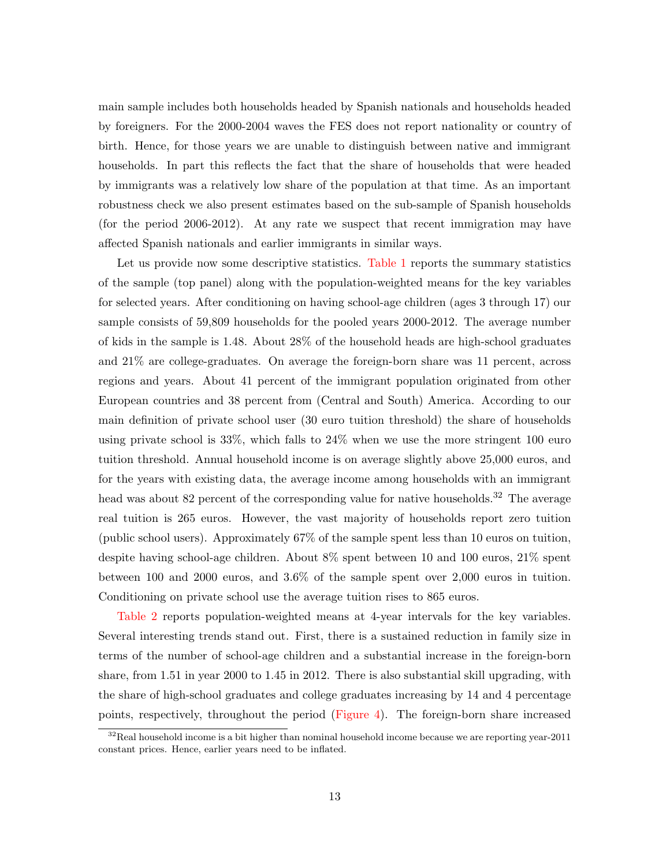main sample includes both households headed by Spanish nationals and households headed by foreigners. For the 2000-2004 waves the FES does not report nationality or country of birth. Hence, for those years we are unable to distinguish between native and immigrant households. In part this reflects the fact that the share of households that were headed by immigrants was a relatively low share of the population at that time. As an important robustness check we also present estimates based on the sub-sample of Spanish households (for the period 2006-2012). At any rate we suspect that recent immigration may have affected Spanish nationals and earlier immigrants in similar ways.

Let us provide now some descriptive statistics. [Table 1](#page-43-0) reports the summary statistics of the sample (top panel) along with the population-weighted means for the key variables for selected years. After conditioning on having school-age children (ages 3 through 17) our sample consists of 59,809 households for the pooled years 2000-2012. The average number of kids in the sample is 1.48. About 28% of the household heads are high-school graduates and 21% are college-graduates. On average the foreign-born share was 11 percent, across regions and years. About 41 percent of the immigrant population originated from other European countries and 38 percent from (Central and South) America. According to our main definition of private school user (30 euro tuition threshold) the share of households using private school is 33%, which falls to 24% when we use the more stringent 100 euro tuition threshold. Annual household income is on average slightly above 25,000 euros, and for the years with existing data, the average income among households with an immigrant head was about 82 percent of the corresponding value for native households.<sup>32</sup> The average real tuition is 265 euros. However, the vast majority of households report zero tuition (public school users). Approximately 67% of the sample spent less than 10 euros on tuition, despite having school-age children. About 8% spent between 10 and 100 euros, 21% spent between 100 and 2000 euros, and 3.6% of the sample spent over 2,000 euros in tuition. Conditioning on private school use the average tuition rises to 865 euros.

[Table 2](#page-44-0) reports population-weighted means at 4-year intervals for the key variables. Several interesting trends stand out. First, there is a sustained reduction in family size in terms of the number of school-age children and a substantial increase in the foreign-born share, from 1.51 in year 2000 to 1.45 in 2012. There is also substantial skill upgrading, with the share of high-school graduates and college graduates increasing by 14 and 4 percentage points, respectively, throughout the period [\(Figure 4\)](#page-54-1). The foreign-born share increased

 $32$ Real household income is a bit higher than nominal household income because we are reporting year-2011 constant prices. Hence, earlier years need to be inflated.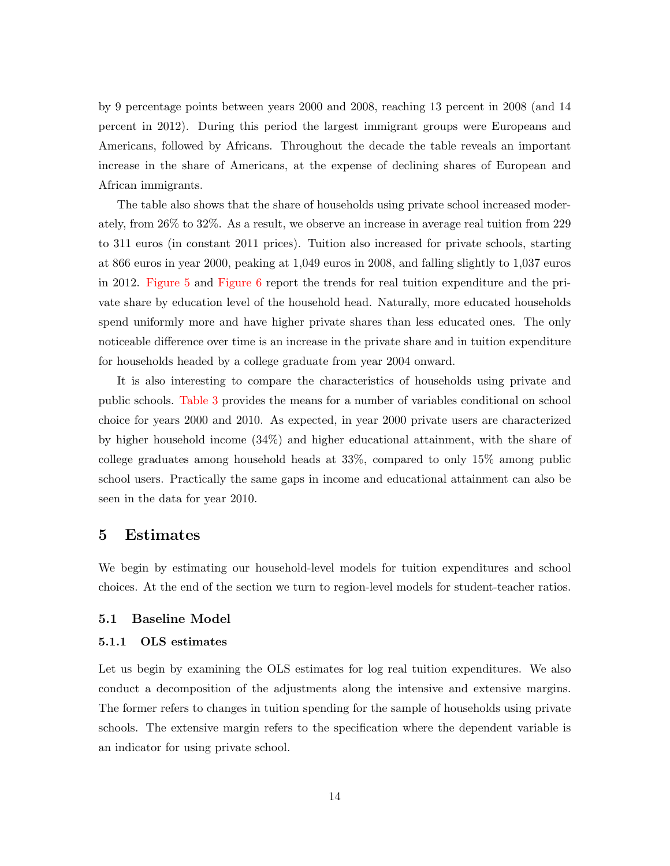by 9 percentage points between years 2000 and 2008, reaching 13 percent in 2008 (and 14 percent in 2012). During this period the largest immigrant groups were Europeans and Americans, followed by Africans. Throughout the decade the table reveals an important increase in the share of Americans, at the expense of declining shares of European and African immigrants.

The table also shows that the share of households using private school increased moderately, from 26% to 32%. As a result, we observe an increase in average real tuition from 229 to 311 euros (in constant 2011 prices). Tuition also increased for private schools, starting at 866 euros in year 2000, peaking at 1,049 euros in 2008, and falling slightly to 1,037 euros in 2012. [Figure 5](#page-55-0) and [Figure 6](#page-55-1) report the trends for real tuition expenditure and the private share by education level of the household head. Naturally, more educated households spend uniformly more and have higher private shares than less educated ones. The only noticeable difference over time is an increase in the private share and in tuition expenditure for households headed by a college graduate from year 2004 onward.

It is also interesting to compare the characteristics of households using private and public schools. [Table 3](#page-45-0) provides the means for a number of variables conditional on school choice for years 2000 and 2010. As expected, in year 2000 private users are characterized by higher household income (34%) and higher educational attainment, with the share of college graduates among household heads at 33%, compared to only 15% among public school users. Practically the same gaps in income and educational attainment can also be seen in the data for year 2010.

#### <span id="page-16-0"></span>5 Estimates

We begin by estimating our household-level models for tuition expenditures and school choices. At the end of the section we turn to region-level models for student-teacher ratios.

#### 5.1 Baseline Model

#### 5.1.1 OLS estimates

Let us begin by examining the OLS estimates for log real tuition expenditures. We also conduct a decomposition of the adjustments along the intensive and extensive margins. The former refers to changes in tuition spending for the sample of households using private schools. The extensive margin refers to the specification where the dependent variable is an indicator for using private school.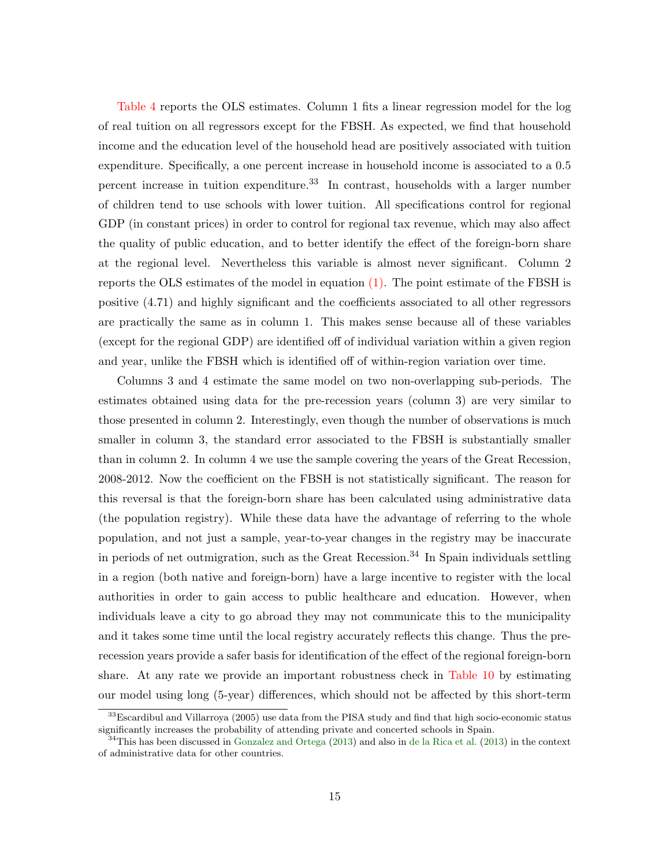[Table 4](#page-46-0) reports the OLS estimates. Column 1 fits a linear regression model for the log of real tuition on all regressors except for the FBSH. As expected, we find that household income and the education level of the household head are positively associated with tuition expenditure. Specifically, a one percent increase in household income is associated to a 0.5 percent increase in tuition expenditure.<sup>33</sup> In contrast, households with a larger number of children tend to use schools with lower tuition. All specifications control for regional GDP (in constant prices) in order to control for regional tax revenue, which may also affect the quality of public education, and to better identify the effect of the foreign-born share at the regional level. Nevertheless this variable is almost never significant. Column 2 reports the OLS estimates of the model in equation [\(1\).](#page-11-1) The point estimate of the FBSH is positive (4.71) and highly significant and the coefficients associated to all other regressors are practically the same as in column 1. This makes sense because all of these variables (except for the regional GDP) are identified off of individual variation within a given region and year, unlike the FBSH which is identified off of within-region variation over time.

Columns 3 and 4 estimate the same model on two non-overlapping sub-periods. The estimates obtained using data for the pre-recession years (column 3) are very similar to those presented in column 2. Interestingly, even though the number of observations is much smaller in column 3, the standard error associated to the FBSH is substantially smaller than in column 2. In column 4 we use the sample covering the years of the Great Recession, 2008-2012. Now the coefficient on the FBSH is not statistically significant. The reason for this reversal is that the foreign-born share has been calculated using administrative data (the population registry). While these data have the advantage of referring to the whole population, and not just a sample, year-to-year changes in the registry may be inaccurate in periods of net outmigration, such as the Great Recession.<sup>34</sup> In Spain individuals settling in a region (both native and foreign-born) have a large incentive to register with the local authorities in order to gain access to public healthcare and education. However, when individuals leave a city to go abroad they may not communicate this to the municipality and it takes some time until the local registry accurately reflects this change. Thus the prerecession years provide a safer basis for identification of the effect of the regional foreign-born share. At any rate we provide an important robustness check in [Table 10](#page-52-0) by estimating our model using long (5-year) differences, which should not be affected by this short-term

<sup>33</sup>Escardibul and Villarroya (2005) use data from the PISA study and find that high socio-economic status significantly increases the probability of attending private and concerted schools in Spain.

 $34$ This has been discussed in [Gonzalez and Ortega](#page-41-10) [\(2013\)](#page-40-7) and also in [de la Rica et al.](#page-40-7) (2013) in the context of administrative data for other countries.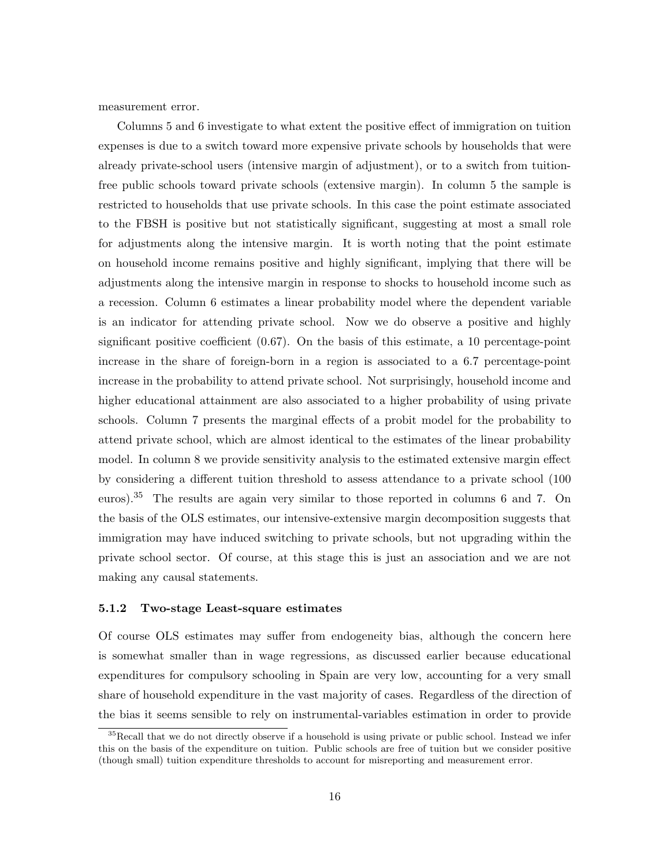measurement error.

Columns 5 and 6 investigate to what extent the positive effect of immigration on tuition expenses is due to a switch toward more expensive private schools by households that were already private-school users (intensive margin of adjustment), or to a switch from tuitionfree public schools toward private schools (extensive margin). In column 5 the sample is restricted to households that use private schools. In this case the point estimate associated to the FBSH is positive but not statistically significant, suggesting at most a small role for adjustments along the intensive margin. It is worth noting that the point estimate on household income remains positive and highly significant, implying that there will be adjustments along the intensive margin in response to shocks to household income such as a recession. Column 6 estimates a linear probability model where the dependent variable is an indicator for attending private school. Now we do observe a positive and highly significant positive coefficient (0.67). On the basis of this estimate, a 10 percentage-point increase in the share of foreign-born in a region is associated to a 6.7 percentage-point increase in the probability to attend private school. Not surprisingly, household income and higher educational attainment are also associated to a higher probability of using private schools. Column 7 presents the marginal effects of a probit model for the probability to attend private school, which are almost identical to the estimates of the linear probability model. In column 8 we provide sensitivity analysis to the estimated extensive margin effect by considering a different tuition threshold to assess attendance to a private school (100 euros).<sup>35</sup> The results are again very similar to those reported in columns 6 and 7. On the basis of the OLS estimates, our intensive-extensive margin decomposition suggests that immigration may have induced switching to private schools, but not upgrading within the private school sector. Of course, at this stage this is just an association and we are not making any causal statements.

#### 5.1.2 Two-stage Least-square estimates

Of course OLS estimates may suffer from endogeneity bias, although the concern here is somewhat smaller than in wage regressions, as discussed earlier because educational expenditures for compulsory schooling in Spain are very low, accounting for a very small share of household expenditure in the vast majority of cases. Regardless of the direction of the bias it seems sensible to rely on instrumental-variables estimation in order to provide

<sup>&</sup>lt;sup>35</sup>Recall that we do not directly observe if a household is using private or public school. Instead we infer this on the basis of the expenditure on tuition. Public schools are free of tuition but we consider positive (though small) tuition expenditure thresholds to account for misreporting and measurement error.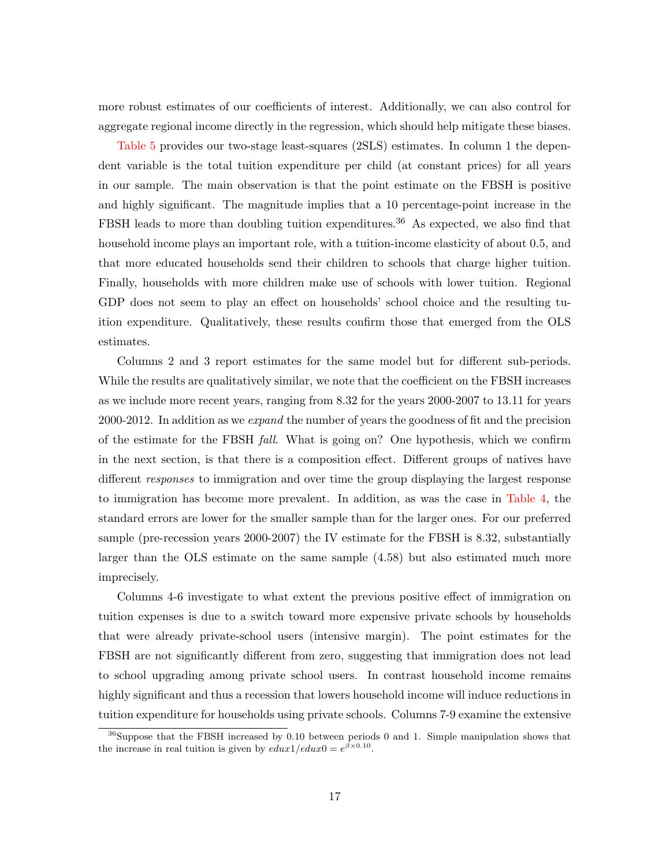more robust estimates of our coefficients of interest. Additionally, we can also control for aggregate regional income directly in the regression, which should help mitigate these biases.

[Table 5](#page-47-0) provides our two-stage least-squares (2SLS) estimates. In column 1 the dependent variable is the total tuition expenditure per child (at constant prices) for all years in our sample. The main observation is that the point estimate on the FBSH is positive and highly significant. The magnitude implies that a 10 percentage-point increase in the FBSH leads to more than doubling tuition expenditures.<sup>36</sup> As expected, we also find that household income plays an important role, with a tuition-income elasticity of about 0.5, and that more educated households send their children to schools that charge higher tuition. Finally, households with more children make use of schools with lower tuition. Regional GDP does not seem to play an effect on households' school choice and the resulting tuition expenditure. Qualitatively, these results confirm those that emerged from the OLS estimates.

Columns 2 and 3 report estimates for the same model but for different sub-periods. While the results are qualitatively similar, we note that the coefficient on the FBSH increases as we include more recent years, ranging from 8.32 for the years 2000-2007 to 13.11 for years 2000-2012. In addition as we *expand* the number of years the goodness of fit and the precision of the estimate for the FBSH fall. What is going on? One hypothesis, which we confirm in the next section, is that there is a composition effect. Different groups of natives have different responses to immigration and over time the group displaying the largest response to immigration has become more prevalent. In addition, as was the case in [Table 4,](#page-46-0) the standard errors are lower for the smaller sample than for the larger ones. For our preferred sample (pre-recession years 2000-2007) the IV estimate for the FBSH is 8.32, substantially larger than the OLS estimate on the same sample (4.58) but also estimated much more imprecisely.

Columns 4-6 investigate to what extent the previous positive effect of immigration on tuition expenses is due to a switch toward more expensive private schools by households that were already private-school users (intensive margin). The point estimates for the FBSH are not significantly different from zero, suggesting that immigration does not lead to school upgrading among private school users. In contrast household income remains highly significant and thus a recession that lowers household income will induce reductions in tuition expenditure for households using private schools. Columns 7-9 examine the extensive

 $36$ Suppose that the FBSH increased by 0.10 between periods 0 and 1. Simple manipulation shows that the increase in real tuition is given by  $edux1/edux0 = e^{\beta \times 0.10}$ .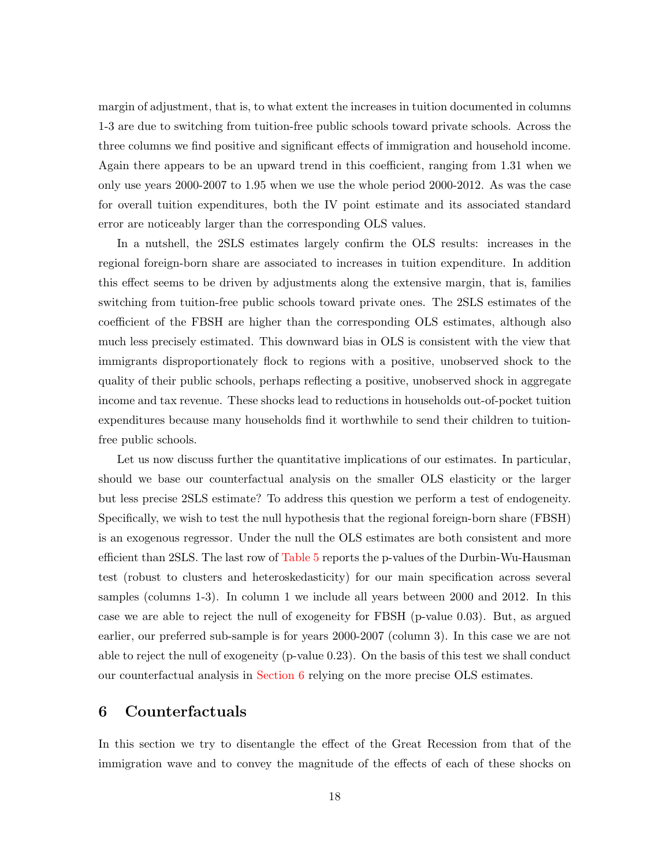margin of adjustment, that is, to what extent the increases in tuition documented in columns 1-3 are due to switching from tuition-free public schools toward private schools. Across the three columns we find positive and significant effects of immigration and household income. Again there appears to be an upward trend in this coefficient, ranging from 1.31 when we only use years 2000-2007 to 1.95 when we use the whole period 2000-2012. As was the case for overall tuition expenditures, both the IV point estimate and its associated standard error are noticeably larger than the corresponding OLS values.

In a nutshell, the 2SLS estimates largely confirm the OLS results: increases in the regional foreign-born share are associated to increases in tuition expenditure. In addition this effect seems to be driven by adjustments along the extensive margin, that is, families switching from tuition-free public schools toward private ones. The 2SLS estimates of the coefficient of the FBSH are higher than the corresponding OLS estimates, although also much less precisely estimated. This downward bias in OLS is consistent with the view that immigrants disproportionately flock to regions with a positive, unobserved shock to the quality of their public schools, perhaps reflecting a positive, unobserved shock in aggregate income and tax revenue. These shocks lead to reductions in households out-of-pocket tuition expenditures because many households find it worthwhile to send their children to tuitionfree public schools.

Let us now discuss further the quantitative implications of our estimates. In particular, should we base our counterfactual analysis on the smaller OLS elasticity or the larger but less precise 2SLS estimate? To address this question we perform a test of endogeneity. Specifically, we wish to test the null hypothesis that the regional foreign-born share (FBSH) is an exogenous regressor. Under the null the OLS estimates are both consistent and more efficient than 2SLS. The last row of [Table 5](#page-47-0) reports the p-values of the Durbin-Wu-Hausman test (robust to clusters and heteroskedasticity) for our main specification across several samples (columns 1-3). In column 1 we include all years between 2000 and 2012. In this case we are able to reject the null of exogeneity for FBSH (p-value 0.03). But, as argued earlier, our preferred sub-sample is for years 2000-2007 (column 3). In this case we are not able to reject the null of exogeneity (p-value 0.23). On the basis of this test we shall conduct our counterfactual analysis in [Section 6](#page-20-0) relying on the more precise OLS estimates.

## <span id="page-20-0"></span>6 Counterfactuals

In this section we try to disentangle the effect of the Great Recession from that of the immigration wave and to convey the magnitude of the effects of each of these shocks on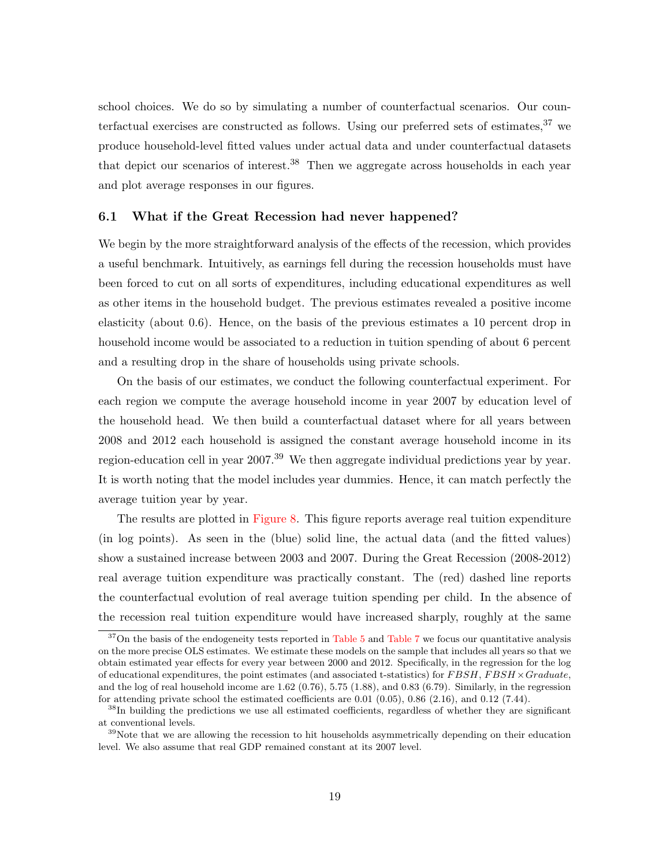school choices. We do so by simulating a number of counterfactual scenarios. Our counterfactual exercises are constructed as follows. Using our preferred sets of estimates,  $37$  we produce household-level fitted values under actual data and under counterfactual datasets that depict our scenarios of interest.<sup>38</sup> Then we aggregate across households in each year and plot average responses in our figures.

#### 6.1 What if the Great Recession had never happened?

We begin by the more straightforward analysis of the effects of the recession, which provides a useful benchmark. Intuitively, as earnings fell during the recession households must have been forced to cut on all sorts of expenditures, including educational expenditures as well as other items in the household budget. The previous estimates revealed a positive income elasticity (about 0.6). Hence, on the basis of the previous estimates a 10 percent drop in household income would be associated to a reduction in tuition spending of about 6 percent and a resulting drop in the share of households using private schools.

On the basis of our estimates, we conduct the following counterfactual experiment. For each region we compute the average household income in year 2007 by education level of the household head. We then build a counterfactual dataset where for all years between 2008 and 2012 each household is assigned the constant average household income in its region-education cell in year  $2007<sup>39</sup>$  We then aggregate individual predictions year by year. It is worth noting that the model includes year dummies. Hence, it can match perfectly the average tuition year by year.

The results are plotted in [Figure 8.](#page-57-0) This figure reports average real tuition expenditure (in log points). As seen in the (blue) solid line, the actual data (and the fitted values) show a sustained increase between 2003 and 2007. During the Great Recession (2008-2012) real average tuition expenditure was practically constant. The (red) dashed line reports the counterfactual evolution of real average tuition spending per child. In the absence of the recession real tuition expenditure would have increased sharply, roughly at the same

 $37$ On the basis of the endogeneity tests reported in [Table 5](#page-47-0) and [Table 7](#page-49-0) we focus our quantitative analysis on the more precise OLS estimates. We estimate these models on the sample that includes all years so that we obtain estimated year effects for every year between 2000 and 2012. Specifically, in the regression for the log of educational expenditures, the point estimates (and associated t-statistics) for  $FBSH$ ,  $FBSH \times Graduate$ , and the log of real household income are 1.62 (0.76), 5.75 (1.88), and 0.83 (6.79). Similarly, in the regression for attending private school the estimated coefficients are 0.01 (0.05), 0.86 (2.16), and 0.12 (7.44).

<sup>&</sup>lt;sup>38</sup>In building the predictions we use all estimated coefficients, regardless of whether they are significant at conventional levels.

<sup>&</sup>lt;sup>39</sup>Note that we are allowing the recession to hit households asymmetrically depending on their education level. We also assume that real GDP remained constant at its 2007 level.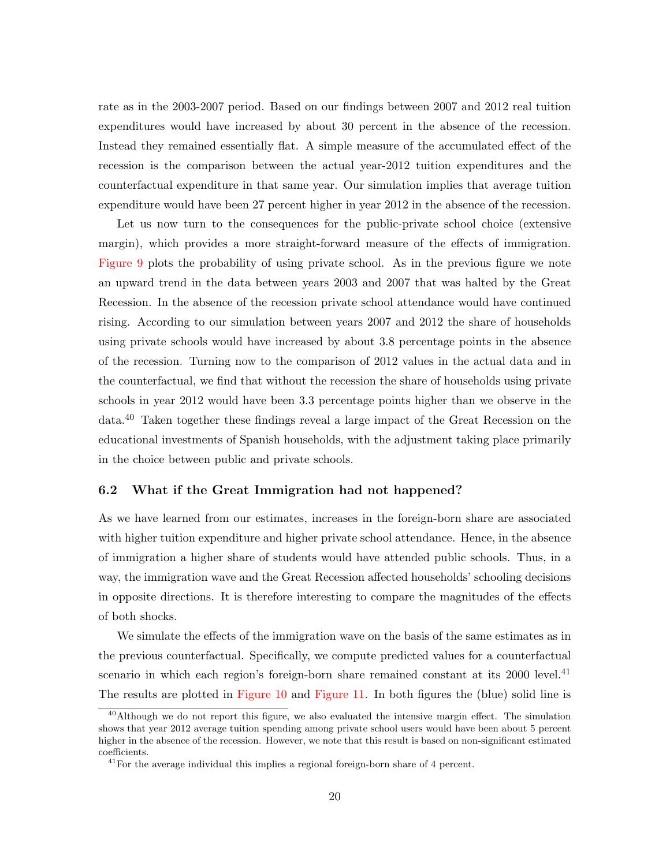rate as in the 2003-2007 period. Based on our findings between 2007 and 2012 real tuition expenditures would have increased by about 30 percent in the absence of the recession. Instead they remained essentially flat. A simple measure of the accumulated effect of the recession is the comparison between the actual year-2012 tuition expenditures and the counterfactual expenditure in that same year. Our simulation implies that average tuition expenditure would have been 27 percent higher in year 2012 in the absence of the recession.

Let us now turn to the consequences for the public-private school choice (extensive margin), which provides a more straight-forward measure of the effects of immigration. [Figure 9](#page-57-1) plots the probability of using private school. As in the previous figure we note an upward trend in the data between years 2003 and 2007 that was halted by the Great Recession. In the absence of the recession private school attendance would have continued rising. According to our simulation between years 2007 and 2012 the share of households using private schools would have increased by about 3.8 percentage points in the absence of the recession. Turning now to the comparison of 2012 values in the actual data and in the counterfactual, we find that without the recession the share of households using private schools in year 2012 would have been 3.3 percentage points higher than we observe in the data.<sup>40</sup> Taken together these findings reveal a large impact of the Great Recession on the educational investments of Spanish households, with the adjustment taking place primarily in the choice between public and private schools.

#### 6.2 What if the Great Immigration had not happened?

As we have learned from our estimates, increases in the foreign-born share are associated with higher tuition expenditure and higher private school attendance. Hence, in the absence of immigration a higher share of students would have attended public schools. Thus, in a way, the immigration wave and the Great Recession affected households' schooling decisions in opposite directions. It is therefore interesting to compare the magnitudes of the effects of both shocks.

We simulate the effects of the immigration wave on the basis of the same estimates as in the previous counterfactual. Specifically, we compute predicted values for a counterfactual scenario in which each region's foreign-born share remained constant at its  $2000$  level.<sup>41</sup> The results are plotted in [Figure 10](#page-58-0) and [Figure 11.](#page-58-1) In both figures the (blue) solid line is

<sup>&</sup>lt;sup>40</sup>Although we do not report this figure, we also evaluated the intensive margin effect. The simulation shows that year 2012 average tuition spending among private school users would have been about 5 percent higher in the absence of the recession. However, we note that this result is based on non-significant estimated coefficients.

<sup>41</sup>For the average individual this implies a regional foreign-born share of 4 percent.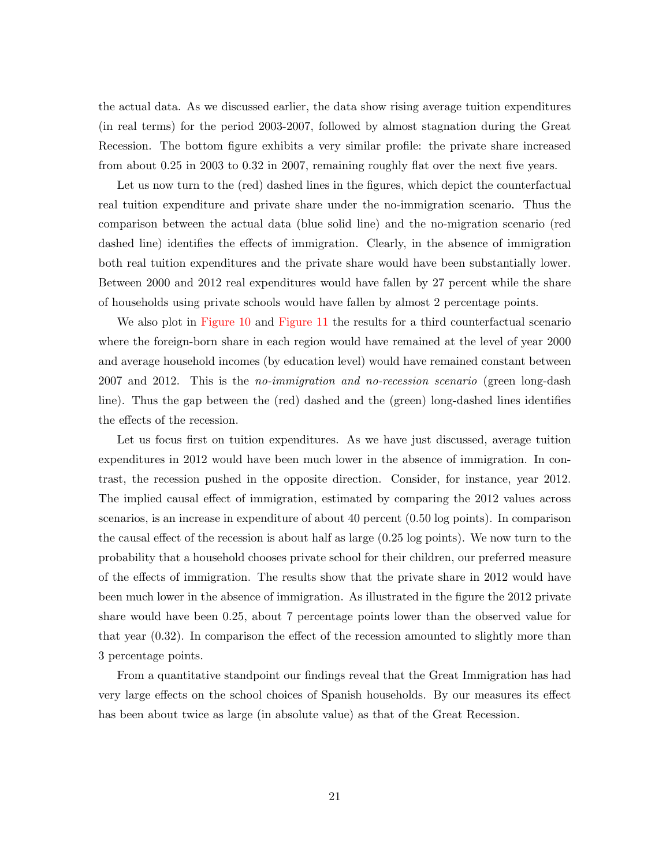the actual data. As we discussed earlier, the data show rising average tuition expenditures (in real terms) for the period 2003-2007, followed by almost stagnation during the Great Recession. The bottom figure exhibits a very similar profile: the private share increased from about 0.25 in 2003 to 0.32 in 2007, remaining roughly flat over the next five years.

Let us now turn to the (red) dashed lines in the figures, which depict the counterfactual real tuition expenditure and private share under the no-immigration scenario. Thus the comparison between the actual data (blue solid line) and the no-migration scenario (red dashed line) identifies the effects of immigration. Clearly, in the absence of immigration both real tuition expenditures and the private share would have been substantially lower. Between 2000 and 2012 real expenditures would have fallen by 27 percent while the share of households using private schools would have fallen by almost 2 percentage points.

We also plot in [Figure 10](#page-58-0) and [Figure 11](#page-58-1) the results for a third counterfactual scenario where the foreign-born share in each region would have remained at the level of year 2000 and average household incomes (by education level) would have remained constant between 2007 and 2012. This is the no-immigration and no-recession scenario (green long-dash line). Thus the gap between the (red) dashed and the (green) long-dashed lines identifies the effects of the recession.

Let us focus first on tuition expenditures. As we have just discussed, average tuition expenditures in 2012 would have been much lower in the absence of immigration. In contrast, the recession pushed in the opposite direction. Consider, for instance, year 2012. The implied causal effect of immigration, estimated by comparing the 2012 values across scenarios, is an increase in expenditure of about 40 percent (0.50 log points). In comparison the causal effect of the recession is about half as large (0.25 log points). We now turn to the probability that a household chooses private school for their children, our preferred measure of the effects of immigration. The results show that the private share in 2012 would have been much lower in the absence of immigration. As illustrated in the figure the 2012 private share would have been 0.25, about 7 percentage points lower than the observed value for that year (0.32). In comparison the effect of the recession amounted to slightly more than 3 percentage points.

From a quantitative standpoint our findings reveal that the Great Immigration has had very large effects on the school choices of Spanish households. By our measures its effect has been about twice as large (in absolute value) as that of the Great Recession.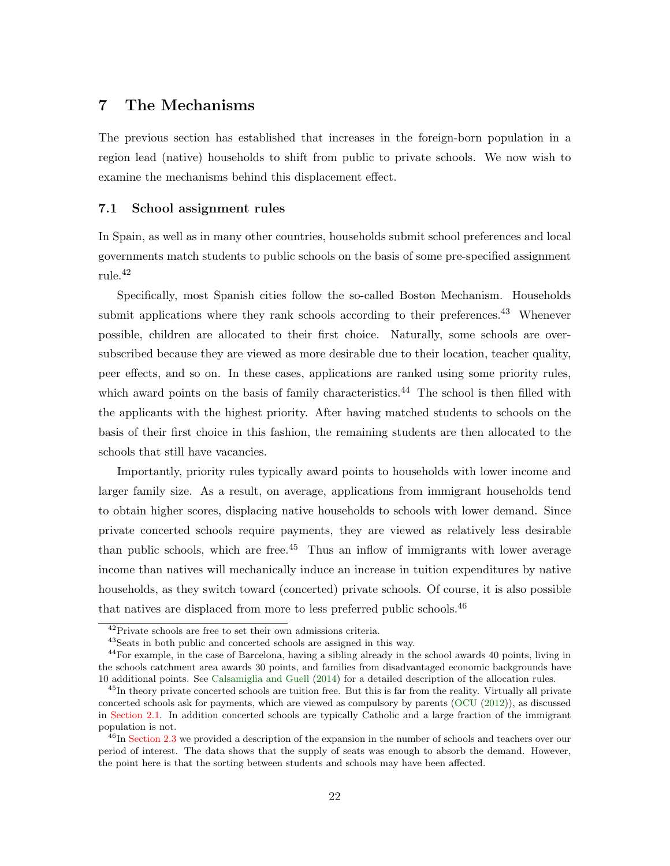## 7 The Mechanisms

The previous section has established that increases in the foreign-born population in a region lead (native) households to shift from public to private schools. We now wish to examine the mechanisms behind this displacement effect.

#### 7.1 School assignment rules

In Spain, as well as in many other countries, households submit school preferences and local governments match students to public schools on the basis of some pre-specified assignment rule.<sup>42</sup>

Specifically, most Spanish cities follow the so-called Boston Mechanism. Households submit applications where they rank schools according to their preferences.<sup>43</sup> Whenever possible, children are allocated to their first choice. Naturally, some schools are oversubscribed because they are viewed as more desirable due to their location, teacher quality, peer effects, and so on. In these cases, applications are ranked using some priority rules, which award points on the basis of family characteristics.<sup>44</sup> The school is then filled with the applicants with the highest priority. After having matched students to schools on the basis of their first choice in this fashion, the remaining students are then allocated to the schools that still have vacancies.

Importantly, priority rules typically award points to households with lower income and larger family size. As a result, on average, applications from immigrant households tend to obtain higher scores, displacing native households to schools with lower demand. Since private concerted schools require payments, they are viewed as relatively less desirable than public schools, which are free.<sup>45</sup> Thus an inflow of immigrants with lower average income than natives will mechanically induce an increase in tuition expenditures by native households, as they switch toward (concerted) private schools. Of course, it is also possible that natives are displaced from more to less preferred public schools.<sup>46</sup>

<sup>42</sup>Private schools are free to set their own admissions criteria.

<sup>43</sup>Seats in both public and concerted schools are assigned in this way.

<sup>&</sup>lt;sup>44</sup>For example, in the case of Barcelona, having a sibling already in the school awards 40 points, living in the schools catchment area awards 30 points, and families from disadvantaged economic backgrounds have 10 additional points. See [Calsamiglia and Guell](#page-39-14) [\(2014\)](#page-39-14) for a detailed description of the allocation rules.

<sup>45</sup>In theory private concerted schools are tuition free. But this is far from the reality. Virtually all private concerted schools ask for payments, which are viewed as compulsory by parents [\(OCU](#page-41-8) [\(2012\)](#page-41-8)), as discussed in [Section 2.1.](#page-7-1) In addition concerted schools are typically Catholic and a large fraction of the immigrant population is not.

<sup>&</sup>lt;sup>46</sup>In [Section 2.3](#page-10-0) we provided a description of the expansion in the number of schools and teachers over our period of interest. The data shows that the supply of seats was enough to absorb the demand. However, the point here is that the sorting between students and schools may have been affected.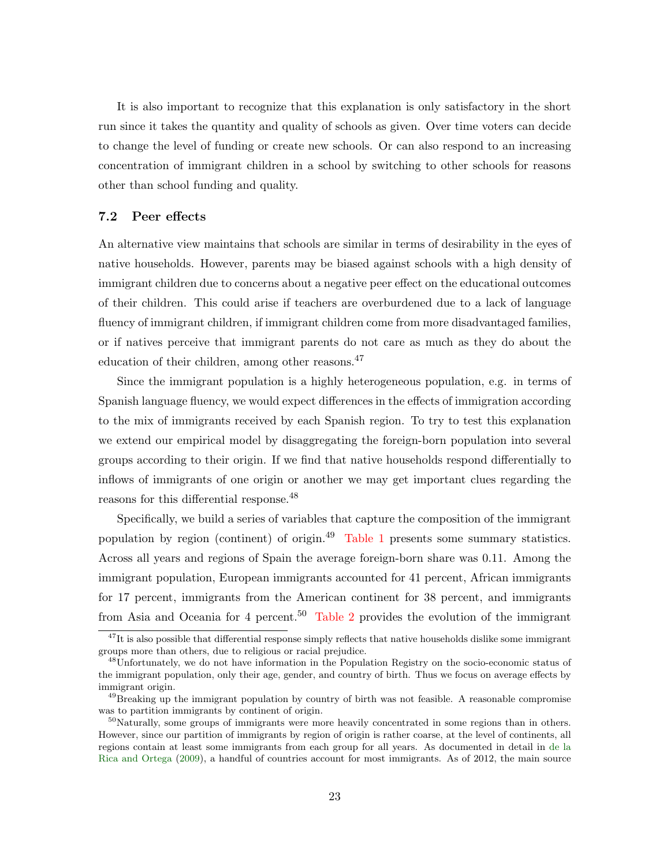It is also important to recognize that this explanation is only satisfactory in the short run since it takes the quantity and quality of schools as given. Over time voters can decide to change the level of funding or create new schools. Or can also respond to an increasing concentration of immigrant children in a school by switching to other schools for reasons other than school funding and quality.

#### 7.2 Peer effects

An alternative view maintains that schools are similar in terms of desirability in the eyes of native households. However, parents may be biased against schools with a high density of immigrant children due to concerns about a negative peer effect on the educational outcomes of their children. This could arise if teachers are overburdened due to a lack of language fluency of immigrant children, if immigrant children come from more disadvantaged families, or if natives perceive that immigrant parents do not care as much as they do about the education of their children, among other reasons.<sup>47</sup>

Since the immigrant population is a highly heterogeneous population, e.g. in terms of Spanish language fluency, we would expect differences in the effects of immigration according to the mix of immigrants received by each Spanish region. To try to test this explanation we extend our empirical model by disaggregating the foreign-born population into several groups according to their origin. If we find that native households respond differentially to inflows of immigrants of one origin or another we may get important clues regarding the reasons for this differential response.<sup>48</sup>

Specifically, we build a series of variables that capture the composition of the immigrant population by region (continent) of origin.<sup>49</sup> [Table 1](#page-43-0) presents some summary statistics. Across all years and regions of Spain the average foreign-born share was 0.11. Among the immigrant population, European immigrants accounted for 41 percent, African immigrants for 17 percent, immigrants from the American continent for 38 percent, and immigrants from Asia and Oceania for 4 percent.<sup>50</sup> [Table 2](#page-44-0) provides the evolution of the immigrant

<sup>&</sup>lt;sup>47</sup>It is also possible that differential response simply reflects that native households dislike some immigrant groups more than others, due to religious or racial prejudice.

 $^{48}$ Unfortunately, we do not have information in the Population Registry on the socio-economic status of the immigrant population, only their age, gender, and country of birth. Thus we focus on average effects by immigrant origin.

<sup>&</sup>lt;sup>49</sup>Breaking up the immigrant population by country of birth was not feasible. A reasonable compromise was to partition immigrants by continent of origin.

 $50$ Naturally, some groups of immigrants were more heavily concentrated in some regions than in others. However, since our partition of immigrants by region of origin is rather coarse, at the level of continents, all regions contain at least some immigrants from each group for all years. As documented in detail in [de la](#page-40-13) [Rica and Ortega](#page-40-13) [\(2009\)](#page-40-13), a handful of countries account for most immigrants. As of 2012, the main source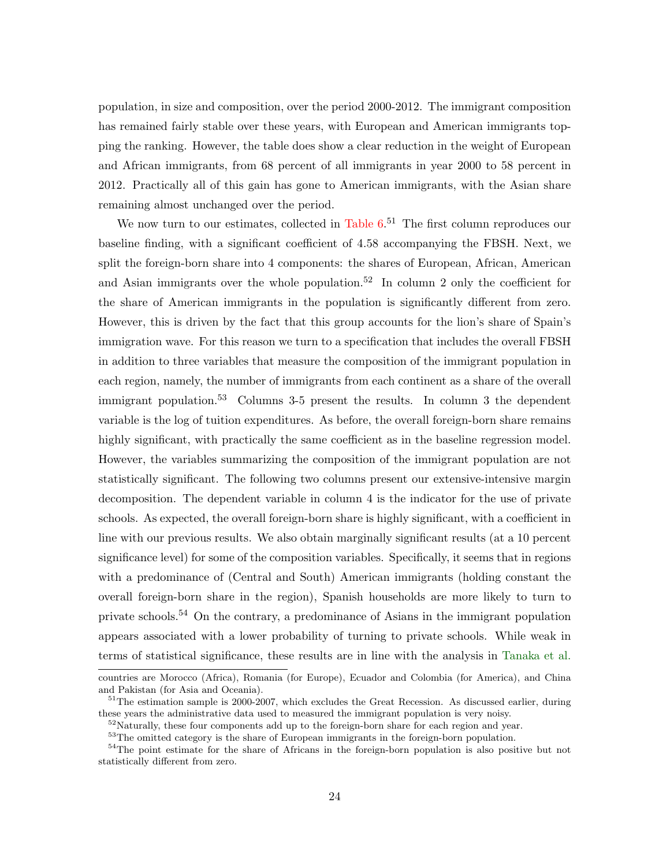population, in size and composition, over the period 2000-2012. The immigrant composition has remained fairly stable over these years, with European and American immigrants topping the ranking. However, the table does show a clear reduction in the weight of European and African immigrants, from 68 percent of all immigrants in year 2000 to 58 percent in 2012. Practically all of this gain has gone to American immigrants, with the Asian share remaining almost unchanged over the period.

We now turn to our estimates, collected in Table  $6<sup>51</sup>$  The first column reproduces our baseline finding, with a significant coefficient of 4.58 accompanying the FBSH. Next, we split the foreign-born share into 4 components: the shares of European, African, American and Asian immigrants over the whole population.<sup>52</sup> In column 2 only the coefficient for the share of American immigrants in the population is significantly different from zero. However, this is driven by the fact that this group accounts for the lion's share of Spain's immigration wave. For this reason we turn to a specification that includes the overall FBSH in addition to three variables that measure the composition of the immigrant population in each region, namely, the number of immigrants from each continent as a share of the overall immigrant population.<sup>53</sup> Columns 3-5 present the results. In column 3 the dependent variable is the log of tuition expenditures. As before, the overall foreign-born share remains highly significant, with practically the same coefficient as in the baseline regression model. However, the variables summarizing the composition of the immigrant population are not statistically significant. The following two columns present our extensive-intensive margin decomposition. The dependent variable in column 4 is the indicator for the use of private schools. As expected, the overall foreign-born share is highly significant, with a coefficient in line with our previous results. We also obtain marginally significant results (at a 10 percent significance level) for some of the composition variables. Specifically, it seems that in regions with a predominance of (Central and South) American immigrants (holding constant the overall foreign-born share in the region), Spanish households are more likely to turn to private schools.<sup>54</sup> On the contrary, a predominance of Asians in the immigrant population appears associated with a lower probability of turning to private schools. While weak in terms of statistical significance, these results are in line with the analysis in [Tanaka et al.](#page-41-12)

countries are Morocco (Africa), Romania (for Europe), Ecuador and Colombia (for America), and China and Pakistan (for Asia and Oceania).

<sup>&</sup>lt;sup>51</sup>The estimation sample is 2000-2007, which excludes the Great Recession. As discussed earlier, during these years the administrative data used to measured the immigrant population is very noisy.

 $52$ Naturally, these four components add up to the foreign-born share for each region and year.

 $^{53}\mathrm{The}$  omitted category is the share of European immigrants in the foreign-born population.

<sup>54</sup>The point estimate for the share of Africans in the foreign-born population is also positive but not statistically different from zero.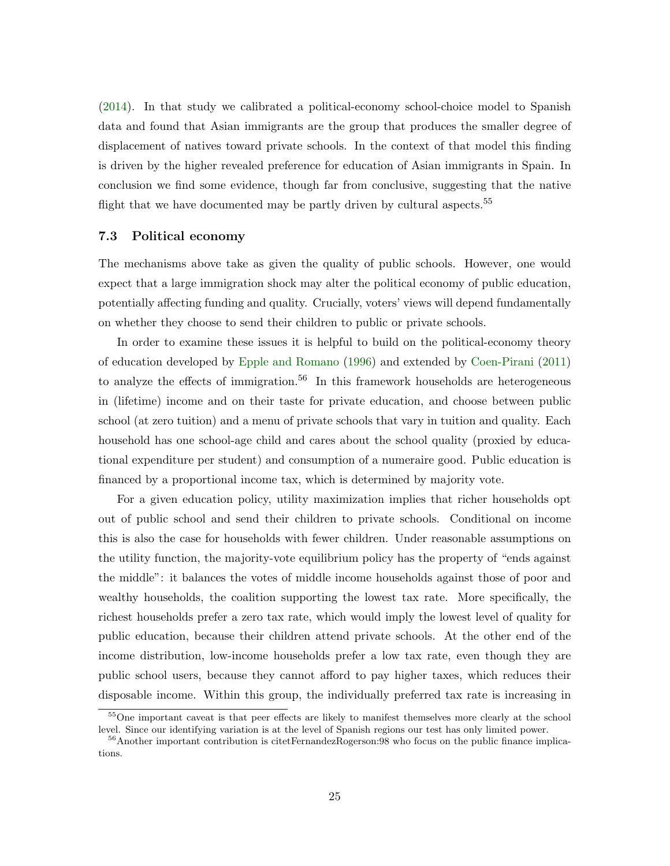[\(2014\)](#page-41-12). In that study we calibrated a political-economy school-choice model to Spanish data and found that Asian immigrants are the group that produces the smaller degree of displacement of natives toward private schools. In the context of that model this finding is driven by the higher revealed preference for education of Asian immigrants in Spain. In conclusion we find some evidence, though far from conclusive, suggesting that the native flight that we have documented may be partly driven by cultural aspects.<sup>55</sup>

#### 7.3 Political economy

The mechanisms above take as given the quality of public schools. However, one would expect that a large immigration shock may alter the political economy of public education, potentially affecting funding and quality. Crucially, voters' views will depend fundamentally on whether they choose to send their children to public or private schools.

In order to examine these issues it is helpful to build on the political-economy theory of education developed by [Epple and Romano](#page-40-5) [\(1996\)](#page-40-5) and extended by [Coen-Pirani](#page-40-14) [\(2011\)](#page-40-14) to analyze the effects of immigration.<sup>56</sup> In this framework households are heterogeneous in (lifetime) income and on their taste for private education, and choose between public school (at zero tuition) and a menu of private schools that vary in tuition and quality. Each household has one school-age child and cares about the school quality (proxied by educational expenditure per student) and consumption of a numeraire good. Public education is financed by a proportional income tax, which is determined by majority vote.

For a given education policy, utility maximization implies that richer households opt out of public school and send their children to private schools. Conditional on income this is also the case for households with fewer children. Under reasonable assumptions on the utility function, the majority-vote equilibrium policy has the property of "ends against the middle": it balances the votes of middle income households against those of poor and wealthy households, the coalition supporting the lowest tax rate. More specifically, the richest households prefer a zero tax rate, which would imply the lowest level of quality for public education, because their children attend private schools. At the other end of the income distribution, low-income households prefer a low tax rate, even though they are public school users, because they cannot afford to pay higher taxes, which reduces their disposable income. Within this group, the individually preferred tax rate is increasing in

<sup>&</sup>lt;sup>55</sup>One important caveat is that peer effects are likely to manifest themselves more clearly at the school level. Since our identifying variation is at the level of Spanish regions our test has only limited power.

<sup>&</sup>lt;sup>56</sup>Another important contribution is citetFernandezRogerson:98 who focus on the public finance implications.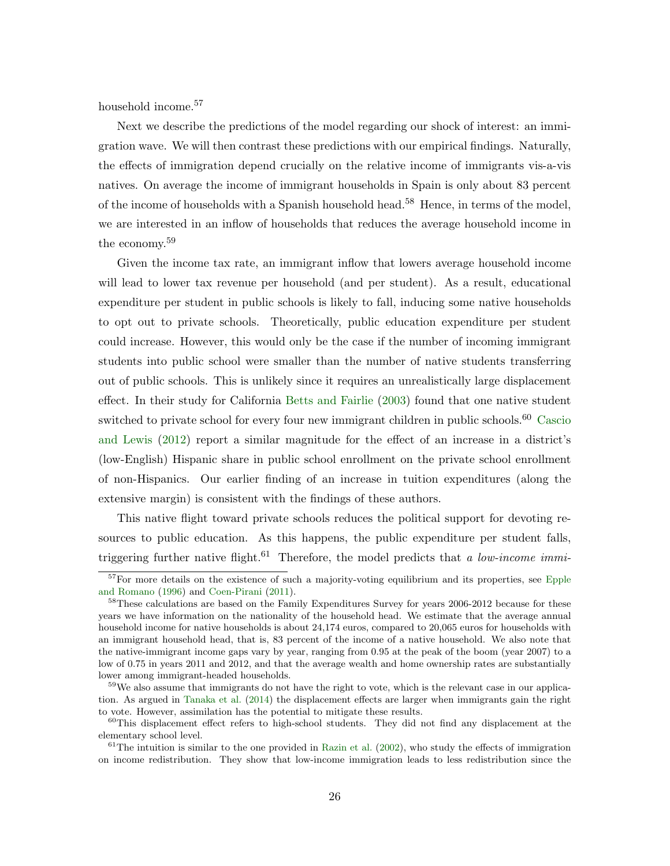household income.<sup>57</sup>

Next we describe the predictions of the model regarding our shock of interest: an immigration wave. We will then contrast these predictions with our empirical findings. Naturally, the effects of immigration depend crucially on the relative income of immigrants vis-a-vis natives. On average the income of immigrant households in Spain is only about 83 percent of the income of households with a Spanish household head.<sup>58</sup> Hence, in terms of the model, we are interested in an inflow of households that reduces the average household income in the economy.<sup>59</sup>

Given the income tax rate, an immigrant inflow that lowers average household income will lead to lower tax revenue per household (and per student). As a result, educational expenditure per student in public schools is likely to fall, inducing some native households to opt out to private schools. Theoretically, public education expenditure per student could increase. However, this would only be the case if the number of incoming immigrant students into public school were smaller than the number of native students transferring out of public schools. This is unlikely since it requires an unrealistically large displacement effect. In their study for California [Betts and Fairlie](#page-39-2) [\(2003\)](#page-39-2) found that one native student switched to private school for every four new immigrant children in public schools.<sup>60</sup> [Cascio](#page-39-1) [and Lewis](#page-39-1) [\(2012\)](#page-39-1) report a similar magnitude for the effect of an increase in a district's (low-English) Hispanic share in public school enrollment on the private school enrollment of non-Hispanics. Our earlier finding of an increase in tuition expenditures (along the extensive margin) is consistent with the findings of these authors.

This native flight toward private schools reduces the political support for devoting resources to public education. As this happens, the public expenditure per student falls, triggering further native flight.<sup>61</sup> Therefore, the model predicts that a low-income immi-

<sup>&</sup>lt;sup>57</sup>For more details on the existence of such a majority-voting equilibrium and its properties, see [Epple](#page-40-5) [and Romano](#page-40-5) [\(1996\)](#page-40-5) and [Coen-Pirani](#page-40-14) [\(2011\)](#page-40-14).

<sup>&</sup>lt;sup>58</sup>These calculations are based on the Family Expenditures Survey for years 2006-2012 because for these years we have information on the nationality of the household head. We estimate that the average annual household income for native households is about 24,174 euros, compared to 20,065 euros for households with an immigrant household head, that is, 83 percent of the income of a native household. We also note that the native-immigrant income gaps vary by year, ranging from 0.95 at the peak of the boom (year 2007) to a low of 0.75 in years 2011 and 2012, and that the average wealth and home ownership rates are substantially lower among immigrant-headed households.

 $59W$ e also assume that immigrants do not have the right to vote, which is the relevant case in our application. As argued in [Tanaka et al.](#page-41-12) [\(2014\)](#page-41-12) the displacement effects are larger when immigrants gain the right to vote. However, assimilation has the potential to mitigate these results.

 $60$ This displacement effect refers to high-school students. They did not find any displacement at the elementary school level.

 $61$ The intuition is similar to the one provided in [Razin et al.](#page-41-13) [\(2002\)](#page-41-13), who study the effects of immigration on income redistribution. They show that low-income immigration leads to less redistribution since the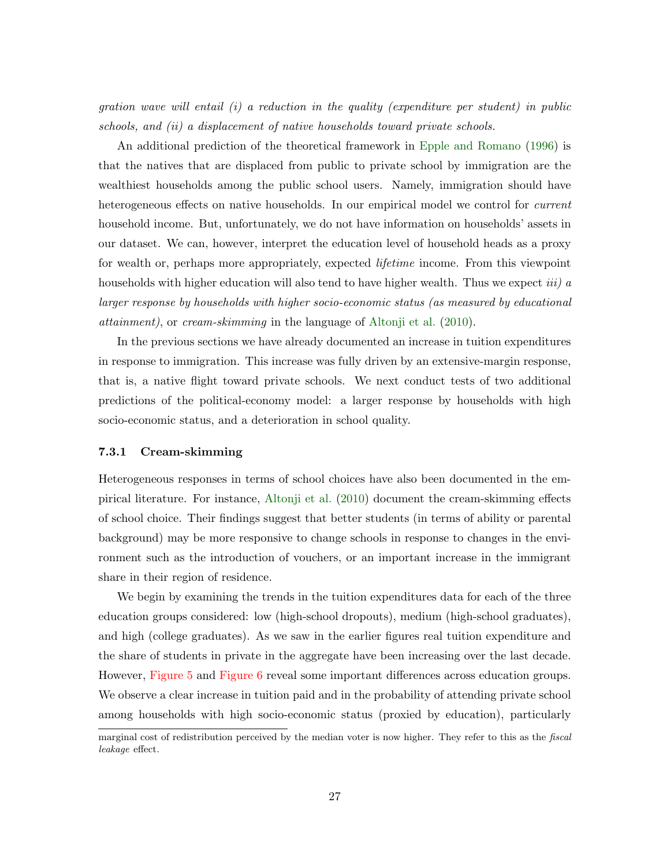gration wave will entail  $(i)$  a reduction in the quality (expenditure per student) in public schools, and (ii) a displacement of native households toward private schools.

An additional prediction of the theoretical framework in [Epple and Romano](#page-40-5) [\(1996\)](#page-40-5) is that the natives that are displaced from public to private school by immigration are the wealthiest households among the public school users. Namely, immigration should have heterogeneous effects on native households. In our empirical model we control for *current* household income. But, unfortunately, we do not have information on households' assets in our dataset. We can, however, interpret the education level of household heads as a proxy for wealth or, perhaps more appropriately, expected *lifetime* income. From this viewpoint households with higher education will also tend to have higher wealth. Thus we expect *iii*) a larger response by households with higher socio-economic status (as measured by educational attainment), or cream-skimming in the language of [Altonji et al.](#page-39-0) [\(2010\)](#page-39-0).

In the previous sections we have already documented an increase in tuition expenditures in response to immigration. This increase was fully driven by an extensive-margin response, that is, a native flight toward private schools. We next conduct tests of two additional predictions of the political-economy model: a larger response by households with high socio-economic status, and a deterioration in school quality.

#### 7.3.1 Cream-skimming

Heterogeneous responses in terms of school choices have also been documented in the empirical literature. For instance, [Altonji et al.](#page-39-0) [\(2010\)](#page-39-0) document the cream-skimming effects of school choice. Their findings suggest that better students (in terms of ability or parental background) may be more responsive to change schools in response to changes in the environment such as the introduction of vouchers, or an important increase in the immigrant share in their region of residence.

We begin by examining the trends in the tuition expenditures data for each of the three education groups considered: low (high-school dropouts), medium (high-school graduates), and high (college graduates). As we saw in the earlier figures real tuition expenditure and the share of students in private in the aggregate have been increasing over the last decade. However, [Figure 5](#page-55-0) and [Figure 6](#page-55-1) reveal some important differences across education groups. We observe a clear increase in tuition paid and in the probability of attending private school among households with high socio-economic status (proxied by education), particularly

marginal cost of redistribution perceived by the median voter is now higher. They refer to this as the *fiscal* leakage effect.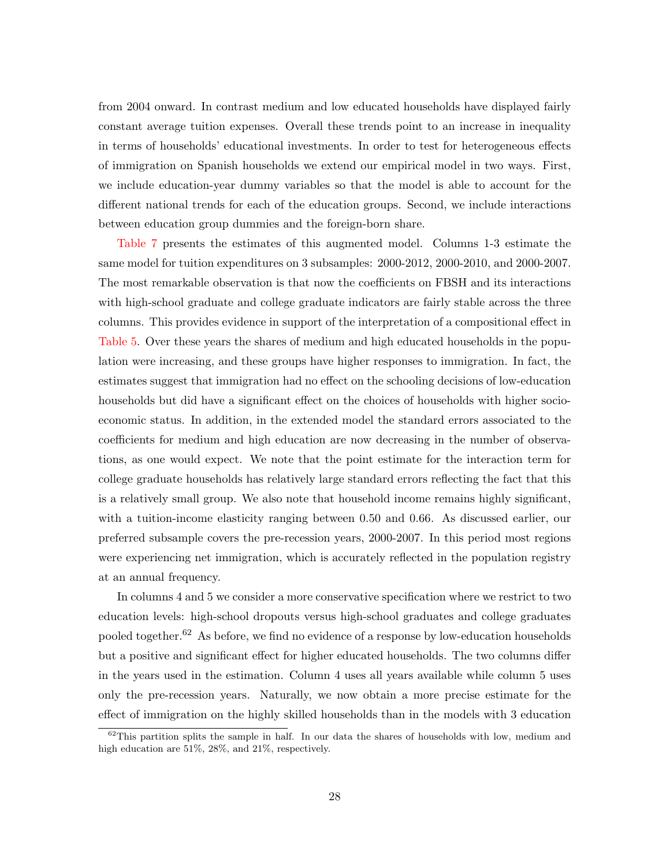from 2004 onward. In contrast medium and low educated households have displayed fairly constant average tuition expenses. Overall these trends point to an increase in inequality in terms of households' educational investments. In order to test for heterogeneous effects of immigration on Spanish households we extend our empirical model in two ways. First, we include education-year dummy variables so that the model is able to account for the different national trends for each of the education groups. Second, we include interactions between education group dummies and the foreign-born share.

[Table 7](#page-49-0) presents the estimates of this augmented model. Columns 1-3 estimate the same model for tuition expenditures on 3 subsamples: 2000-2012, 2000-2010, and 2000-2007. The most remarkable observation is that now the coefficients on FBSH and its interactions with high-school graduate and college graduate indicators are fairly stable across the three columns. This provides evidence in support of the interpretation of a compositional effect in [Table 5.](#page-47-0) Over these years the shares of medium and high educated households in the population were increasing, and these groups have higher responses to immigration. In fact, the estimates suggest that immigration had no effect on the schooling decisions of low-education households but did have a significant effect on the choices of households with higher socioeconomic status. In addition, in the extended model the standard errors associated to the coefficients for medium and high education are now decreasing in the number of observations, as one would expect. We note that the point estimate for the interaction term for college graduate households has relatively large standard errors reflecting the fact that this is a relatively small group. We also note that household income remains highly significant, with a tuition-income elasticity ranging between 0.50 and 0.66. As discussed earlier, our preferred subsample covers the pre-recession years, 2000-2007. In this period most regions were experiencing net immigration, which is accurately reflected in the population registry at an annual frequency.

In columns 4 and 5 we consider a more conservative specification where we restrict to two education levels: high-school dropouts versus high-school graduates and college graduates pooled together.<sup>62</sup> As before, we find no evidence of a response by low-education households but a positive and significant effect for higher educated households. The two columns differ in the years used in the estimation. Column 4 uses all years available while column 5 uses only the pre-recession years. Naturally, we now obtain a more precise estimate for the effect of immigration on the highly skilled households than in the models with 3 education

 $62$ This partition splits the sample in half. In our data the shares of households with low, medium and high education are 51%, 28%, and 21%, respectively.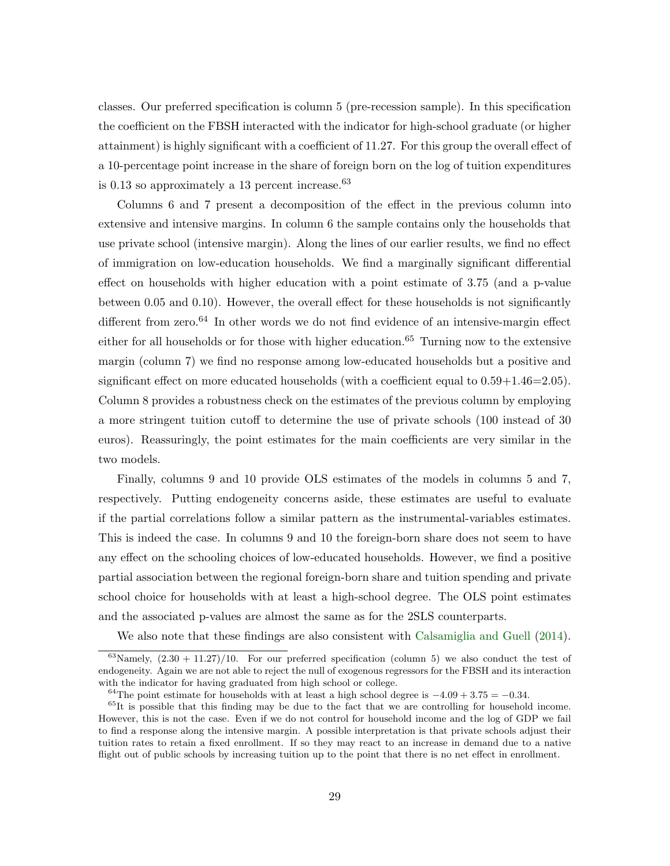classes. Our preferred specification is column 5 (pre-recession sample). In this specification the coefficient on the FBSH interacted with the indicator for high-school graduate (or higher attainment) is highly significant with a coefficient of 11.27. For this group the overall effect of a 10-percentage point increase in the share of foreign born on the log of tuition expenditures is  $0.13$  so approximately a 13 percent increase.<sup>63</sup>

Columns 6 and 7 present a decomposition of the effect in the previous column into extensive and intensive margins. In column 6 the sample contains only the households that use private school (intensive margin). Along the lines of our earlier results, we find no effect of immigration on low-education households. We find a marginally significant differential effect on households with higher education with a point estimate of 3.75 (and a p-value between 0.05 and 0.10). However, the overall effect for these households is not significantly different from zero.<sup>64</sup> In other words we do not find evidence of an intensive-margin effect either for all households or for those with higher education.<sup>65</sup> Turning now to the extensive margin (column 7) we find no response among low-educated households but a positive and significant effect on more educated households (with a coefficient equal to  $0.59+1.46=2.05$ ). Column 8 provides a robustness check on the estimates of the previous column by employing a more stringent tuition cutoff to determine the use of private schools (100 instead of 30 euros). Reassuringly, the point estimates for the main coefficients are very similar in the two models.

Finally, columns 9 and 10 provide OLS estimates of the models in columns 5 and 7, respectively. Putting endogeneity concerns aside, these estimates are useful to evaluate if the partial correlations follow a similar pattern as the instrumental-variables estimates. This is indeed the case. In columns 9 and 10 the foreign-born share does not seem to have any effect on the schooling choices of low-educated households. However, we find a positive partial association between the regional foreign-born share and tuition spending and private school choice for households with at least a high-school degree. The OLS point estimates and the associated p-values are almost the same as for the 2SLS counterparts.

We also note that these findings are also consistent with [Calsamiglia and Guell](#page-39-14) [\(2014\)](#page-39-14).

<sup>&</sup>lt;sup>63</sup>Namely,  $(2.30 + 11.27)/10$ . For our preferred specification (column 5) we also conduct the test of endogeneity. Again we are not able to reject the null of exogenous regressors for the FBSH and its interaction with the indicator for having graduated from high school or college.

<sup>&</sup>lt;sup>64</sup>The point estimate for households with at least a high school degree is  $-4.09 + 3.75 = -0.34$ .

 $65$ It is possible that this finding may be due to the fact that we are controlling for household income. However, this is not the case. Even if we do not control for household income and the log of GDP we fail to find a response along the intensive margin. A possible interpretation is that private schools adjust their tuition rates to retain a fixed enrollment. If so they may react to an increase in demand due to a native flight out of public schools by increasing tuition up to the point that there is no net effect in enrollment.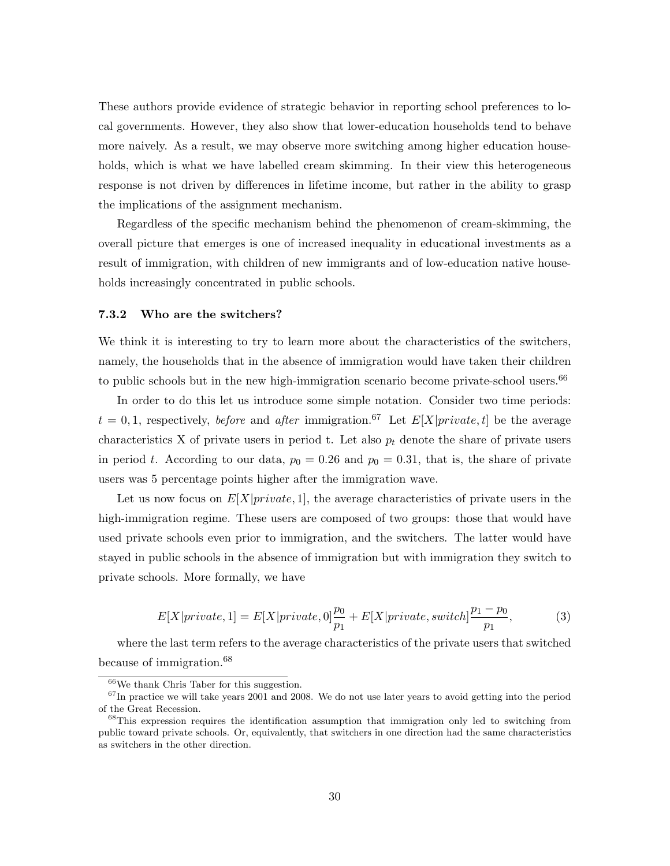These authors provide evidence of strategic behavior in reporting school preferences to local governments. However, they also show that lower-education households tend to behave more naively. As a result, we may observe more switching among higher education households, which is what we have labelled cream skimming. In their view this heterogeneous response is not driven by differences in lifetime income, but rather in the ability to grasp the implications of the assignment mechanism.

Regardless of the specific mechanism behind the phenomenon of cream-skimming, the overall picture that emerges is one of increased inequality in educational investments as a result of immigration, with children of new immigrants and of low-education native households increasingly concentrated in public schools.

#### 7.3.2 Who are the switchers?

We think it is interesting to try to learn more about the characteristics of the switchers, namely, the households that in the absence of immigration would have taken their children to public schools but in the new high-immigration scenario become private-school users.<sup>66</sup>

In order to do this let us introduce some simple notation. Consider two time periods:  $t = 0, 1$ , respectively, *before* and *after* immigration.<sup>67</sup> Let  $E[X|private, t]$  be the average characteristics X of private users in period t. Let also  $p_t$  denote the share of private users in period t. According to our data,  $p_0 = 0.26$  and  $p_0 = 0.31$ , that is, the share of private users was 5 percentage points higher after the immigration wave.

Let us now focus on  $E[X]$ *private*, 1, the average characteristics of private users in the high-immigration regime. These users are composed of two groups: those that would have used private schools even prior to immigration, and the switchers. The latter would have stayed in public schools in the absence of immigration but with immigration they switch to private schools. More formally, we have

$$
E[X|private,1] = E[X|private,0]\frac{p_0}{p_1} + E[X|private,switch]\frac{p_1 - p_0}{p_1},
$$
\n(3)

where the last term refers to the average characteristics of the private users that switched because of immigration.<sup>68</sup>

<sup>66</sup>We thank Chris Taber for this suggestion.

 $67$ In practice we will take years 2001 and 2008. We do not use later years to avoid getting into the period of the Great Recession.

<sup>68</sup>This expression requires the identification assumption that immigration only led to switching from public toward private schools. Or, equivalently, that switchers in one direction had the same characteristics as switchers in the other direction.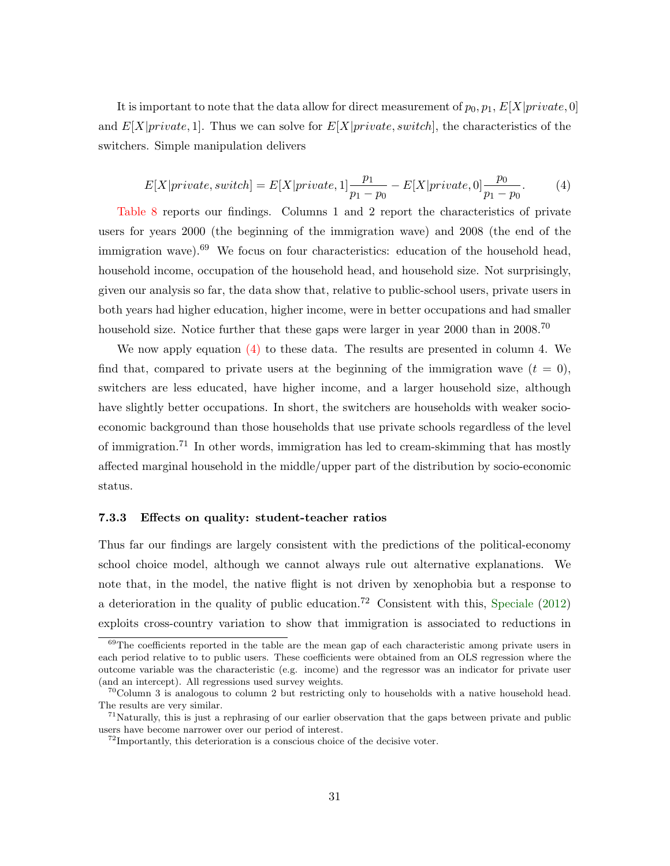It is important to note that the data allow for direct measurement of  $p_0, p_1, E[X]$ *private*, 0] and  $E[X|private, 1]$ . Thus we can solve for  $E[X|private, switch]$ , the characteristics of the switchers. Simple manipulation delivers

<span id="page-33-0"></span>
$$
E[X|private, switch] = E[X|private, 1]\frac{p_1}{p_1 - p_0} - E[X|private, 0]\frac{p_0}{p_1 - p_0}.\tag{4}
$$

[Table 8](#page-50-0) reports our findings. Columns 1 and 2 report the characteristics of private users for years 2000 (the beginning of the immigration wave) and 2008 (the end of the immigration wave). $69$  We focus on four characteristics: education of the household head, household income, occupation of the household head, and household size. Not surprisingly, given our analysis so far, the data show that, relative to public-school users, private users in both years had higher education, higher income, were in better occupations and had smaller household size. Notice further that these gaps were larger in year 2000 than in 2008.<sup>70</sup>

We now apply equation  $(4)$  to these data. The results are presented in column 4. We find that, compared to private users at the beginning of the immigration wave  $(t = 0)$ , switchers are less educated, have higher income, and a larger household size, although have slightly better occupations. In short, the switchers are households with weaker socioeconomic background than those households that use private schools regardless of the level of immigration.<sup>71</sup> In other words, immigration has led to cream-skimming that has mostly affected marginal household in the middle/upper part of the distribution by socio-economic status.

#### 7.3.3 Effects on quality: student-teacher ratios

Thus far our findings are largely consistent with the predictions of the political-economy school choice model, although we cannot always rule out alternative explanations. We note that, in the model, the native flight is not driven by xenophobia but a response to a deterioration in the quality of public education.<sup>72</sup> Consistent with this, [Speciale](#page-41-14)  $(2012)$ exploits cross-country variation to show that immigration is associated to reductions in

 $69$ The coefficients reported in the table are the mean gap of each characteristic among private users in each period relative to to public users. These coefficients were obtained from an OLS regression where the outcome variable was the characteristic (e.g. income) and the regressor was an indicator for private user (and an intercept). All regressions used survey weights.

 $70^{\circ}$ Column 3 is analogous to column 2 but restricting only to households with a native household head. The results are very similar.

<sup>&</sup>lt;sup>71</sup>Naturally, this is just a rephrasing of our earlier observation that the gaps between private and public users have become narrower over our period of interest.

 $^{72}$ Importantly, this deterioration is a conscious choice of the decisive voter.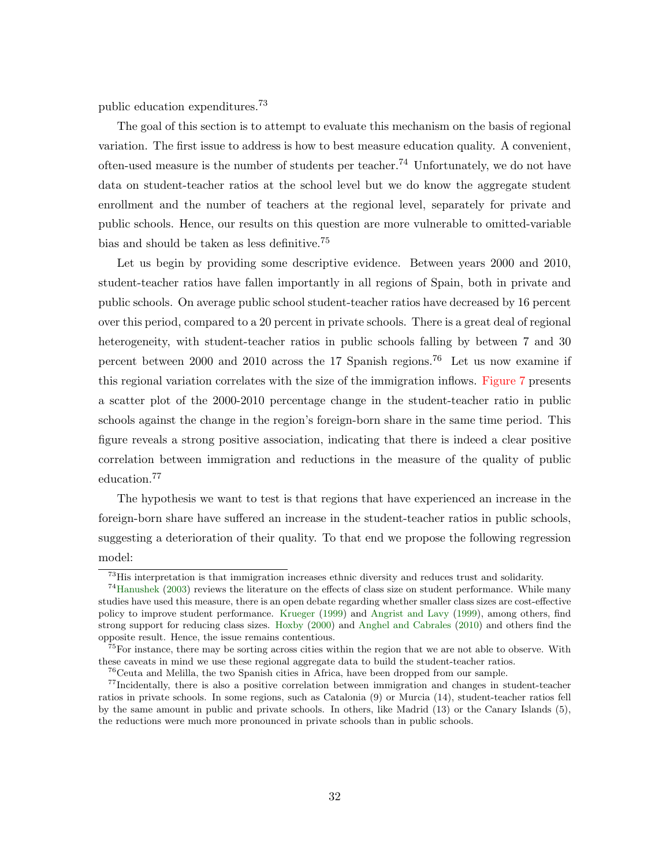public education expenditures.<sup>73</sup>

The goal of this section is to attempt to evaluate this mechanism on the basis of regional variation. The first issue to address is how to best measure education quality. A convenient, often-used measure is the number of students per teacher.<sup>74</sup> Unfortunately, we do not have data on student-teacher ratios at the school level but we do know the aggregate student enrollment and the number of teachers at the regional level, separately for private and public schools. Hence, our results on this question are more vulnerable to omitted-variable bias and should be taken as less definitive.<sup>75</sup>

Let us begin by providing some descriptive evidence. Between years 2000 and 2010, student-teacher ratios have fallen importantly in all regions of Spain, both in private and public schools. On average public school student-teacher ratios have decreased by 16 percent over this period, compared to a 20 percent in private schools. There is a great deal of regional heterogeneity, with student-teacher ratios in public schools falling by between 7 and 30 percent between 2000 and 2010 across the 17 Spanish regions.<sup>76</sup> Let us now examine if this regional variation correlates with the size of the immigration inflows. [Figure 7](#page-56-0) presents a scatter plot of the 2000-2010 percentage change in the student-teacher ratio in public schools against the change in the region's foreign-born share in the same time period. This figure reveals a strong positive association, indicating that there is indeed a clear positive correlation between immigration and reductions in the measure of the quality of public education.<sup>77</sup>

The hypothesis we want to test is that regions that have experienced an increase in the foreign-born share have suffered an increase in the student-teacher ratios in public schools, suggesting a deterioration of their quality. To that end we propose the following regression model:

<sup>73</sup>His interpretation is that immigration increases ethnic diversity and reduces trust and solidarity.

<sup>74</sup>[Hanushek](#page-41-15) [\(2003\)](#page-41-15) reviews the literature on the effects of class size on student performance. While many studies have used this measure, there is an open debate regarding whether smaller class sizes are cost-effective policy to improve student performance. [Krueger](#page-41-16) [\(1999\)](#page-41-16) and [Angrist and Lavy](#page-39-15) [\(1999\)](#page-39-15), among others, find strong support for reducing class sizes. [Hoxby](#page-41-17) [\(2000\)](#page-41-17) and [Anghel and Cabrales](#page-39-5) [\(2010\)](#page-39-5) and others find the opposite result. Hence, the issue remains contentious.

<sup>&</sup>lt;sup>75</sup>For instance, there may be sorting across cities within the region that we are not able to observe. With these caveats in mind we use these regional aggregate data to build the student-teacher ratios.

<sup>76</sup>Ceuta and Melilla, the two Spanish cities in Africa, have been dropped from our sample.

<sup>77</sup>Incidentally, there is also a positive correlation between immigration and changes in student-teacher ratios in private schools. In some regions, such as Catalonia (9) or Murcia (14), student-teacher ratios fell by the same amount in public and private schools. In others, like Madrid (13) or the Canary Islands (5), the reductions were much more pronounced in private schools than in public schools.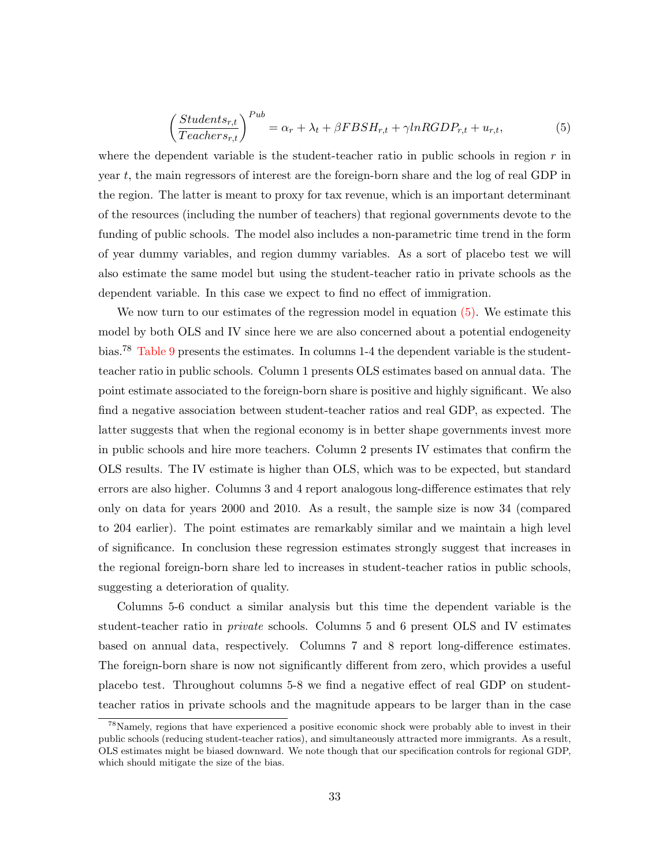<span id="page-35-0"></span>
$$
\left(\frac{Students_{r,t}}{Teaches_{r,t}}\right)^{Pub} = \alpha_r + \lambda_t + \beta FBSH_{r,t} + \gamma lnRGDP_{r,t} + u_{r,t},\tag{5}
$$

where the dependent variable is the student-teacher ratio in public schools in region  $r$  in year  $t$ , the main regressors of interest are the foreign-born share and the log of real GDP in the region. The latter is meant to proxy for tax revenue, which is an important determinant of the resources (including the number of teachers) that regional governments devote to the funding of public schools. The model also includes a non-parametric time trend in the form of year dummy variables, and region dummy variables. As a sort of placebo test we will also estimate the same model but using the student-teacher ratio in private schools as the dependent variable. In this case we expect to find no effect of immigration.

We now turn to our estimates of the regression model in equation  $(5)$ . We estimate this model by both OLS and IV since here we are also concerned about a potential endogeneity bias.<sup>78</sup> [Table 9](#page-51-0) presents the estimates. In columns 1-4 the dependent variable is the studentteacher ratio in public schools. Column 1 presents OLS estimates based on annual data. The point estimate associated to the foreign-born share is positive and highly significant. We also find a negative association between student-teacher ratios and real GDP, as expected. The latter suggests that when the regional economy is in better shape governments invest more in public schools and hire more teachers. Column 2 presents IV estimates that confirm the OLS results. The IV estimate is higher than OLS, which was to be expected, but standard errors are also higher. Columns 3 and 4 report analogous long-difference estimates that rely only on data for years 2000 and 2010. As a result, the sample size is now 34 (compared to 204 earlier). The point estimates are remarkably similar and we maintain a high level of significance. In conclusion these regression estimates strongly suggest that increases in the regional foreign-born share led to increases in student-teacher ratios in public schools, suggesting a deterioration of quality.

Columns 5-6 conduct a similar analysis but this time the dependent variable is the student-teacher ratio in private schools. Columns 5 and 6 present OLS and IV estimates based on annual data, respectively. Columns 7 and 8 report long-difference estimates. The foreign-born share is now not significantly different from zero, which provides a useful placebo test. Throughout columns 5-8 we find a negative effect of real GDP on studentteacher ratios in private schools and the magnitude appears to be larger than in the case

<sup>78</sup>Namely, regions that have experienced a positive economic shock were probably able to invest in their public schools (reducing student-teacher ratios), and simultaneously attracted more immigrants. As a result, OLS estimates might be biased downward. We note though that our specification controls for regional GDP, which should mitigate the size of the bias.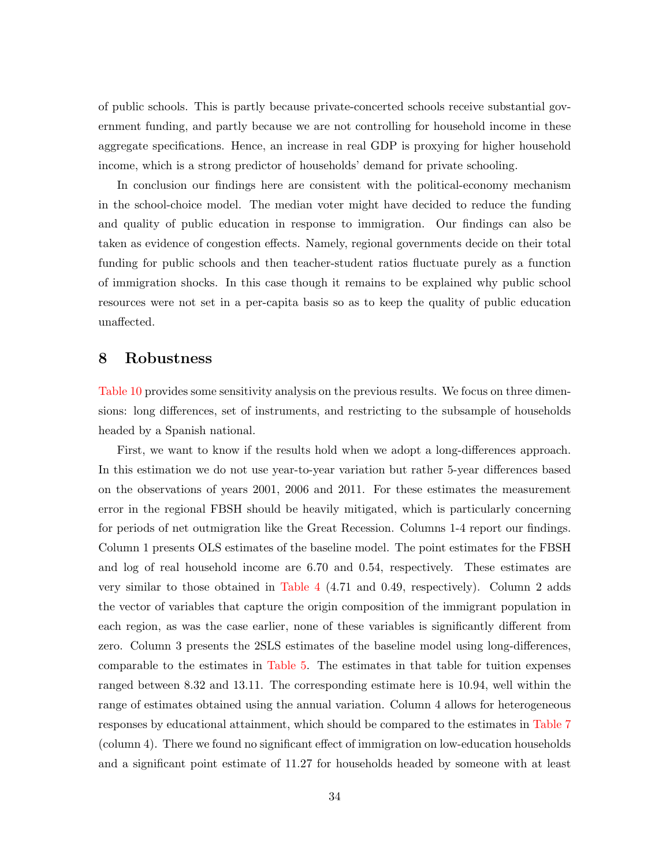of public schools. This is partly because private-concerted schools receive substantial government funding, and partly because we are not controlling for household income in these aggregate specifications. Hence, an increase in real GDP is proxying for higher household income, which is a strong predictor of households' demand for private schooling.

In conclusion our findings here are consistent with the political-economy mechanism in the school-choice model. The median voter might have decided to reduce the funding and quality of public education in response to immigration. Our findings can also be taken as evidence of congestion effects. Namely, regional governments decide on their total funding for public schools and then teacher-student ratios fluctuate purely as a function of immigration shocks. In this case though it remains to be explained why public school resources were not set in a per-capita basis so as to keep the quality of public education unaffected.

## 8 Robustness

[Table 10](#page-52-0) provides some sensitivity analysis on the previous results. We focus on three dimensions: long differences, set of instruments, and restricting to the subsample of households headed by a Spanish national.

First, we want to know if the results hold when we adopt a long-differences approach. In this estimation we do not use year-to-year variation but rather 5-year differences based on the observations of years 2001, 2006 and 2011. For these estimates the measurement error in the regional FBSH should be heavily mitigated, which is particularly concerning for periods of net outmigration like the Great Recession. Columns 1-4 report our findings. Column 1 presents OLS estimates of the baseline model. The point estimates for the FBSH and log of real household income are 6.70 and 0.54, respectively. These estimates are very similar to those obtained in [Table 4](#page-46-0) (4.71 and 0.49, respectively). Column 2 adds the vector of variables that capture the origin composition of the immigrant population in each region, as was the case earlier, none of these variables is significantly different from zero. Column 3 presents the 2SLS estimates of the baseline model using long-differences, comparable to the estimates in [Table 5.](#page-47-0) The estimates in that table for tuition expenses ranged between 8.32 and 13.11. The corresponding estimate here is 10.94, well within the range of estimates obtained using the annual variation. Column 4 allows for heterogeneous responses by educational attainment, which should be compared to the estimates in [Table 7](#page-49-0) (column 4). There we found no significant effect of immigration on low-education households and a significant point estimate of 11.27 for households headed by someone with at least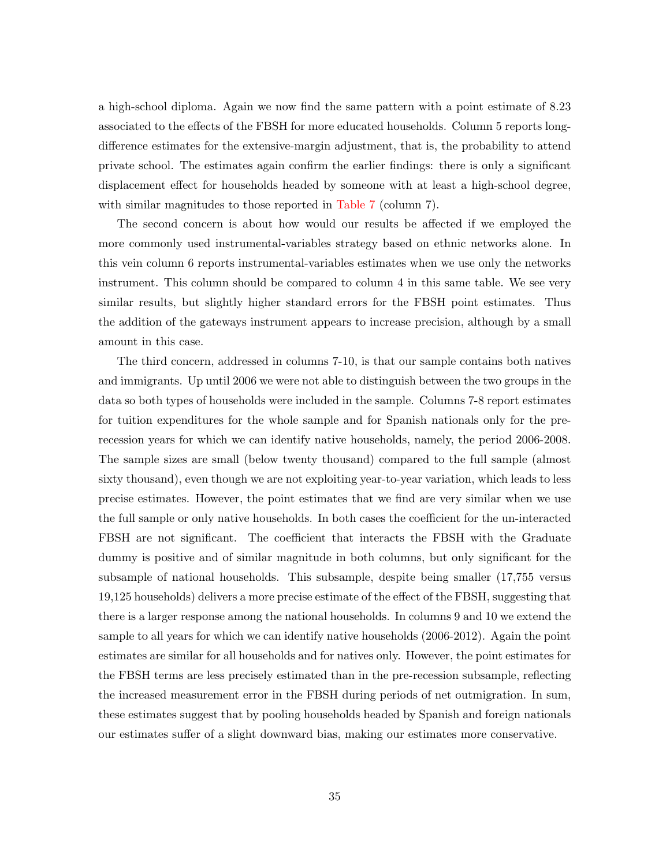a high-school diploma. Again we now find the same pattern with a point estimate of 8.23 associated to the effects of the FBSH for more educated households. Column 5 reports longdifference estimates for the extensive-margin adjustment, that is, the probability to attend private school. The estimates again confirm the earlier findings: there is only a significant displacement effect for households headed by someone with at least a high-school degree, with similar magnitudes to those reported in [Table 7](#page-49-0) (column 7).

The second concern is about how would our results be affected if we employed the more commonly used instrumental-variables strategy based on ethnic networks alone. In this vein column 6 reports instrumental-variables estimates when we use only the networks instrument. This column should be compared to column 4 in this same table. We see very similar results, but slightly higher standard errors for the FBSH point estimates. Thus the addition of the gateways instrument appears to increase precision, although by a small amount in this case.

The third concern, addressed in columns 7-10, is that our sample contains both natives and immigrants. Up until 2006 we were not able to distinguish between the two groups in the data so both types of households were included in the sample. Columns 7-8 report estimates for tuition expenditures for the whole sample and for Spanish nationals only for the prerecession years for which we can identify native households, namely, the period 2006-2008. The sample sizes are small (below twenty thousand) compared to the full sample (almost sixty thousand), even though we are not exploiting year-to-year variation, which leads to less precise estimates. However, the point estimates that we find are very similar when we use the full sample or only native households. In both cases the coefficient for the un-interacted FBSH are not significant. The coefficient that interacts the FBSH with the Graduate dummy is positive and of similar magnitude in both columns, but only significant for the subsample of national households. This subsample, despite being smaller (17,755 versus 19,125 households) delivers a more precise estimate of the effect of the FBSH, suggesting that there is a larger response among the national households. In columns 9 and 10 we extend the sample to all years for which we can identify native households (2006-2012). Again the point estimates are similar for all households and for natives only. However, the point estimates for the FBSH terms are less precisely estimated than in the pre-recession subsample, reflecting the increased measurement error in the FBSH during periods of net outmigration. In sum, these estimates suggest that by pooling households headed by Spanish and foreign nationals our estimates suffer of a slight downward bias, making our estimates more conservative.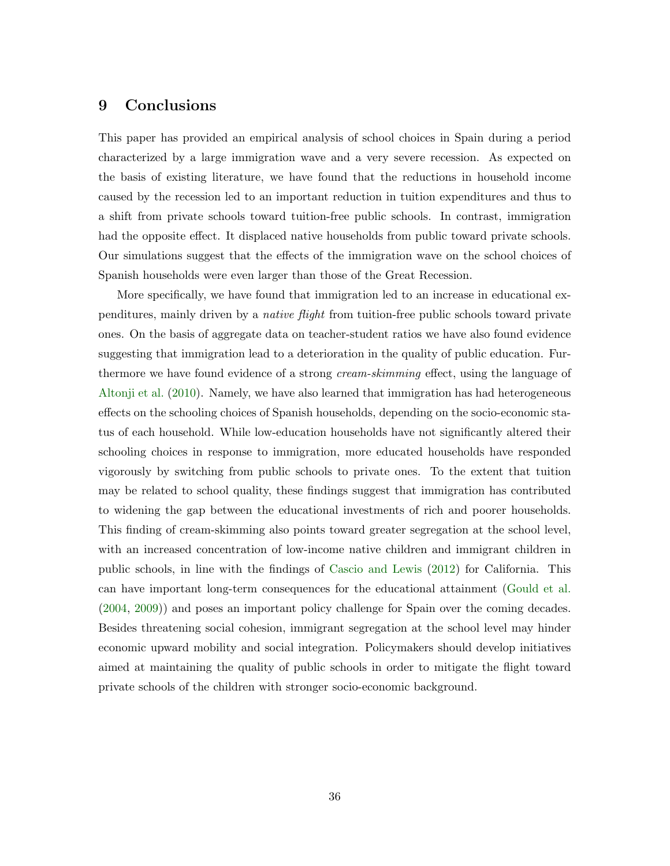## <span id="page-38-0"></span>9 Conclusions

This paper has provided an empirical analysis of school choices in Spain during a period characterized by a large immigration wave and a very severe recession. As expected on the basis of existing literature, we have found that the reductions in household income caused by the recession led to an important reduction in tuition expenditures and thus to a shift from private schools toward tuition-free public schools. In contrast, immigration had the opposite effect. It displaced native households from public toward private schools. Our simulations suggest that the effects of the immigration wave on the school choices of Spanish households were even larger than those of the Great Recession.

More specifically, we have found that immigration led to an increase in educational expenditures, mainly driven by a native flight from tuition-free public schools toward private ones. On the basis of aggregate data on teacher-student ratios we have also found evidence suggesting that immigration lead to a deterioration in the quality of public education. Furthermore we have found evidence of a strong *cream-skimming* effect, using the language of [Altonji et al.](#page-39-0) [\(2010\)](#page-39-0). Namely, we have also learned that immigration has had heterogeneous effects on the schooling choices of Spanish households, depending on the socio-economic status of each household. While low-education households have not significantly altered their schooling choices in response to immigration, more educated households have responded vigorously by switching from public schools to private ones. To the extent that tuition may be related to school quality, these findings suggest that immigration has contributed to widening the gap between the educational investments of rich and poorer households. This finding of cream-skimming also points toward greater segregation at the school level, with an increased concentration of low-income native children and immigrant children in public schools, in line with the findings of [Cascio and Lewis](#page-39-1) [\(2012\)](#page-39-1) for California. This can have important long-term consequences for the educational attainment [\(Gould et al.](#page-41-1) [\(2004,](#page-41-1) [2009\)](#page-41-0)) and poses an important policy challenge for Spain over the coming decades. Besides threatening social cohesion, immigrant segregation at the school level may hinder economic upward mobility and social integration. Policymakers should develop initiatives aimed at maintaining the quality of public schools in order to mitigate the flight toward private schools of the children with stronger socio-economic background.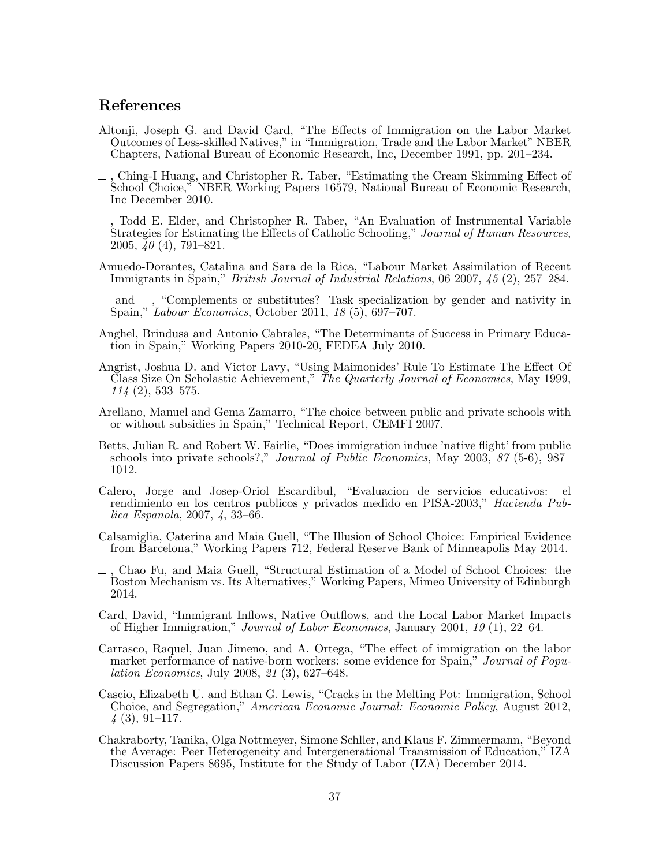## References

- <span id="page-39-11"></span>Altonji, Joseph G. and David Card, "The Effects of Immigration on the Labor Market Outcomes of Less-skilled Natives," in "Immigration, Trade and the Labor Market" NBER Chapters, National Bureau of Economic Research, Inc, December 1991, pp. 201–234.
- <span id="page-39-0"></span>, Ching-I Huang, and Christopher R. Taber, "Estimating the Cream Skimming Effect of School Choice," NBER Working Papers 16579, National Bureau of Economic Research, Inc December 2010.
- <span id="page-39-13"></span>, Todd E. Elder, and Christopher R. Taber, "An Evaluation of Instrumental Variable Strategies for Estimating the Effects of Catholic Schooling," Journal of Human Resources, 2005, 40 (4), 791–821.
- <span id="page-39-7"></span>Amuedo-Dorantes, Catalina and Sara de la Rica, "Labour Market Assimilation of Recent Immigrants in Spain," British Journal of Industrial Relations, 06 2007, 45 (2), 257–284.
- <span id="page-39-8"></span> $\Box$  and  $\Box$ , "Complements or substitutes? Task specialization by gender and nativity in Spain," Labour Economics, October 2011, 18 (5), 697–707.
- <span id="page-39-5"></span>Anghel, Brindusa and Antonio Cabrales, "The Determinants of Success in Primary Education in Spain," Working Papers 2010-20, FEDEA July 2010.
- <span id="page-39-15"></span>Angrist, Joshua D. and Victor Lavy, "Using Maimonides' Rule To Estimate The Effect Of Class Size On Scholastic Achievement," The Quarterly Journal of Economics, May 1999, 114 (2), 533–575.
- <span id="page-39-4"></span>Arellano, Manuel and Gema Zamarro, "The choice between public and private schools with or without subsidies in Spain," Technical Report, CEMFI 2007.
- <span id="page-39-2"></span>Betts, Julian R. and Robert W. Fairlie, "Does immigration induce 'native flight' from public schools into private schools?," Journal of Public Economics, May 2003, 87 (5-6), 987– 1012.
- <span id="page-39-10"></span>Calero, Jorge and Josep-Oriol Escardibul, "Evaluacion de servicios educativos: el rendimiento en los centros publicos y privados medido en PISA-2003," Hacienda Publica Espanola, 2007, 4, 33–66.
- <span id="page-39-14"></span>Calsamiglia, Caterina and Maia Guell, "The Illusion of School Choice: Empirical Evidence from Barcelona," Working Papers 712, Federal Reserve Bank of Minneapolis May 2014.
- <span id="page-39-6"></span>, Chao Fu, and Maia Guell, "Structural Estimation of a Model of School Choices: the  $\overline{\phantom{0}}$ Boston Mechanism vs. Its Alternatives," Working Papers, Mimeo University of Edinburgh 2014.
- <span id="page-39-12"></span>Card, David, "Immigrant Inflows, Native Outflows, and the Local Labor Market Impacts of Higher Immigration," Journal of Labor Economics, January 2001, 19 (1), 22–64.
- <span id="page-39-9"></span>Carrasco, Raquel, Juan Jimeno, and A. Ortega, "The effect of immigration on the labor market performance of native-born workers: some evidence for Spain," Journal of Population Economics, July 2008, 21 (3), 627–648.
- <span id="page-39-1"></span>Cascio, Elizabeth U. and Ethan G. Lewis, "Cracks in the Melting Pot: Immigration, School Choice, and Segregation," American Economic Journal: Economic Policy, August 2012,  $\downarrow$  (3), 91–117.
- <span id="page-39-3"></span>Chakraborty, Tanika, Olga Nottmeyer, Simone Schller, and Klaus F. Zimmermann, "Beyond the Average: Peer Heterogeneity and Intergenerational Transmission of Education," IZA Discussion Papers 8695, Institute for the Study of Labor (IZA) December 2014.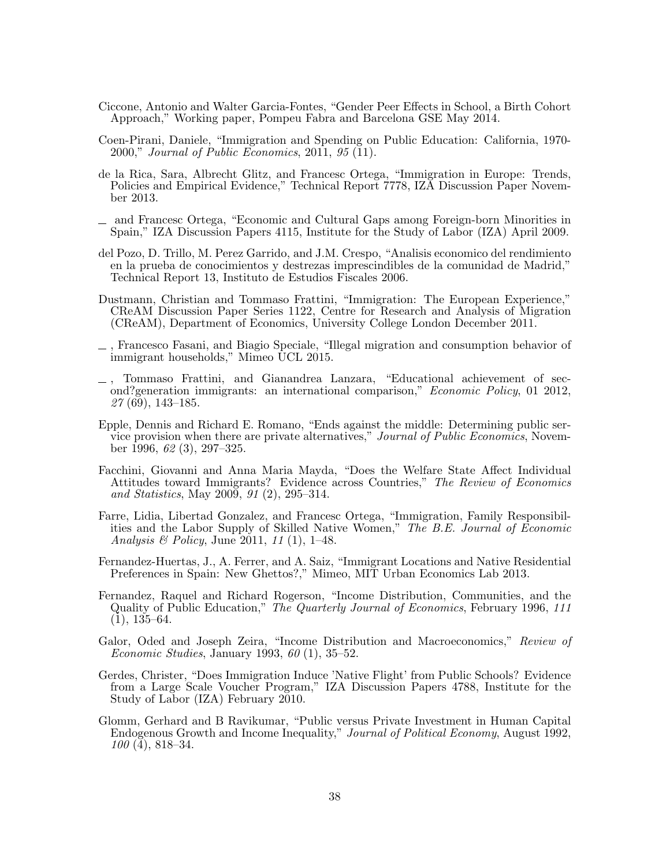- <span id="page-40-9"></span>Ciccone, Antonio and Walter Garcia-Fontes, "Gender Peer Effects in School, a Birth Cohort Approach," Working paper, Pompeu Fabra and Barcelona GSE May 2014.
- <span id="page-40-14"></span>Coen-Pirani, Daniele, "Immigration and Spending on Public Education: California, 1970- 2000," Journal of Public Economics, 2011, 95 (11).
- <span id="page-40-7"></span>de la Rica, Sara, Albrecht Glitz, and Francesc Ortega, "Immigration in Europe: Trends, Policies and Empirical Evidence," Technical Report 7778, IZA Discussion Paper November 2013.
- <span id="page-40-13"></span>and Francesc Ortega, "Economic and Cultural Gaps among Foreign-born Minorities in Spain," IZA Discussion Papers 4115, Institute for the Study of Labor (IZA) April 2009.
- <span id="page-40-12"></span>del Pozo, D. Trillo, M. Perez Garrido, and J.M. Crespo, "Analisis economico del rendimiento en la prueba de conocimientos y destrezas imprescindibles de la comunidad de Madrid," Technical Report 13, Instituto de Estudios Fiscales 2006.
- <span id="page-40-6"></span>Dustmann, Christian and Tommaso Frattini, "Immigration: The European Experience," CReAM Discussion Paper Series 1122, Centre for Research and Analysis of Migration (CReAM), Department of Economics, University College London December 2011.
- <span id="page-40-4"></span>, Francesco Fasani, and Biagio Speciale, "Illegal migration and consumption behavior of immigrant households," Mimeo UCL 2015.
- <span id="page-40-0"></span>, Tommaso Frattini, and Gianandrea Lanzara, "Educational achievement of second?generation immigrants: an international comparison," Economic Policy, 01 2012, 27 (69), 143–185.
- <span id="page-40-5"></span>Epple, Dennis and Richard E. Romano, "Ends against the middle: Determining public service provision when there are private alternatives," Journal of Public Economics, November 1996, 62 (3), 297–325.
- Facchini, Giovanni and Anna Maria Mayda, "Does the Welfare State Affect Individual Attitudes toward Immigrants? Evidence across Countries," The Review of Economics and Statistics, May 2009, 91 (2), 295–314.
- <span id="page-40-10"></span>Farre, Lidia, Libertad Gonzalez, and Francesc Ortega, "Immigration, Family Responsibilities and the Labor Supply of Skilled Native Women," The B.E. Journal of Economic Analysis & Policy, June 2011, 11 (1), 1–48.
- <span id="page-40-11"></span>Fernandez-Huertas, J., A. Ferrer, and A. Saiz, "Immigrant Locations and Native Residential Preferences in Spain: New Ghettos?," Mimeo, MIT Urban Economics Lab 2013.
- <span id="page-40-3"></span>Fernandez, Raquel and Richard Rogerson, "Income Distribution, Communities, and the Quality of Public Education," The Quarterly Journal of Economics, February 1996, 111  $(1), 135-64.$
- <span id="page-40-2"></span>Galor, Oded and Joseph Zeira, "Income Distribution and Macroeconomics," Review of Economic Studies, January 1993, 60 (1), 35–52.
- <span id="page-40-8"></span>Gerdes, Christer, "Does Immigration Induce 'Native Flight' from Public Schools? Evidence from a Large Scale Voucher Program," IZA Discussion Papers 4788, Institute for the Study of Labor (IZA) February 2010.
- <span id="page-40-1"></span>Glomm, Gerhard and B Ravikumar, "Public versus Private Investment in Human Capital Endogenous Growth and Income Inequality," Journal of Political Economy, August 1992, 100 (4), 818–34.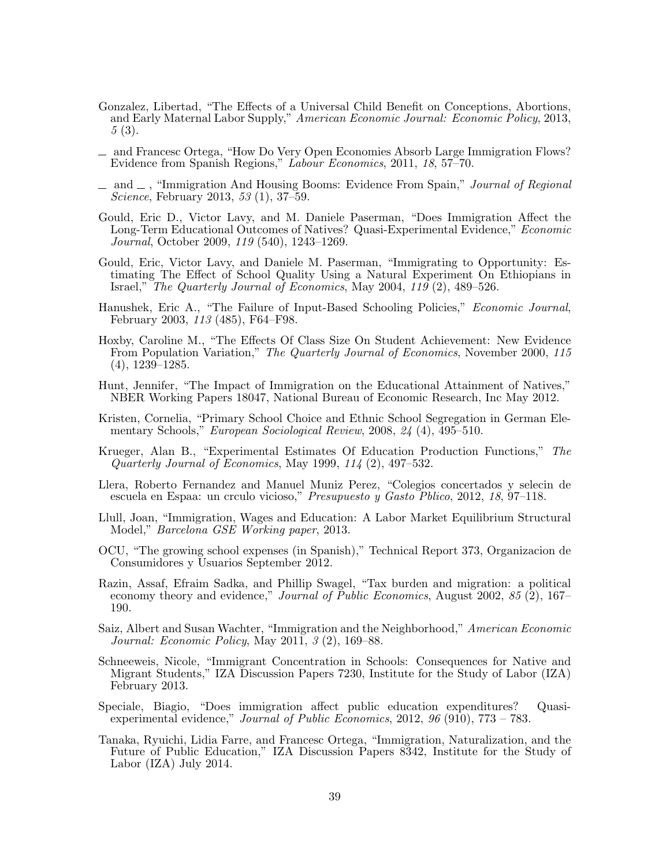- <span id="page-41-11"></span>Gonzalez, Libertad, "The Effects of a Universal Child Benefit on Conceptions, Abortions, and Early Maternal Labor Supply," American Economic Journal: Economic Policy, 2013, 5 (3).
- <span id="page-41-7"></span>and Francesc Ortega, "How Do Very Open Economies Absorb Large Immigration Flows? Evidence from Spanish Regions," Labour Economics, 2011, 18, 57–70.
- <span id="page-41-10"></span> $\Box$  and  $\Box$ , "Immigration And Housing Booms: Evidence From Spain," Journal of Regional Science, February 2013, 53 (1), 37–59.
- <span id="page-41-0"></span>Gould, Eric D., Victor Lavy, and M. Daniele Paserman, "Does Immigration Affect the Long-Term Educational Outcomes of Natives? Quasi-Experimental Evidence," Economic Journal, October 2009, 119 (540), 1243–1269.
- <span id="page-41-1"></span>Gould, Eric, Victor Lavy, and Daniele M. Paserman, "Immigrating to Opportunity: Estimating The Effect of School Quality Using a Natural Experiment On Ethiopians in Israel," The Quarterly Journal of Economics, May 2004, 119 (2), 489–526.
- <span id="page-41-15"></span>Hanushek, Eric A., "The Failure of Input-Based Schooling Policies," Economic Journal, February 2003, 113 (485), F64–F98.
- <span id="page-41-17"></span>Hoxby, Caroline M., "The Effects Of Class Size On Student Achievement: New Evidence From Population Variation," The Quarterly Journal of Economics, November 2000, 115 (4), 1239–1285.
- <span id="page-41-5"></span>Hunt, Jennifer, "The Impact of Immigration on the Educational Attainment of Natives," NBER Working Papers 18047, National Bureau of Economic Research, Inc May 2012.
- <span id="page-41-2"></span>Kristen, Cornelia, "Primary School Choice and Ethnic School Segregation in German Elementary Schools," European Sociological Review, 2008, 24 (4), 495–510.
- <span id="page-41-16"></span>Krueger, Alan B., "Experimental Estimates Of Education Production Functions," The Quarterly Journal of Economics, May 1999, 114 (2), 497–532.
- <span id="page-41-9"></span>Llera, Roberto Fernandez and Manuel Muniz Perez, "Colegios concertados y selecin de escuela en Espaa: un crculo vicioso," Presupuesto y Gasto Pblico, 2012, 18, 97–118.
- <span id="page-41-6"></span>Llull, Joan, "Immigration, Wages and Education: A Labor Market Equilibrium Structural Model," Barcelona GSE Working paper, 2013.
- <span id="page-41-8"></span>OCU, "The growing school expenses (in Spanish)," Technical Report 373, Organizacion de Consumidores y Usuarios September 2012.
- <span id="page-41-13"></span>Razin, Assaf, Efraim Sadka, and Phillip Swagel, "Tax burden and migration: a political economy theory and evidence," *Journal of Public Economics*, August 2002, 85 (2), 167– 190.
- <span id="page-41-4"></span>Saiz, Albert and Susan Wachter, "Immigration and the Neighborhood," American Economic Journal: Economic Policy, May 2011, 3 (2), 169–88.
- <span id="page-41-3"></span>Schneeweis, Nicole, "Immigrant Concentration in Schools: Consequences for Native and Migrant Students," IZA Discussion Papers 7230, Institute for the Study of Labor (IZA) February 2013.
- <span id="page-41-14"></span>Speciale, Biagio, "Does immigration affect public education expenditures? Quasiexperimental evidence," Journal of Public Economics, 2012, 96 (910), 773 – 783.
- <span id="page-41-12"></span>Tanaka, Ryuichi, Lidia Farre, and Francesc Ortega, "Immigration, Naturalization, and the Future of Public Education," IZA Discussion Papers 8342, Institute for the Study of Labor (IZA) July 2014.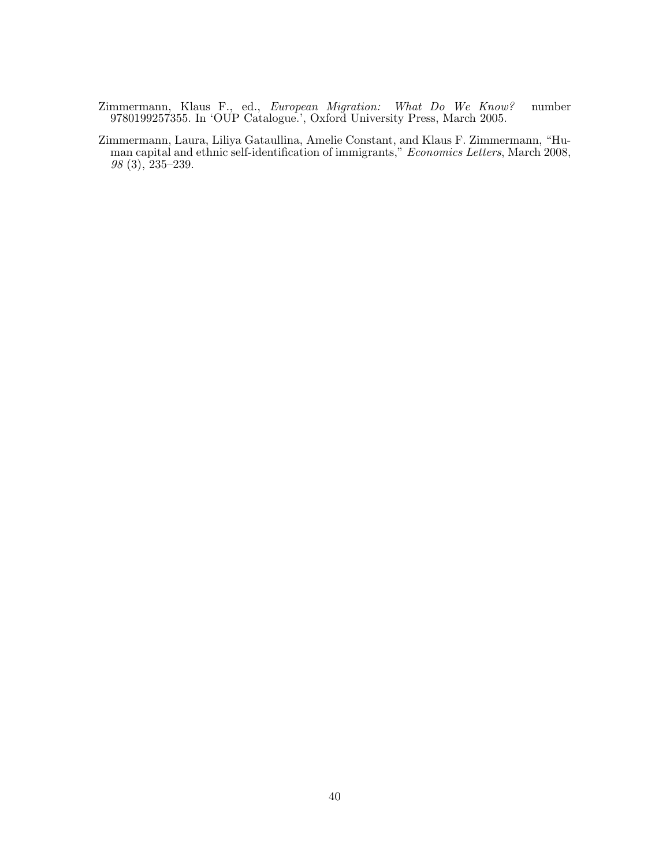<span id="page-42-1"></span>Zimmermann, Klaus F., ed., *European Migration: What Do We Know?* number 9780199257355. In 'OUP Catalogue.', Oxford University Press, March 2005.

<span id="page-42-0"></span>Zimmermann, Laura, Liliya Gataullina, Amelie Constant, and Klaus F. Zimmermann, "Human capital and ethnic self-identification of immigrants," *Economics Letters*, March 2008, 98 (3), 235–239.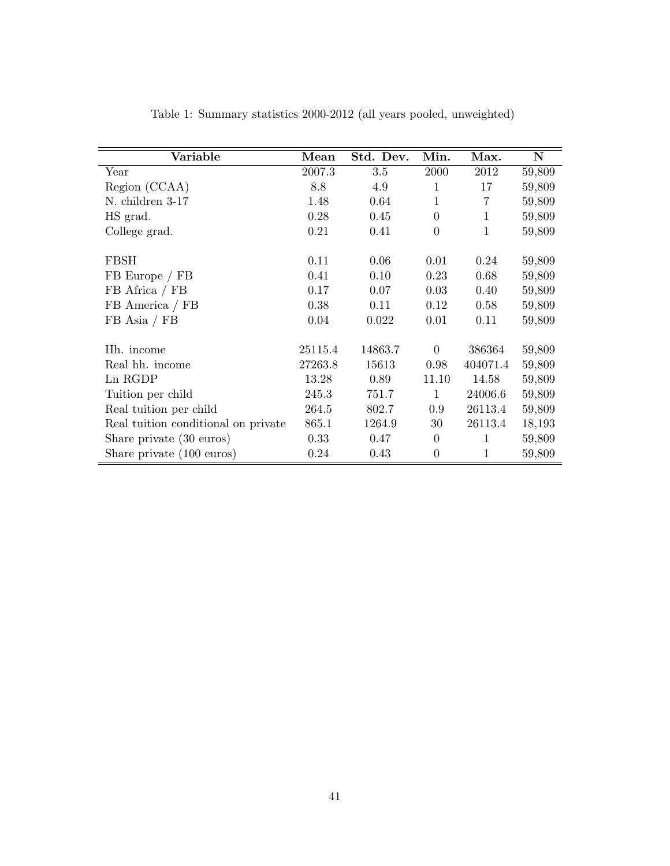| Variable                            | Mean    | Std. Dev. | Min.             | Max.     | $\mathbf N$ |
|-------------------------------------|---------|-----------|------------------|----------|-------------|
| Year                                | 2007.3  | 3.5       | 2000             | 2012     | 59,809      |
| Region (CCAA)                       | 8.8     | 4.9       | $\mathbf{1}$     | 17       | 59,809      |
| N. children 3-17                    | 1.48    | 0.64      | 1                | 7        | 59,809      |
| HS grad.                            | 0.28    | 0.45      | $\theta$         | 1        | 59,809      |
| College grad.                       | 0.21    | 0.41      | $\boldsymbol{0}$ | 1        | 59,809      |
| FBSH                                | 0.11    | 0.06      | 0.01             | 0.24     | 59,809      |
| FB Europe / FB                      | 0.41    | 0.10      | 0.23             | 0.68     | 59,809      |
| FB Africa / FB                      | 0.17    | 0.07      | 0.03             | 0.40     | 59,809      |
| FB America / FB                     | 0.38    | 0.11      | 0.12             | 0.58     | 59,809      |
| $FB$ Asia / $FB$                    | 0.04    | 0.022     | 0.01             | 0.11     | 59,809      |
| Hh. income                          | 25115.4 | 14863.7   | $\overline{0}$   | 386364   | 59,809      |
| Real hh. income                     | 27263.8 | 15613     | 0.98             | 404071.4 | 59,809      |
| Ln RGDP                             | 13.28   | 0.89      | 11.10            | 14.58    | 59,809      |
| Tuition per child                   | 245.3   | 751.7     | $\mathbf{1}$     | 24006.6  | 59,809      |
| Real tuition per child              | 264.5   | 802.7     | 0.9              | 26113.4  | 59,809      |
| Real tuition conditional on private | 865.1   | 1264.9    | 30               | 26113.4  | 18,193      |
| Share private (30 euros)            | 0.33    | 0.47      | $\overline{0}$   | 1        | 59,809      |
| Share private (100 euros)           | 0.24    | 0.43      | $\boldsymbol{0}$ | 1        | 59,809      |

<span id="page-43-0"></span>Table 1: Summary statistics 2000-2012 (all years pooled, unweighted)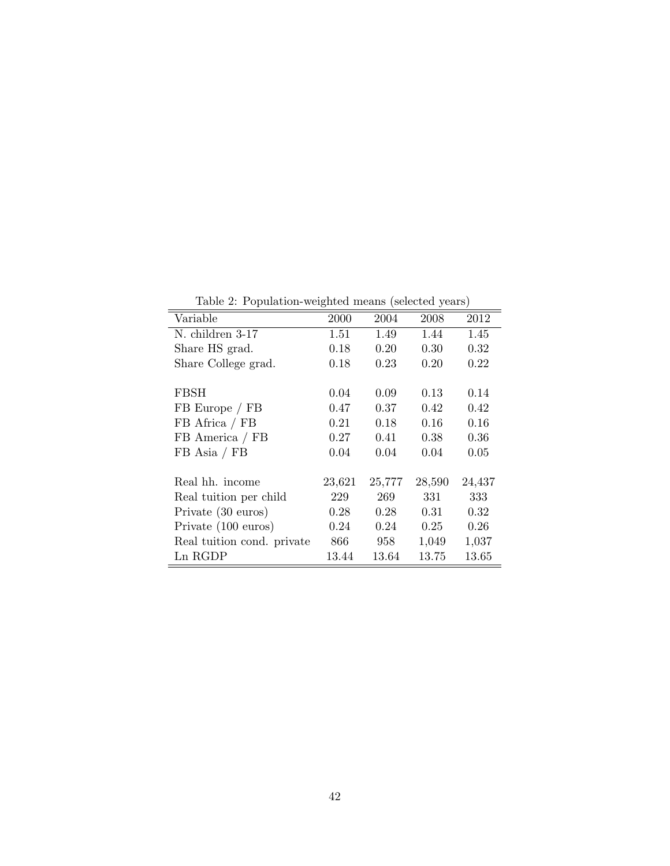Table 2: Population-weighted means (selected years)

<span id="page-44-0"></span>

| Variable                   | 2000   | 2004   | 2008   | 2012   |
|----------------------------|--------|--------|--------|--------|
| N. children 3-17           | 1.51   | 1.49   | 1.44   | 1.45   |
| Share HS grad.             | 0.18   | 0.20   | 0.30   | 0.32   |
| Share College grad.        | 0.18   | 0.23   | 0.20   | 0.22   |
|                            |        |        |        |        |
| FBSH                       | 0.04   | 0.09   | 0.13   | 0.14   |
| FB Europe / FB             | 0.47   | 0.37   | 0.42   | 0.42   |
| FB Africa / FB             | 0.21   | 0.18   | 0.16   | 0.16   |
| FB America / FB            | 0.27   | 0.41   | 0.38   | 0.36   |
| $FB$ Asia / $FB$           | 0.04   | 0.04   | 0.04   | 0.05   |
|                            |        |        |        |        |
| Real hh. income            | 23,621 | 25,777 | 28,590 | 24,437 |
| Real tuition per child     | 229    | 269    | 331    | 333    |
| Private (30 euros)         | 0.28   | 0.28   | 0.31   | 0.32   |
| Private (100 euros)        | 0.24   | 0.24   | 0.25   | 0.26   |
| Real tuition cond. private | 866    | 958    | 1,049  | 1,037  |
| Ln RGDP                    | 13.44  | 13.64  | 13.75  | 13.65  |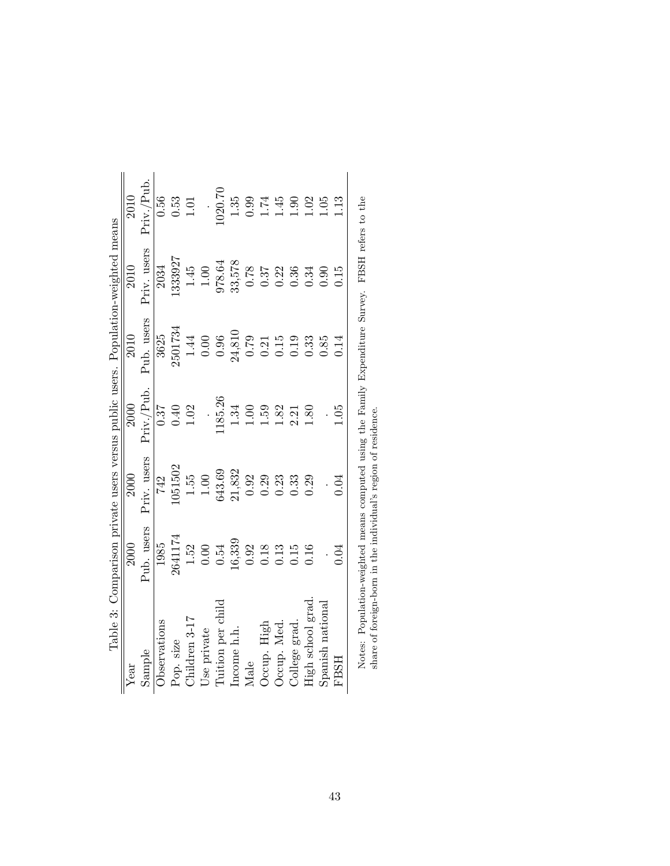<span id="page-45-0"></span>

|                                                                                  | 2010 | Priv./Pub.  | 0.56         | 0.53      | 1.01          |             | 020.70            | 1.35        | 0.99 | 174         | $-45$       | 9.<br>0       | 0.02              | $-05$            | $\frac{13}{2}$<br>0.15 |                                                                                                                                                                     |
|----------------------------------------------------------------------------------|------|-------------|--------------|-----------|---------------|-------------|-------------------|-------------|------|-------------|-------------|---------------|-------------------|------------------|------------------------|---------------------------------------------------------------------------------------------------------------------------------------------------------------------|
|                                                                                  | 2010 | Priv. users | 2034         | 1333927   | 1.45          | 1.00        | 978.64            | 33,578      | 0.78 | 0.37        | 0.22        | 0.36          | 0.34              | 0.90             |                        |                                                                                                                                                                     |
|                                                                                  | 2010 | Pub. users  | 3625         | 2501734   | 1.44          | $0.00$      | 0.96              | 24,810      | 0.79 | 0.21        | 0.15        | 0.19          | 0.33              | 0.85             |                        |                                                                                                                                                                     |
|                                                                                  | 2000 | Priv./Pub.  | 0.37         | 0.40      | 1.02          |             | 185.26            | 1.34        | 0.00 | 1.59        | 1.82        | 2.21          | 1.80              |                  | 0.05                   |                                                                                                                                                                     |
|                                                                                  | 2000 | Priv. users | 742          | 1051502   | 1.55          | $1.00$      | 643.69            | 21,832      | 0.92 | 0.29        | 0.23        | 0.33          | 0.29              |                  | 0.04                   |                                                                                                                                                                     |
| Table 3: Comparison private users versus public users. Population-weighted means | 2000 | Pub. users  | 1985         | 2641174   | $1.52\,$      | $0.00\,$    | 0.54              | 16,339      | 0.92 | 0.18        | 0.13        | 0.15          | 0.16              |                  | 0.04                   |                                                                                                                                                                     |
|                                                                                  | Year | Sample      | Observations | Pop. size | Children 3-17 | Use private | Tuition per child | Income h.h. | Male | Occup. High | Occup. Med. | College grad. | High school grad. | Spanish national | <b>FBSH</b>            | Notes: Population-weighted means computed using the Family Expenditure Survey. FBSH refers to the<br>share of foreign-born in the individual's region of residence. |

| $\frac{1}{2}$<br>j                                                                                                                                                                                                                            |                          |
|-----------------------------------------------------------------------------------------------------------------------------------------------------------------------------------------------------------------------------------------------|--------------------------|
| I                                                                                                                                                                                                                                             |                          |
| in the contract of the contract of the contract of the contract of the contract of the contract of the contract of the contract of the contract of the contract of the contract of the contract of the contract of the contrac<br>I<br>j<br>: |                          |
| į                                                                                                                                                                                                                                             | ١<br>ׇ֚֘֡<br>:<br>:<br>: |
| I                                                                                                                                                                                                                                             | í<br>1                   |
| ؟<br>∔<br>)<br>ś                                                                                                                                                                                                                              |                          |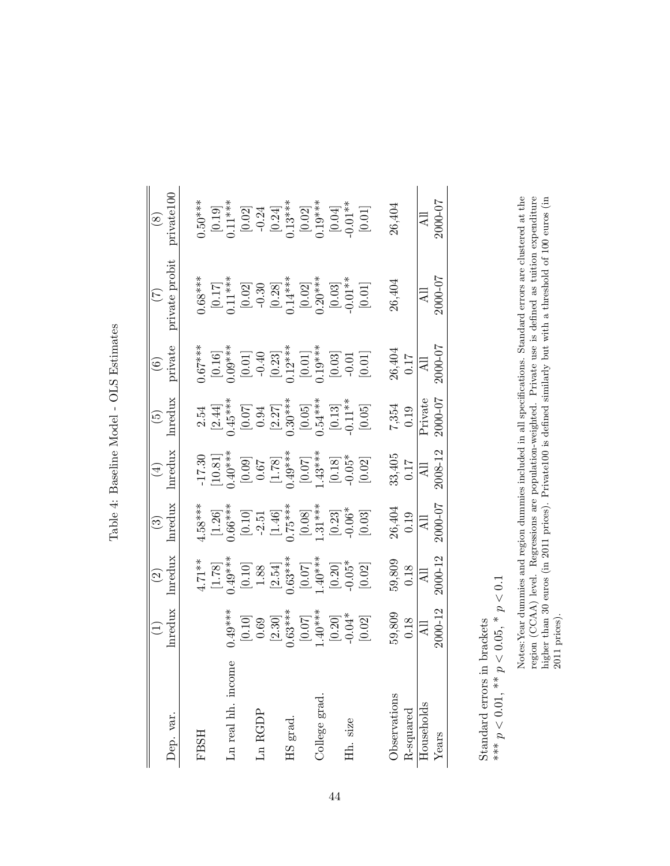| Dep. var.<br><b>FBSH</b> |                                                                                                                | $\odot$                                                                                                                         | $\odot$                                                                                                                                                                                                                                                                                                                                       | $\bigoplus$                                                                                                                                                                                                                                                                                           | $\widetilde{G}$                                                                                                                                                                                                                                                                                                |                                                                                                                                                                                                                                                                                                                   | $(\zeta)$                                                                                                                                                                                    |                                                                                                                                                                                                                                                                                                                                |
|--------------------------|----------------------------------------------------------------------------------------------------------------|---------------------------------------------------------------------------------------------------------------------------------|-----------------------------------------------------------------------------------------------------------------------------------------------------------------------------------------------------------------------------------------------------------------------------------------------------------------------------------------------|-------------------------------------------------------------------------------------------------------------------------------------------------------------------------------------------------------------------------------------------------------------------------------------------------------|----------------------------------------------------------------------------------------------------------------------------------------------------------------------------------------------------------------------------------------------------------------------------------------------------------------|-------------------------------------------------------------------------------------------------------------------------------------------------------------------------------------------------------------------------------------------------------------------------------------------------------------------|----------------------------------------------------------------------------------------------------------------------------------------------------------------------------------------------|--------------------------------------------------------------------------------------------------------------------------------------------------------------------------------------------------------------------------------------------------------------------------------------------------------------------------------|
|                          |                                                                                                                |                                                                                                                                 |                                                                                                                                                                                                                                                                                                                                               |                                                                                                                                                                                                                                                                                                       |                                                                                                                                                                                                                                                                                                                | $\left( \widehat{\mathcal{O}}\right)$                                                                                                                                                                                                                                                                             |                                                                                                                                                                                              | $\circledast$                                                                                                                                                                                                                                                                                                                  |
|                          | hredux                                                                                                         | hredux                                                                                                                          | nredux                                                                                                                                                                                                                                                                                                                                        | Inredux                                                                                                                                                                                                                                                                                               | Inredux                                                                                                                                                                                                                                                                                                        | private                                                                                                                                                                                                                                                                                                           | private probit                                                                                                                                                                               | private100                                                                                                                                                                                                                                                                                                                     |
|                          |                                                                                                                |                                                                                                                                 | $4.58***$                                                                                                                                                                                                                                                                                                                                     |                                                                                                                                                                                                                                                                                                       |                                                                                                                                                                                                                                                                                                                |                                                                                                                                                                                                                                                                                                                   |                                                                                                                                                                                              | $0.50***$                                                                                                                                                                                                                                                                                                                      |
|                          |                                                                                                                |                                                                                                                                 |                                                                                                                                                                                                                                                                                                                                               |                                                                                                                                                                                                                                                                                                       |                                                                                                                                                                                                                                                                                                                |                                                                                                                                                                                                                                                                                                                   |                                                                                                                                                                                              |                                                                                                                                                                                                                                                                                                                                |
| me<br>Ln real hh. inco   |                                                                                                                |                                                                                                                                 |                                                                                                                                                                                                                                                                                                                                               |                                                                                                                                                                                                                                                                                                       |                                                                                                                                                                                                                                                                                                                |                                                                                                                                                                                                                                                                                                                   |                                                                                                                                                                                              |                                                                                                                                                                                                                                                                                                                                |
|                          |                                                                                                                |                                                                                                                                 |                                                                                                                                                                                                                                                                                                                                               |                                                                                                                                                                                                                                                                                                       |                                                                                                                                                                                                                                                                                                                |                                                                                                                                                                                                                                                                                                                   |                                                                                                                                                                                              |                                                                                                                                                                                                                                                                                                                                |
| $Ln$ $RGDP$              |                                                                                                                |                                                                                                                                 |                                                                                                                                                                                                                                                                                                                                               |                                                                                                                                                                                                                                                                                                       |                                                                                                                                                                                                                                                                                                                |                                                                                                                                                                                                                                                                                                                   |                                                                                                                                                                                              |                                                                                                                                                                                                                                                                                                                                |
|                          |                                                                                                                |                                                                                                                                 |                                                                                                                                                                                                                                                                                                                                               |                                                                                                                                                                                                                                                                                                       |                                                                                                                                                                                                                                                                                                                |                                                                                                                                                                                                                                                                                                                   |                                                                                                                                                                                              |                                                                                                                                                                                                                                                                                                                                |
| HS grad.                 |                                                                                                                |                                                                                                                                 |                                                                                                                                                                                                                                                                                                                                               |                                                                                                                                                                                                                                                                                                       |                                                                                                                                                                                                                                                                                                                |                                                                                                                                                                                                                                                                                                                   |                                                                                                                                                                                              |                                                                                                                                                                                                                                                                                                                                |
|                          |                                                                                                                |                                                                                                                                 |                                                                                                                                                                                                                                                                                                                                               |                                                                                                                                                                                                                                                                                                       |                                                                                                                                                                                                                                                                                                                |                                                                                                                                                                                                                                                                                                                   |                                                                                                                                                                                              |                                                                                                                                                                                                                                                                                                                                |
| College grad.            |                                                                                                                |                                                                                                                                 |                                                                                                                                                                                                                                                                                                                                               |                                                                                                                                                                                                                                                                                                       |                                                                                                                                                                                                                                                                                                                |                                                                                                                                                                                                                                                                                                                   |                                                                                                                                                                                              |                                                                                                                                                                                                                                                                                                                                |
|                          |                                                                                                                |                                                                                                                                 |                                                                                                                                                                                                                                                                                                                                               |                                                                                                                                                                                                                                                                                                       |                                                                                                                                                                                                                                                                                                                |                                                                                                                                                                                                                                                                                                                   |                                                                                                                                                                                              |                                                                                                                                                                                                                                                                                                                                |
| Hh. size                 |                                                                                                                |                                                                                                                                 |                                                                                                                                                                                                                                                                                                                                               |                                                                                                                                                                                                                                                                                                       |                                                                                                                                                                                                                                                                                                                |                                                                                                                                                                                                                                                                                                                   |                                                                                                                                                                                              |                                                                                                                                                                                                                                                                                                                                |
|                          | $(1,49***)$<br>$[0.10]$<br>$(0.30)$<br>$(2.30)$<br>$(0.63***)$<br>$[0.07]$<br>$[0.20]$<br>$[0.20]$<br>$[0.20]$ | $4.71**$<br>$[1.78]$<br>$[1.78]$<br>$[0.10]$<br>$[0.88$<br>$[0.10]$<br>$[0.34]$<br>$[0.07]$<br>$[0.05*$<br>$[0.05]$<br>$[0.05]$ | $\begin{array}{l} [1.26] \\[-2.2cm] 0.66^{***} \\[-2.2cm] [0.10] \\[-2.5cm] -2.51 \\[-2.5cm] [-1.46] \\[-2.5cm] [-1.46] \\[-2.5cm] [-2.5] \\[-2.5cm] [-2.5] \\[-2.5cm] [-2.5] \\[-2.5cm] [-2.5] \\[-2.5cm] [-2.5] \\[-2.5cm] [-2.5] \\[-2.5cm] [-2.5] \\[-2.5cm] [-2.5] \\[-2.5cm] [-2.5] \\[-2.5cm] [-2.5] \\[-2.5cm] [-2.5] \\[-2.5cm] [-2$ | $\begin{bmatrix} 1.7.30 \\ 10.81 \\ 0.09 \\ 0.67 \\ 0.78 \\ 0.07 \\ 0.07 \\ 0.07 \\ 0.07 \\ 0.07 \\ 0.07 \\ 0.07 \\ 0.05^* \\ 0.05^* \\ 0.05^* \\ 0.05^* \\ 0.02 \\ 0.02 \\ 0.02 \\ 0.02 \\ 0.02 \\ 0.03 \\ 0.04 \\ 0.05^* \\ 0.05^* \\ 0.05^* \\ 0.05^* \\ 0.05^* \\ 0.05^* \\ 0.05^* \\ 0.05^* \\ $ | $\begin{array}{c} 2.54 \\[-2.5mm] 2.44] \\[-2.5mm] 0.45^{***} \\[-2.5mm] 0.07 \\[-2.5mm] 0.07 \\[-2.5mm] 0.07 \\[-2.5mm] 0.07 \\[-2.5mm] 0.05 \\[-2.5mm] 0.05 \\[-2.5mm] 0.07 \\[-2.5mm] 0.07 \\[-2.5mm] 0.07 \\[-2.5mm] 0.07 \\[-2.5mm] 0.05 \\[-2.5mm] 0.05 \\[-2.5mm] 0.05 \\[-2.5mm] 0.05 \\[-2.5mm] 0.07$ | $\begin{array}{l} 0.67^{***} \\[-2.0ex] 0.16] \\[-2.0ex] 0.09^{***} \\[-2.0ex] 0.01] \\[-2.0ex] 0.03] \\[-2.0ex] 0.01 \\[-2.0ex] 0.01 \\[-2.0ex] 0.01 \\[-2.0ex] 0.01 \\[-2.0ex] 0.01 \\[-2.0ex] 0.01 \\[-2.0ex] 0.01 \\[-2.0ex] 0.01 \\[-2.0ex] 0.01 \\[-2.0ex] 0.01 \\[-2.0ex] 0.01 \\[-2.0ex] 0.01 \\[-2.0ex]$ | $\begin{array}{l} 0.68^{***} \\ [0.17] \\ [0.23] \\ [0.02] \\ [0.03] \\ [0.02] \\ [0.02] \\ [0.02] \\ [0.03] \\ [0.03] \\ [0.03] \\ [0.03] \\ [0.01^{**} \\ [0.01] \\ [0.01] \\ \end{array}$ | $\begin{bmatrix} 0.19 \\ 0.13 \\ 0.02 \\ -0.24 \\ 0.24 \\ 0.13*** \\ 0.02 \\ 0.03** \\ 0.04 \\ 0.04 \\ 0.04 \\ 0.04 \\ 0.01** \\ 0.04 \\ 0.01** \\ 0.01** \\ 0.01** \\ 0.01** \\ 0.01** \\ 0.01** \\ 0.01** \\ 0.01** \\ 0.01** \\ 0.01** \\ 0.01** \\ 0.01** \\ 0.01** \\ 0.01** \\ 0.01** \\ 0.01** \\ 0.01** \\ 0.01** \\ $ |
| Observations             |                                                                                                                |                                                                                                                                 |                                                                                                                                                                                                                                                                                                                                               |                                                                                                                                                                                                                                                                                                       |                                                                                                                                                                                                                                                                                                                |                                                                                                                                                                                                                                                                                                                   | 26,404                                                                                                                                                                                       | 26,404                                                                                                                                                                                                                                                                                                                         |
| R-squared                | 59,809<br>0.18                                                                                                 | $\frac{59,809}{0.18}$                                                                                                           | $26,404$<br>0.19                                                                                                                                                                                                                                                                                                                              | $33,405$<br>0.17                                                                                                                                                                                                                                                                                      | $7,354$<br>0.19                                                                                                                                                                                                                                                                                                | 26,404<br>0.17                                                                                                                                                                                                                                                                                                    |                                                                                                                                                                                              |                                                                                                                                                                                                                                                                                                                                |
| Households               | $\overline{a}$                                                                                                 |                                                                                                                                 | $\overline{AB}$                                                                                                                                                                                                                                                                                                                               | $\overline{\Xi}$                                                                                                                                                                                                                                                                                      | $\overline{\mathsf{Private}}$                                                                                                                                                                                                                                                                                  | $\overline{AB}$                                                                                                                                                                                                                                                                                                   | $\Xi$                                                                                                                                                                                        |                                                                                                                                                                                                                                                                                                                                |
| Years                    | $2000 - 12$                                                                                                    | 2000-12                                                                                                                         | 200005                                                                                                                                                                                                                                                                                                                                        | 2008-12                                                                                                                                                                                                                                                                                               | 2000-07                                                                                                                                                                                                                                                                                                        | 2000017                                                                                                                                                                                                                                                                                                           | 2000-07                                                                                                                                                                                      | All<br>2000-07                                                                                                                                                                                                                                                                                                                 |

| ŀ                |
|------------------|
| てーく              |
|                  |
|                  |
| ı<br>J<br>ļ<br>l |
| į                |
|                  |
| ٦<br>֚           |
| j<br>I           |
| İ                |
| ֠                |
|                  |

<span id="page-46-0"></span> $\begin{array}{l} \text{Standard errors in brackets} \\ \ast \ast \ast \, p < 0.01, \, \ast \ast \, p < 0.05, \, \ast \, p < 0.1 \end{array}$  $** * p < 0.01, * p < 0.05, * p < 0.1$ Standard errors in brackets

Notes: Year dummies and region dummies included in all specifications. Standard errors are clustered at the region (CCAA) level. Regressions are population-weighted. Private use is defined as tuition expenditure higher th Notes:Year dummies and region dummies included in all specifications. Standard errors are clustered at the region (CCAA) level. Regressions are population-weighted. Private use is defined as tuition expenditure higher than 30 euros (in 2011 prices). Private100 is defined similarly but with a threshold of 100 euros (in 2011 prices).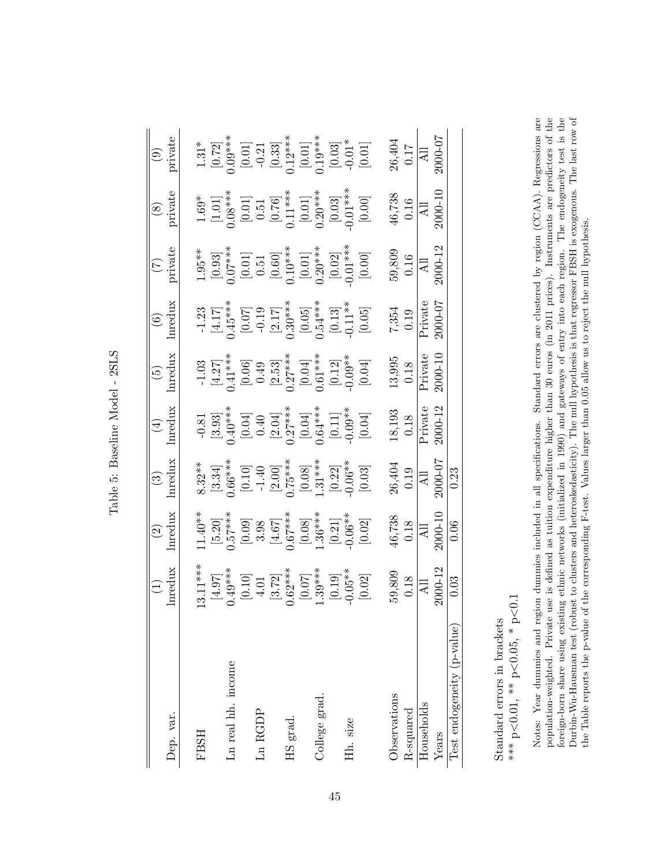<span id="page-47-0"></span>

|                            | $\left(\begin{matrix} 1 \\ 1 \end{matrix}\right)$                                                                                          | $\odot$                                                                                                                                                                                                                                                                                                           |                                                                                                                                                                                  |                                                                                                                                                                                                                                                                                                                                                    |                                                                                                                                                                                                        |                                                                                                                                                                                  |                                                                                                                                                                                                                                                                                                                    |                                                                                                                                                                                                                           |                                                                                                                                                                                             |
|----------------------------|--------------------------------------------------------------------------------------------------------------------------------------------|-------------------------------------------------------------------------------------------------------------------------------------------------------------------------------------------------------------------------------------------------------------------------------------------------------------------|----------------------------------------------------------------------------------------------------------------------------------------------------------------------------------|----------------------------------------------------------------------------------------------------------------------------------------------------------------------------------------------------------------------------------------------------------------------------------------------------------------------------------------------------|--------------------------------------------------------------------------------------------------------------------------------------------------------------------------------------------------------|----------------------------------------------------------------------------------------------------------------------------------------------------------------------------------|--------------------------------------------------------------------------------------------------------------------------------------------------------------------------------------------------------------------------------------------------------------------------------------------------------------------|---------------------------------------------------------------------------------------------------------------------------------------------------------------------------------------------------------------------------|---------------------------------------------------------------------------------------------------------------------------------------------------------------------------------------------|
| Dep. var.                  | Inredux                                                                                                                                    | lnredux                                                                                                                                                                                                                                                                                                           | $\begin{array}{c} \text{(3)} \\ \text{Inredux} \end{array}$                                                                                                                      | $\begin{array}{c} (4) \\ \text{Inredux} \end{array}$                                                                                                                                                                                                                                                                                               | $\begin{array}{c} \text{(5)} \\ \text{Inredux} \end{array}$                                                                                                                                            | $\frac{(6)}{\text{hredux}}$                                                                                                                                                      | $\frac{7}{2}$                                                                                                                                                                                                                                                                                                      | $\frac{8}{2}$                                                                                                                                                                                                             | $(9)$<br>private                                                                                                                                                                            |
| <b>FBSH</b>                |                                                                                                                                            |                                                                                                                                                                                                                                                                                                                   |                                                                                                                                                                                  |                                                                                                                                                                                                                                                                                                                                                    |                                                                                                                                                                                                        |                                                                                                                                                                                  |                                                                                                                                                                                                                                                                                                                    |                                                                                                                                                                                                                           |                                                                                                                                                                                             |
|                            |                                                                                                                                            |                                                                                                                                                                                                                                                                                                                   |                                                                                                                                                                                  |                                                                                                                                                                                                                                                                                                                                                    |                                                                                                                                                                                                        |                                                                                                                                                                                  |                                                                                                                                                                                                                                                                                                                    |                                                                                                                                                                                                                           |                                                                                                                                                                                             |
| Ln real hh. income         | $[4.97]$<br>$[4.97]$<br>$[0.10]$<br>$[0.10]$<br>$[3.72]$<br>$[0.07$<br>$[0.07]$<br>$[0.07]$<br>$[0.05$<br>$[0.05]$<br>$[0.05]$<br>$[0.02]$ |                                                                                                                                                                                                                                                                                                                   | $\begin{array}{l} 8.32^{**} \\ 8.34] \\ 0.66^{***} \\ 0.10] \\ 0.140 \\ -1.40 \\ 0.75^{***} \\ 0.81^{***} \\ 0.08] \\ 0.08 \\ 0.03^{***} \\ 0.03 \\ 0.03 \\ 0.03 \\ \end{array}$ | $\begin{array}{c} -0.81 \\[-4pt] 0.93 \\[-4pt] 0.40^{***} \\[-4pt] 0.040^{***} \\[-4pt] 0.27^{***} \\[-4pt] 0.27^{***} \\[-4pt] 0.27^{***} \\[-4pt] 0.27^{***} \\[-4pt] 0.040^{***} \\[-4pt] 0.040^{***} \\[-4pt] 0.040^{***} \\[-4pt] 0.040^{***} \\[-4pt] 0.040^{***} \\[-4pt] 0.040^{***} \\[-4pt] 0.040^{***} \\[-4pt] 0.040^{***} \\[-4pt] 0$ |                                                                                                                                                                                                        |                                                                                                                                                                                  |                                                                                                                                                                                                                                                                                                                    |                                                                                                                                                                                                                           |                                                                                                                                                                                             |
|                            |                                                                                                                                            |                                                                                                                                                                                                                                                                                                                   |                                                                                                                                                                                  |                                                                                                                                                                                                                                                                                                                                                    |                                                                                                                                                                                                        |                                                                                                                                                                                  |                                                                                                                                                                                                                                                                                                                    |                                                                                                                                                                                                                           |                                                                                                                                                                                             |
| Ln RGDP                    |                                                                                                                                            |                                                                                                                                                                                                                                                                                                                   |                                                                                                                                                                                  |                                                                                                                                                                                                                                                                                                                                                    |                                                                                                                                                                                                        |                                                                                                                                                                                  |                                                                                                                                                                                                                                                                                                                    |                                                                                                                                                                                                                           |                                                                                                                                                                                             |
|                            |                                                                                                                                            |                                                                                                                                                                                                                                                                                                                   |                                                                                                                                                                                  |                                                                                                                                                                                                                                                                                                                                                    |                                                                                                                                                                                                        |                                                                                                                                                                                  |                                                                                                                                                                                                                                                                                                                    |                                                                                                                                                                                                                           |                                                                                                                                                                                             |
| HS grad.                   |                                                                                                                                            |                                                                                                                                                                                                                                                                                                                   |                                                                                                                                                                                  |                                                                                                                                                                                                                                                                                                                                                    |                                                                                                                                                                                                        |                                                                                                                                                                                  |                                                                                                                                                                                                                                                                                                                    |                                                                                                                                                                                                                           |                                                                                                                                                                                             |
|                            |                                                                                                                                            |                                                                                                                                                                                                                                                                                                                   |                                                                                                                                                                                  |                                                                                                                                                                                                                                                                                                                                                    |                                                                                                                                                                                                        |                                                                                                                                                                                  |                                                                                                                                                                                                                                                                                                                    |                                                                                                                                                                                                                           |                                                                                                                                                                                             |
| College grad.              |                                                                                                                                            |                                                                                                                                                                                                                                                                                                                   |                                                                                                                                                                                  |                                                                                                                                                                                                                                                                                                                                                    |                                                                                                                                                                                                        |                                                                                                                                                                                  |                                                                                                                                                                                                                                                                                                                    |                                                                                                                                                                                                                           |                                                                                                                                                                                             |
|                            |                                                                                                                                            |                                                                                                                                                                                                                                                                                                                   |                                                                                                                                                                                  |                                                                                                                                                                                                                                                                                                                                                    |                                                                                                                                                                                                        |                                                                                                                                                                                  |                                                                                                                                                                                                                                                                                                                    |                                                                                                                                                                                                                           |                                                                                                                                                                                             |
| Hh. size                   |                                                                                                                                            |                                                                                                                                                                                                                                                                                                                   |                                                                                                                                                                                  |                                                                                                                                                                                                                                                                                                                                                    |                                                                                                                                                                                                        |                                                                                                                                                                                  |                                                                                                                                                                                                                                                                                                                    |                                                                                                                                                                                                                           |                                                                                                                                                                                             |
|                            |                                                                                                                                            | 11.40**<br>$\begin{bmatrix} 5.20 \\ 5.20 \\ 0.57^{***} \\ 0.99 \\ 0.67^{***} \\ 0.09 \\ 0.09 \\ 0.00 \\ 0.00 \\ 0.00 \\ 0.00 \\ 0.00 \\ 0.00 \\ 0.00 \\ 0.00 \\ 0.01 \\ 0.00 \\ 0.01 \\ 0.00 \\ 0.01 \\ 0.01 \\ 0.02 \\ 0.02 \\ 0.02 \\ 0.03 \\ 0.04 \\ 0.00 \\ 0.00 \\ 0.00 \\ 0.00 \\ 0.00 \\ 0.00 \\ 0.00 \\ $ |                                                                                                                                                                                  |                                                                                                                                                                                                                                                                                                                                                    | $\begin{array}{c} 1.03 \\ [4.27] \\ [4.24] \\ [0.06] \\ [0.02] \\ [0.27] \\ [0.27] \\ [0.04] \\ [0.04] \\ [0.04] \\ [0.04] \\ [0.04] \\ [0.04] \\ [0.04] \\ [0.04] \\ [0.04] \\ [0.04] \\ \end{array}$ | $\begin{array}{c} -1.23 \\ [4.17] \\ [0.07] \\ [0.07] \\ [0.07] \\ [2.17] \\ [2.17] \\ [0.30^{***} \\ [0.05] \\ [0.013] \\ [0.11] \\ [0.05] \\ [0.013] \\ [0.05] \\ \end{array}$ | $\begin{array}{c} 1.95^{**} \\[-2.0ex] 0.93 \\[-2.0ex] 0.07^{**} \\[-2.0ex] 0.07^{**} \\[-2.0ex] 0.51 \\[-2.0ex] 0.04 \\[-2.0ex] 0.04 \\[-2.0ex] 0.02^{**} \\[-2.0ex] 0.02 \\[-2.0ex] 0.01 \\[-2.0ex] 0.02 \\[-2.0ex] 0.01 \\[-2.0ex] 0.00 \\[-2.0ex] 0.00 \\[-2.0ex] 0.00 \\[-2.0ex] 0.00 \\[-2.0ex] 0.00 \\[-2.$ | $\begin{array}{c} 1.69^{*} \\ [1.01] \\ [1.01] \\ [0.08^{***} \\ [0.01] \\ [0.76] \\ [0.76] \\ [0.01] \\ [0.01] \\ [0.03] \\ [0.03] \\ [0.03] \\ [0.01] \\ [0.01] \\ [0.01] \\ [0.01] \\ [0.01] \\ [0.01] \\ \end{array}$ | $\begin{array}{c} 1.31^{*} \\ [0.72] \\ [0.09^{***} \\ [0.01] \\ [0.21] \\ [0.33] \\ [0.33] \\ [0.01] \\ [0.01] \\ [0.03] \\ [0.03] \\ [0.03] \\ [0.03] \\ [0.01] \\ [0.01] \\ \end{array}$ |
| Observations               |                                                                                                                                            |                                                                                                                                                                                                                                                                                                                   |                                                                                                                                                                                  |                                                                                                                                                                                                                                                                                                                                                    |                                                                                                                                                                                                        |                                                                                                                                                                                  |                                                                                                                                                                                                                                                                                                                    |                                                                                                                                                                                                                           |                                                                                                                                                                                             |
| R-squared                  | $\frac{59,809}{0.18}$                                                                                                                      | $\begin{array}{r} 46{,}738 \\ 0.18 \\ \hline \text{AII} \\ 2000\text{-}10 \end{array}$                                                                                                                                                                                                                            | $\begin{array}{r} 26,404 \\ 0.19 \\ \hline \text{All} \\ 2000\text{-}07 \end{array}$                                                                                             | $\frac{18,193}{0.18}$<br>Private<br>Private                                                                                                                                                                                                                                                                                                        | $\frac{13,995}{0.18}$ $\frac{0.18}{\text{Private}}$                                                                                                                                                    | $7,354$<br>0.19<br>Private<br>Private                                                                                                                                            | $\frac{59,809}{0.16}$<br>0.16<br>2000-12                                                                                                                                                                                                                                                                           | $\begin{array}{r} 46{,}738 \\ 0.16 \\ \hline \text{Al} \\ 2000\text{-}10 \end{array}$                                                                                                                                     | $\frac{26,404}{0.17}$                                                                                                                                                                       |
| Households                 |                                                                                                                                            |                                                                                                                                                                                                                                                                                                                   |                                                                                                                                                                                  |                                                                                                                                                                                                                                                                                                                                                    |                                                                                                                                                                                                        |                                                                                                                                                                                  |                                                                                                                                                                                                                                                                                                                    |                                                                                                                                                                                                                           |                                                                                                                                                                                             |
| Years                      | $2000 - 12$                                                                                                                                |                                                                                                                                                                                                                                                                                                                   |                                                                                                                                                                                  |                                                                                                                                                                                                                                                                                                                                                    |                                                                                                                                                                                                        |                                                                                                                                                                                  |                                                                                                                                                                                                                                                                                                                    |                                                                                                                                                                                                                           | 2000-07                                                                                                                                                                                     |
| Test endogeneity (p-value) | 0.03                                                                                                                                       | 0.06                                                                                                                                                                                                                                                                                                              | 0.23                                                                                                                                                                             |                                                                                                                                                                                                                                                                                                                                                    |                                                                                                                                                                                                        |                                                                                                                                                                                  |                                                                                                                                                                                                                                                                                                                    |                                                                                                                                                                                                                           |                                                                                                                                                                                             |
|                            |                                                                                                                                            |                                                                                                                                                                                                                                                                                                                   |                                                                                                                                                                                  |                                                                                                                                                                                                                                                                                                                                                    |                                                                                                                                                                                                        |                                                                                                                                                                                  |                                                                                                                                                                                                                                                                                                                    |                                                                                                                                                                                                                           |                                                                                                                                                                                             |

Table 5: Baseline Model - 2SLS Table 5: Baseline Model - 2SLS

> Standard errors in brackets Standard errors in brackets

\*\*\* p<0.01, \*\* p<0.05, \* p<0.1 \*\*\* p<0.01, \*\* p<0.05, \* p<0.1

population-weighted. Private use is defined as tuition expenditure higher than 30 euros (in 2011 prices). Instruments are predictors of the foreign-born share using existing ethnic networks (initialized in 1990) and gateways of entry into each region. The endogeneity test is the Durbin-Wu-Hausman test (robust to clusters and heteroskedasticity). The null hypothesis is that regressor FBSH is exogenous. The last row of the Table reports the p-value of the corresponding F-test. Values larger than 0.0 Notes: Year dummies and region dummies included in all specifications. Standard errors are clustered by region (CCAA). Regressions are Durbin-Wu-Hausman test (robust to clusters and heteroskedasticity). The null hypothesis is that regressor FBSH is exogenous. The last row of Notes: Year dummies and region dummies included in all specifications. Standard errors are clustered by region (CCAA). Regressions are population-weighted. Private use is defined as tuition expenditure higher than 30 euros (in 2011 prices). Instruments are predictors of the foreign-born share using existing ethnic networks (initialized in 1990) and gateways of entry into each region. The endogeneity test is the the Table reports the p-value of the corresponding F-test. Values larger than 0.05 allow us to reject the null hypothesis.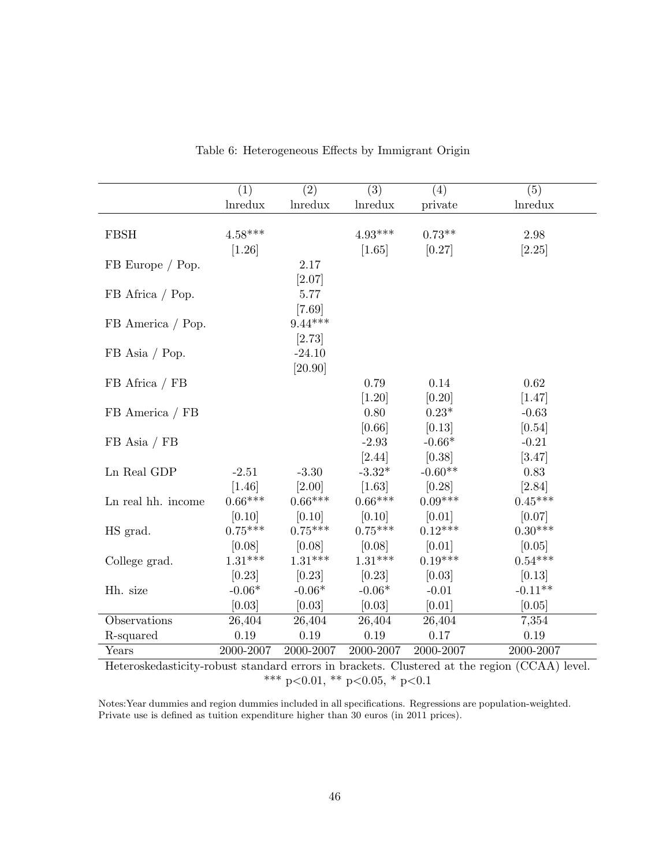<span id="page-48-0"></span>

| <b>Inredux</b><br><i>Inredux</i><br><i>Inredux</i><br><i>Inredux</i><br>private<br>$4.58***$<br>$4.93***$<br>$0.73**$<br><b>FBSH</b><br>2.98<br>$[1.26]$<br>[2.25]<br>[1.65]<br>[0.27]<br>2.17<br>FB Europe / Pop.<br>[2.07]<br>FB Africa / Pop.<br>5.77<br>[7.69]<br>$9.44***$<br>FB America / Pop.<br>[2.73]<br>FB Asia / Pop.<br>$-24.10$<br>[20.90]<br>0.79<br>$0.62\,$<br>FB Africa / FB<br>0.14<br>$[1.20]$<br>[0.20]<br>[1.47]<br>0.80<br>$0.23*$<br>FB America / FB<br>$-0.63$<br>[0.66]<br>[0.13]<br>[0.54]<br>$-2.93$<br>$-0.66*$<br>$-0.21$<br>$FB$ Asia / $FB$<br>[2.44]<br>[0.38]<br>[3.47]<br>$-0.60**$<br>Ln Real GDP<br>$-3.32*$<br>0.83<br>$-3.30$<br>$-2.51$<br>[1.46]<br>[2.00]<br>$[1.63]$<br>[0.28]<br>[2.84]<br>$0.66***$<br>$0.66***$<br>$0.66***$<br>$0.09***$<br>$0.45***$<br>Ln real hh. income<br>[0.10]<br>[0.10]<br>$[0.10]$<br>[0.01]<br>[0.07]<br>$0.75***$<br>$0.75***$<br>$0.12***$<br>$0.75***$<br>$0.30***$<br>HS grad.<br>[0.08]<br>[0.01]<br>[0.08]<br>[0.08]<br>[0.05]<br>$0.54***$<br>$1.31***$<br>$1.31***$<br>$1.31***$<br>$0.19***$<br>College grad.<br>[0.23]<br>[0.23]<br>[0.23]<br>[0.03]<br>[0.13]<br>$-0.06*$<br>$-0.06*$<br>$-0.06*$<br>$-0.11**$<br>$-0.01$<br>Hh. size<br>[0.03]<br>[0.03]<br>[0.03]<br>[0.01]<br>[0.05]<br>26,404<br>26,404<br>26,404<br>26,404<br>Observations<br>7,354 | (1) | $\overline{(2)}$ | $\overline{(3)}$ | (4) | (5) |
|---------------------------------------------------------------------------------------------------------------------------------------------------------------------------------------------------------------------------------------------------------------------------------------------------------------------------------------------------------------------------------------------------------------------------------------------------------------------------------------------------------------------------------------------------------------------------------------------------------------------------------------------------------------------------------------------------------------------------------------------------------------------------------------------------------------------------------------------------------------------------------------------------------------------------------------------------------------------------------------------------------------------------------------------------------------------------------------------------------------------------------------------------------------------------------------------------------------------------------------------------------------------------------------------------------------------------------------------|-----|------------------|------------------|-----|-----|
|                                                                                                                                                                                                                                                                                                                                                                                                                                                                                                                                                                                                                                                                                                                                                                                                                                                                                                                                                                                                                                                                                                                                                                                                                                                                                                                                             |     |                  |                  |     |     |
|                                                                                                                                                                                                                                                                                                                                                                                                                                                                                                                                                                                                                                                                                                                                                                                                                                                                                                                                                                                                                                                                                                                                                                                                                                                                                                                                             |     |                  |                  |     |     |
|                                                                                                                                                                                                                                                                                                                                                                                                                                                                                                                                                                                                                                                                                                                                                                                                                                                                                                                                                                                                                                                                                                                                                                                                                                                                                                                                             |     |                  |                  |     |     |
|                                                                                                                                                                                                                                                                                                                                                                                                                                                                                                                                                                                                                                                                                                                                                                                                                                                                                                                                                                                                                                                                                                                                                                                                                                                                                                                                             |     |                  |                  |     |     |
|                                                                                                                                                                                                                                                                                                                                                                                                                                                                                                                                                                                                                                                                                                                                                                                                                                                                                                                                                                                                                                                                                                                                                                                                                                                                                                                                             |     |                  |                  |     |     |
|                                                                                                                                                                                                                                                                                                                                                                                                                                                                                                                                                                                                                                                                                                                                                                                                                                                                                                                                                                                                                                                                                                                                                                                                                                                                                                                                             |     |                  |                  |     |     |
|                                                                                                                                                                                                                                                                                                                                                                                                                                                                                                                                                                                                                                                                                                                                                                                                                                                                                                                                                                                                                                                                                                                                                                                                                                                                                                                                             |     |                  |                  |     |     |
|                                                                                                                                                                                                                                                                                                                                                                                                                                                                                                                                                                                                                                                                                                                                                                                                                                                                                                                                                                                                                                                                                                                                                                                                                                                                                                                                             |     |                  |                  |     |     |
|                                                                                                                                                                                                                                                                                                                                                                                                                                                                                                                                                                                                                                                                                                                                                                                                                                                                                                                                                                                                                                                                                                                                                                                                                                                                                                                                             |     |                  |                  |     |     |
|                                                                                                                                                                                                                                                                                                                                                                                                                                                                                                                                                                                                                                                                                                                                                                                                                                                                                                                                                                                                                                                                                                                                                                                                                                                                                                                                             |     |                  |                  |     |     |
|                                                                                                                                                                                                                                                                                                                                                                                                                                                                                                                                                                                                                                                                                                                                                                                                                                                                                                                                                                                                                                                                                                                                                                                                                                                                                                                                             |     |                  |                  |     |     |
|                                                                                                                                                                                                                                                                                                                                                                                                                                                                                                                                                                                                                                                                                                                                                                                                                                                                                                                                                                                                                                                                                                                                                                                                                                                                                                                                             |     |                  |                  |     |     |
|                                                                                                                                                                                                                                                                                                                                                                                                                                                                                                                                                                                                                                                                                                                                                                                                                                                                                                                                                                                                                                                                                                                                                                                                                                                                                                                                             |     |                  |                  |     |     |
|                                                                                                                                                                                                                                                                                                                                                                                                                                                                                                                                                                                                                                                                                                                                                                                                                                                                                                                                                                                                                                                                                                                                                                                                                                                                                                                                             |     |                  |                  |     |     |
|                                                                                                                                                                                                                                                                                                                                                                                                                                                                                                                                                                                                                                                                                                                                                                                                                                                                                                                                                                                                                                                                                                                                                                                                                                                                                                                                             |     |                  |                  |     |     |
|                                                                                                                                                                                                                                                                                                                                                                                                                                                                                                                                                                                                                                                                                                                                                                                                                                                                                                                                                                                                                                                                                                                                                                                                                                                                                                                                             |     |                  |                  |     |     |
|                                                                                                                                                                                                                                                                                                                                                                                                                                                                                                                                                                                                                                                                                                                                                                                                                                                                                                                                                                                                                                                                                                                                                                                                                                                                                                                                             |     |                  |                  |     |     |
|                                                                                                                                                                                                                                                                                                                                                                                                                                                                                                                                                                                                                                                                                                                                                                                                                                                                                                                                                                                                                                                                                                                                                                                                                                                                                                                                             |     |                  |                  |     |     |
|                                                                                                                                                                                                                                                                                                                                                                                                                                                                                                                                                                                                                                                                                                                                                                                                                                                                                                                                                                                                                                                                                                                                                                                                                                                                                                                                             |     |                  |                  |     |     |
|                                                                                                                                                                                                                                                                                                                                                                                                                                                                                                                                                                                                                                                                                                                                                                                                                                                                                                                                                                                                                                                                                                                                                                                                                                                                                                                                             |     |                  |                  |     |     |
|                                                                                                                                                                                                                                                                                                                                                                                                                                                                                                                                                                                                                                                                                                                                                                                                                                                                                                                                                                                                                                                                                                                                                                                                                                                                                                                                             |     |                  |                  |     |     |
|                                                                                                                                                                                                                                                                                                                                                                                                                                                                                                                                                                                                                                                                                                                                                                                                                                                                                                                                                                                                                                                                                                                                                                                                                                                                                                                                             |     |                  |                  |     |     |
|                                                                                                                                                                                                                                                                                                                                                                                                                                                                                                                                                                                                                                                                                                                                                                                                                                                                                                                                                                                                                                                                                                                                                                                                                                                                                                                                             |     |                  |                  |     |     |
|                                                                                                                                                                                                                                                                                                                                                                                                                                                                                                                                                                                                                                                                                                                                                                                                                                                                                                                                                                                                                                                                                                                                                                                                                                                                                                                                             |     |                  |                  |     |     |
|                                                                                                                                                                                                                                                                                                                                                                                                                                                                                                                                                                                                                                                                                                                                                                                                                                                                                                                                                                                                                                                                                                                                                                                                                                                                                                                                             |     |                  |                  |     |     |
|                                                                                                                                                                                                                                                                                                                                                                                                                                                                                                                                                                                                                                                                                                                                                                                                                                                                                                                                                                                                                                                                                                                                                                                                                                                                                                                                             |     |                  |                  |     |     |
|                                                                                                                                                                                                                                                                                                                                                                                                                                                                                                                                                                                                                                                                                                                                                                                                                                                                                                                                                                                                                                                                                                                                                                                                                                                                                                                                             |     |                  |                  |     |     |
|                                                                                                                                                                                                                                                                                                                                                                                                                                                                                                                                                                                                                                                                                                                                                                                                                                                                                                                                                                                                                                                                                                                                                                                                                                                                                                                                             |     |                  |                  |     |     |
|                                                                                                                                                                                                                                                                                                                                                                                                                                                                                                                                                                                                                                                                                                                                                                                                                                                                                                                                                                                                                                                                                                                                                                                                                                                                                                                                             |     |                  |                  |     |     |
| 0.19<br>0.19<br>0.19<br>0.17<br>$0.19\,$<br>R-squared                                                                                                                                                                                                                                                                                                                                                                                                                                                                                                                                                                                                                                                                                                                                                                                                                                                                                                                                                                                                                                                                                                                                                                                                                                                                                       |     |                  |                  |     |     |
| 2000-2007<br>2000-2007<br>2000-2007<br>2000-2007<br>2000-2007<br>Years<br>(0.011)<br>$\overline{1}$ $\overline{1}$<br>TT J<br><b>Allen Artists</b><br>$\mathbf{1}$ $\mathbf{1}$                                                                                                                                                                                                                                                                                                                                                                                                                                                                                                                                                                                                                                                                                                                                                                                                                                                                                                                                                                                                                                                                                                                                                             |     |                  |                  |     |     |

Table 6: Heterogeneous Effects by Immigrant Origin

Heteroskedasticity-robust standard errors in brackets. Clustered at the region (CCAA) level. \*\*\* p<0.01, \*\* p<0.05, \* p<0.1

Notes:Year dummies and region dummies included in all specifications. Regressions are population-weighted. Private use is defined as tuition expenditure higher than 30 euros (in 2011 prices).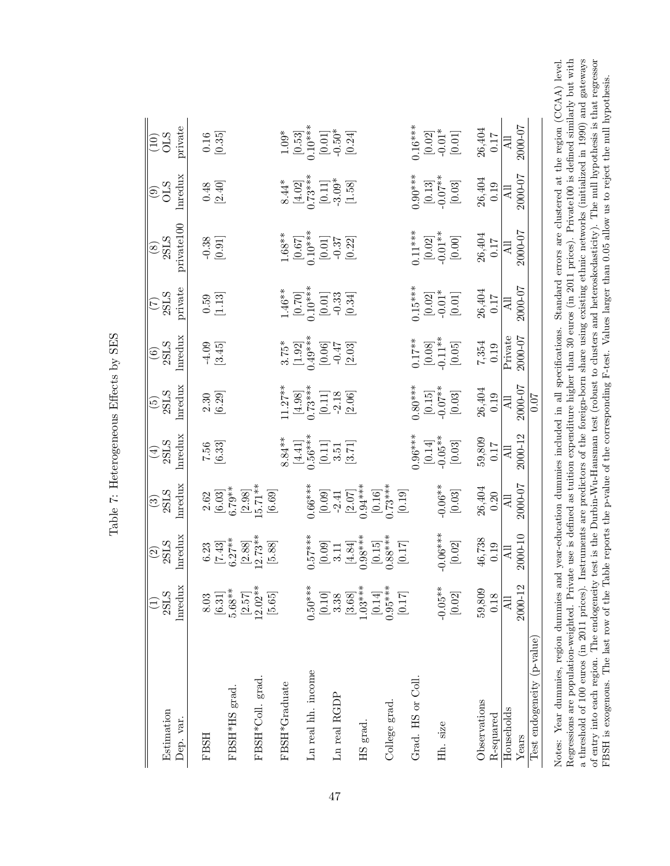| $0.50***$<br>$\operatorname{Inredu}$<br>$5.68**$<br>$\begin{bmatrix} 2.57 \\ 12.02^{**} \end{bmatrix}$<br>[0.10]<br>$1.03***$<br>$[0.14]$<br>$0.95***$<br>$[3.68]$<br>3.38<br>$[0.17]$<br>[5.65]<br>[6.31]<br>8.03<br>Ln real hh. income<br>FBSH*Coll. grad.<br>Grad. HS or Coll.<br>FBSH*Graduate<br>FBSH*HS grad.<br>Ln real RGDP<br>College grad.<br>Dep. var.<br>HS grad.<br><b>FBSH</b> | $\operatorname{Inredux}$<br>$\begin{array}{c} 6.23 \\ [7.43] \\ 6.27^{**} \\ [2.88] \\ 2.73^{**} \\ \hline \end{array}$<br>$\begin{bmatrix} 0.57^{***} \ 0.09 \ 0.11 \ 0.15 \end{bmatrix}$<br>$\begin{bmatrix} 0.09 \ 0.15 \ 0.14 \ 0.15 \end{bmatrix}$<br>$\begin{bmatrix} 0.15 \ 0.15 \ 0.03^{***} \end{bmatrix}$ | $\frac{(3)}{2\text{SLS}}$<br>Inredux<br>$\begin{array}{c} 2.62 \\ [6.03] \\ [6.79^{*4}] \\ [2.98] \\ [5.71^{*4}] \\ [6.69] \end{array}$<br>$[0.09]$<br>$[2.07]$<br>$[2.07]$<br>$[2.07]$<br>$[0.16]$<br>$[0.16]$<br>$[0.19]$<br>$[0.19]$ | $\frac{(4)}{2\text{SLS}}$<br>lnredux<br>$8.84**$<br>$[4.41]$<br>$[6***]$<br>$[0.11]$<br>$3.51$<br>$3.51$<br>$[3.71]$<br>$7.56$<br>[6.33] | $\frac{\text{(5)}}{\text{2SLS}}$ lmedux<br>$2.30$<br>$[6.29]$                                                          | $\begin{array}{c} (6) \ 2 \, \rm{SLS} \ \rm{Inredux} \end{array}$<br>$-4.09$<br>[3.45]                   | $\frac{(7)}{2\text{SLS}}$                                            | private100                                                          | lnredux                                                                                         | private                                                            |
|----------------------------------------------------------------------------------------------------------------------------------------------------------------------------------------------------------------------------------------------------------------------------------------------------------------------------------------------------------------------------------------------|---------------------------------------------------------------------------------------------------------------------------------------------------------------------------------------------------------------------------------------------------------------------------------------------------------------------|-----------------------------------------------------------------------------------------------------------------------------------------------------------------------------------------------------------------------------------------|------------------------------------------------------------------------------------------------------------------------------------------|------------------------------------------------------------------------------------------------------------------------|----------------------------------------------------------------------------------------------------------|----------------------------------------------------------------------|---------------------------------------------------------------------|-------------------------------------------------------------------------------------------------|--------------------------------------------------------------------|
|                                                                                                                                                                                                                                                                                                                                                                                              |                                                                                                                                                                                                                                                                                                                     |                                                                                                                                                                                                                                         |                                                                                                                                          |                                                                                                                        |                                                                                                          |                                                                      |                                                                     |                                                                                                 |                                                                    |
|                                                                                                                                                                                                                                                                                                                                                                                              |                                                                                                                                                                                                                                                                                                                     |                                                                                                                                                                                                                                         |                                                                                                                                          |                                                                                                                        |                                                                                                          |                                                                      |                                                                     |                                                                                                 |                                                                    |
|                                                                                                                                                                                                                                                                                                                                                                                              |                                                                                                                                                                                                                                                                                                                     |                                                                                                                                                                                                                                         |                                                                                                                                          |                                                                                                                        |                                                                                                          | $\begin{bmatrix} 0.59 \\ 1.13 \end{bmatrix}$                         | $-0.38$<br>[0.91]                                                   | $0.48 \newline \boxed{2.40}$                                                                    | $\begin{bmatrix} 0.16 \\ 0.35 \end{bmatrix}$                       |
|                                                                                                                                                                                                                                                                                                                                                                                              |                                                                                                                                                                                                                                                                                                                     |                                                                                                                                                                                                                                         |                                                                                                                                          |                                                                                                                        |                                                                                                          |                                                                      |                                                                     |                                                                                                 |                                                                    |
|                                                                                                                                                                                                                                                                                                                                                                                              |                                                                                                                                                                                                                                                                                                                     |                                                                                                                                                                                                                                         |                                                                                                                                          |                                                                                                                        |                                                                                                          |                                                                      |                                                                     |                                                                                                 |                                                                    |
|                                                                                                                                                                                                                                                                                                                                                                                              |                                                                                                                                                                                                                                                                                                                     |                                                                                                                                                                                                                                         |                                                                                                                                          |                                                                                                                        |                                                                                                          |                                                                      |                                                                     |                                                                                                 |                                                                    |
|                                                                                                                                                                                                                                                                                                                                                                                              |                                                                                                                                                                                                                                                                                                                     |                                                                                                                                                                                                                                         |                                                                                                                                          | $\begin{array}{r} 11.27^{**} \ 14.98 \ 14.98 \ 0.11 \end{array}$<br>$\begin{array}{r} 6,11 \ 12.18 \ 0.11 \end{array}$ | $\begin{array}{l} 3.75^* \\ [1.92] \\ [1.9] \\ [0.06] \\ [0.047] \\ -0.47 \end{array}$                   | $1.46**$<br>$[0.70]$<br>$[0.01]$<br>$[0.01]$<br>$-0.33$<br>$[0.34]$  | $1.68**$<br>$[0.67]$<br>$[0.67]$<br>$[0.01]$<br>$-0.37$<br>$[0.22]$ | $\begin{array}{l} 8.44^{*} \\ [4.02] \\ 7.73^{**} \\ [0.11] \\ -3.09^{*} \\ [1.58] \end{array}$ | $1.09*$<br>$[0.53]$<br>$[0.01]$<br>$[0.01]$<br>$-0.50*$            |
|                                                                                                                                                                                                                                                                                                                                                                                              |                                                                                                                                                                                                                                                                                                                     |                                                                                                                                                                                                                                         |                                                                                                                                          |                                                                                                                        |                                                                                                          |                                                                      |                                                                     |                                                                                                 |                                                                    |
|                                                                                                                                                                                                                                                                                                                                                                                              |                                                                                                                                                                                                                                                                                                                     |                                                                                                                                                                                                                                         |                                                                                                                                          |                                                                                                                        |                                                                                                          |                                                                      |                                                                     |                                                                                                 |                                                                    |
|                                                                                                                                                                                                                                                                                                                                                                                              |                                                                                                                                                                                                                                                                                                                     |                                                                                                                                                                                                                                         |                                                                                                                                          |                                                                                                                        |                                                                                                          |                                                                      |                                                                     |                                                                                                 |                                                                    |
|                                                                                                                                                                                                                                                                                                                                                                                              |                                                                                                                                                                                                                                                                                                                     |                                                                                                                                                                                                                                         |                                                                                                                                          |                                                                                                                        |                                                                                                          |                                                                      |                                                                     |                                                                                                 |                                                                    |
|                                                                                                                                                                                                                                                                                                                                                                                              |                                                                                                                                                                                                                                                                                                                     |                                                                                                                                                                                                                                         |                                                                                                                                          |                                                                                                                        |                                                                                                          |                                                                      |                                                                     |                                                                                                 |                                                                    |
|                                                                                                                                                                                                                                                                                                                                                                                              |                                                                                                                                                                                                                                                                                                                     |                                                                                                                                                                                                                                         |                                                                                                                                          |                                                                                                                        |                                                                                                          |                                                                      |                                                                     |                                                                                                 |                                                                    |
|                                                                                                                                                                                                                                                                                                                                                                                              |                                                                                                                                                                                                                                                                                                                     |                                                                                                                                                                                                                                         |                                                                                                                                          |                                                                                                                        |                                                                                                          |                                                                      |                                                                     |                                                                                                 |                                                                    |
|                                                                                                                                                                                                                                                                                                                                                                                              |                                                                                                                                                                                                                                                                                                                     |                                                                                                                                                                                                                                         |                                                                                                                                          |                                                                                                                        |                                                                                                          |                                                                      |                                                                     |                                                                                                 |                                                                    |
|                                                                                                                                                                                                                                                                                                                                                                                              |                                                                                                                                                                                                                                                                                                                     |                                                                                                                                                                                                                                         | $\begin{bmatrix} 0.96^{***} \ 0.14 \end{bmatrix}$<br>$\begin{bmatrix} 0.14 \ 0.05^{**} \end{bmatrix}$                                    | $\begin{array}{c} .80^{***} \ 0.15] \ 0.07^{**} \ 0.03] \end{array}$                                                   | $\begin{array}{c} 0.17^{**} \\[-4pt] 0.08] \\[-4pt] 0.11^{**} \\[-4pt] 0.05] \\[-4pt] 0.05] \end{array}$ | $\begin{bmatrix} 15^{**} \\ 0.02 \\ -0.01^{*} \\ 0.01 \end{bmatrix}$ |                                                                     | $\begin{array}{c} 0.90^{***} \ [0.13] \ 0.07^{**} \ 0.03] \end{array}$                          | $\begin{bmatrix} 16^{**} \\ 0.02 \\ -0.01^* \\ 0.01 \end{bmatrix}$ |
|                                                                                                                                                                                                                                                                                                                                                                                              |                                                                                                                                                                                                                                                                                                                     |                                                                                                                                                                                                                                         |                                                                                                                                          |                                                                                                                        |                                                                                                          |                                                                      |                                                                     |                                                                                                 |                                                                    |
| $-0.05**$<br>Hh. size                                                                                                                                                                                                                                                                                                                                                                        | $0.06***$                                                                                                                                                                                                                                                                                                           | $[0.06$ **<br>[0.03]                                                                                                                                                                                                                    |                                                                                                                                          |                                                                                                                        |                                                                                                          |                                                                      |                                                                     |                                                                                                 |                                                                    |
| $[0.02]$                                                                                                                                                                                                                                                                                                                                                                                     |                                                                                                                                                                                                                                                                                                                     |                                                                                                                                                                                                                                         |                                                                                                                                          |                                                                                                                        |                                                                                                          |                                                                      | $\begin{bmatrix} 11**\\ 0.02\\ 0.01**\\ 0.01** \end{bmatrix}$       |                                                                                                 |                                                                    |
| 59,809<br>Observations                                                                                                                                                                                                                                                                                                                                                                       |                                                                                                                                                                                                                                                                                                                     |                                                                                                                                                                                                                                         |                                                                                                                                          |                                                                                                                        |                                                                                                          |                                                                      |                                                                     |                                                                                                 |                                                                    |
| 0.18<br>$R$ -squared                                                                                                                                                                                                                                                                                                                                                                         | $\frac{46,738}{0.19}$                                                                                                                                                                                                                                                                                               | $\frac{26,404}{0.20}$                                                                                                                                                                                                                   | $\frac{59,809}{0.17}$<br>$\frac{0.17}{\text{Al}1}$<br>$2000-12$                                                                          | $\begin{array}{r} 26,404 \\ 0.19 \\ \hline \text{A1} \\ \hline 0 \\ 0.000-07 \\ \hline 0.07 \\ \hline \end{array}$     | $7,354$<br>0.19                                                                                          | $\frac{26,404}{0.17}$                                                | $\frac{26,404}{0.17}$<br>$\frac{0.17}{\text{All}}$                  | $\frac{26,404}{0.19}$<br>0.19<br>2000-07                                                        | $\frac{26,404}{0.17}$                                              |
| $\Xi$<br>Households                                                                                                                                                                                                                                                                                                                                                                          |                                                                                                                                                                                                                                                                                                                     |                                                                                                                                                                                                                                         |                                                                                                                                          |                                                                                                                        | Private<br>2000-07                                                                                       |                                                                      |                                                                     |                                                                                                 |                                                                    |
| 2000-12<br>Years                                                                                                                                                                                                                                                                                                                                                                             | 2000-10                                                                                                                                                                                                                                                                                                             | 20000-07                                                                                                                                                                                                                                |                                                                                                                                          |                                                                                                                        |                                                                                                          | 200001                                                               |                                                                     |                                                                                                 | 70-000                                                             |
| Test endogeneity (p-value)                                                                                                                                                                                                                                                                                                                                                                   |                                                                                                                                                                                                                                                                                                                     |                                                                                                                                                                                                                                         |                                                                                                                                          |                                                                                                                        |                                                                                                          |                                                                      |                                                                     |                                                                                                 |                                                                    |

<span id="page-49-0"></span>Table 7: Heterogeneous Effects by SES Table 7: Heterogeneous Effects by SES

Regressions are population-weighted. Private use is defined as tuition expenditure higher than 30 euros (in 2011 prices). Private100 is defined similarly but with a threshold of 100 euros (in 2011 prices). Instruments are predictors of the foreign-born share using existing ethnic networks (initialized in 1990) and gateways of entry into each region. The endogeneity test is the Durbin-Wu-Hausman test (robust to clusters and heteroskedasticity). The null hypothesis is that regressor Notes: Year dummies, region dummies and year-education dummies included in all specifications. Standard errors are clustered at the region (CCAA) level. Notes: Year dummies, region dummies and year-education dummies included in all specifications. Standard errors are clustered at the region (CCAA) level. Regressions are population-weighted. Private use is defined as tuition expenditure higher than 30 euros (in 2011 prices). Private100 is defined similarly but with a threshold of 100 euros (in 2011 prices). Instruments are predictors of the foreign-born share using existing ethnic networks (initialized in 1990) and gateways of entry into each region. The endogeneity test is the Durbin-Wu-Hausman test (robust to clusters and heteroskedasticity). The null hypothesis is that regressor FBSH is exogenous. The last row of the Table reports the p-value of the corresponding F-test. Values larger than 0.05 allow us to reject the null hypothesis. FBSH is exogenous. The last row of the Table reports the p-value of the corresponding F-test. Values larger than 0.05 allow us to reject the null hypothesis.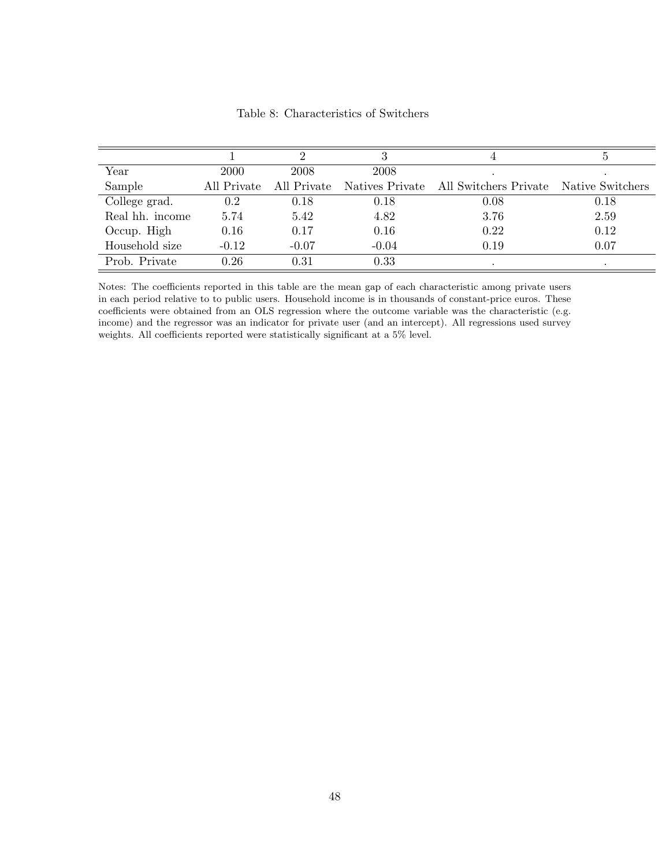<span id="page-50-0"></span>

|                 |             |             |         |                                                        | Ð    |
|-----------------|-------------|-------------|---------|--------------------------------------------------------|------|
| Year            | 2000        | 2008        | 2008    |                                                        |      |
| Sample          | All Private | All Private |         | Natives Private All Switchers Private Native Switchers |      |
| College grad.   | 0.2         | 0.18        | 0.18    | 0.08                                                   | 0.18 |
| Real hh. income | 5.74        | 5.42        | 4.82    | 3.76                                                   | 2.59 |
| Occup. High     | 0.16        | 0.17        | 0.16    | 0.22                                                   | 0.12 |
| Household size  | $-0.12$     | $-0.07$     | $-0.04$ | 0.19                                                   | 0.07 |
| Prob. Private   | 0.26        | 0.31        | 0.33    |                                                        |      |

Table 8: Characteristics of Switchers

Notes: The coefficients reported in this table are the mean gap of each characteristic among private users in each period relative to to public users. Household income is in thousands of constant-price euros. These coefficients were obtained from an OLS regression where the outcome variable was the characteristic (e.g. income) and the regressor was an indicator for private user (and an intercept). All regressions used survey weights. All coefficients reported were statistically significant at a 5% level.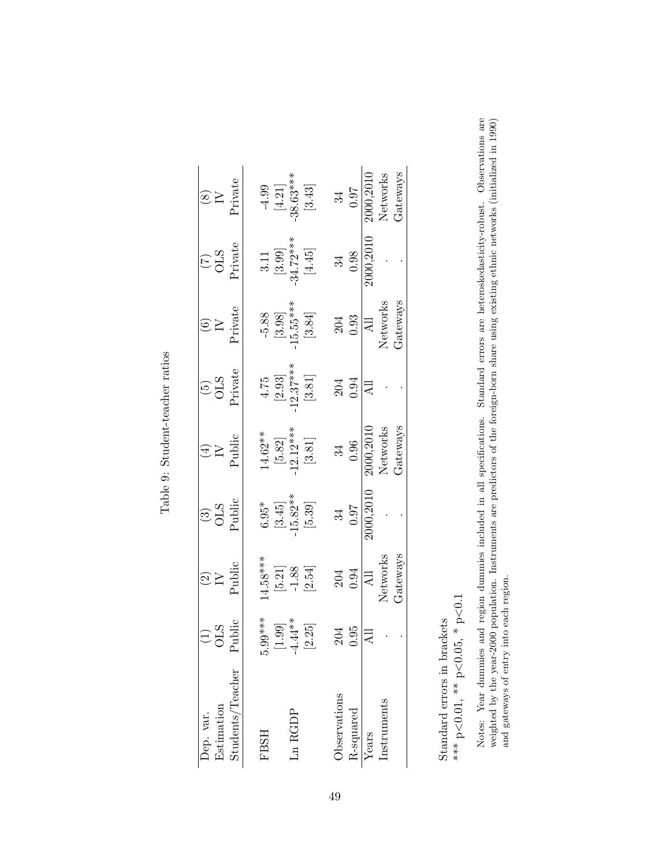| ۱.<br>آ<br>č                                         |  |
|------------------------------------------------------|--|
| room<br>$\overline{\mathbf{C}}$<br>Ì                 |  |
|                                                      |  |
| ֦֧֦֦֦֦֦֦֦֦֦֦֦֦֦֦֦֦֦֦֦֦֦֦֦֦֦֦֦֦֦֦֦֦֞֟֓֕֝֘֝<br>J.<br>Ó |  |

| Dep. var.                                 | $\frac{\text{(1)}}{\text{OLS}}$<br>Public      | $\frac{1}{2}$                                                                | $\frac{(3)}{OLS}$                                                                      | $\begin{array}{c} \text{(4)} \\ \text{IV} \\ \text{Public} \end{array}$            | $\frac{(5)}{OLS}$<br>Private                                                              | $\begin{array}{c} \text{(6)} \\ \text{IV} \\ \text{Private} \end{array}$   | $\frac{(7)}{0LS}$<br>Private                           | $\frac{(8)}{N}$ Private                                                           |
|-------------------------------------------|------------------------------------------------|------------------------------------------------------------------------------|----------------------------------------------------------------------------------------|------------------------------------------------------------------------------------|-------------------------------------------------------------------------------------------|----------------------------------------------------------------------------|--------------------------------------------------------|-----------------------------------------------------------------------------------|
| Estimation                                |                                                |                                                                              |                                                                                        |                                                                                    |                                                                                           |                                                                            |                                                        |                                                                                   |
| $\frac{3 \text{tudents}}{\text{Teacher}}$ |                                                | Public                                                                       |                                                                                        |                                                                                    |                                                                                           |                                                                            |                                                        |                                                                                   |
|                                           |                                                |                                                                              |                                                                                        |                                                                                    |                                                                                           |                                                                            |                                                        |                                                                                   |
| <b>FBSH</b>                               |                                                |                                                                              |                                                                                        |                                                                                    |                                                                                           |                                                                            |                                                        |                                                                                   |
|                                           |                                                |                                                                              |                                                                                        |                                                                                    |                                                                                           |                                                                            |                                                        |                                                                                   |
| Ln RGDP                                   |                                                |                                                                              |                                                                                        |                                                                                    |                                                                                           |                                                                            |                                                        |                                                                                   |
|                                           | $5.99***$<br>$[1.99]$<br>$-4.44**$<br>$[2.25]$ | $\begin{array}{c} 14.58^{***} \\ [5.21] \\ -1.88 \\ \end{array}$<br>$[2.54]$ | $\begin{array}{c} 6.95^* \\[1mm] 3.45] \\[-1mm] 15.82^{**} \\[-1mm] 5.39] \end{array}$ | $\begin{array}{c} 14.62^{**} \\ [5.82] \\ \cdot 12.12^{***} \\ [3.81] \end{array}$ | $\begin{array}{c} 4.75 \\ [2.93] \\[-2pt] -12.37*** \\[-2pt] \textbf{[3.81]} \end{array}$ | $\begin{bmatrix} 5.88 \\ 13.98 \\ -15.55^{***} \\ \end{bmatrix}$<br>[3.84] | 3.11<br>[3.99]<br>$[3.72***$<br>$[4.45]$               | $-4.99$<br>$[4.21]$<br>$-38.63***$<br>$[3.43]$                                    |
|                                           |                                                |                                                                              |                                                                                        |                                                                                    |                                                                                           |                                                                            |                                                        |                                                                                   |
| Observations                              |                                                |                                                                              |                                                                                        |                                                                                    |                                                                                           |                                                                            |                                                        |                                                                                   |
| R-squared                                 | $\frac{204}{0.95}$                             | 204<br>0.94                                                                  | $\begin{array}{c} 34 \\ 0.97 \\ \hline 2000,2010 \end{array}$                          | $\begin{array}{c} 34 \\ 0.96 \\ \hline 2000, 2010 \\ \hline Networks \end{array}$  | $204$<br>$0.94$                                                                           | $\begin{array}{c} 204 \\ 0.93 \end{array}$                                 | $\begin{array}{c} 34 \\ 0.98 \\ 2000,2010 \end{array}$ | $\begin{array}{c} 34 \\ 0.97 \\ \hline 2000, 2010 \\ \hline Networks \end{array}$ |
| Years                                     | All                                            | $\overline{AB}$<br>Networks                                                  |                                                                                        |                                                                                    |                                                                                           | $\begin{array}{c} \mathrm{All} \\ \mathrm{Networks} \end{array}$           |                                                        |                                                                                   |
| Instruments                               |                                                |                                                                              |                                                                                        |                                                                                    |                                                                                           |                                                                            |                                                        |                                                                                   |
|                                           |                                                | Gateways                                                                     |                                                                                        | Gateways                                                                           |                                                                                           | Fateways                                                                   |                                                        | Gateways                                                                          |
|                                           |                                                |                                                                              |                                                                                        |                                                                                    |                                                                                           |                                                                            |                                                        |                                                                                   |

<span id="page-51-0"></span>\*\*\* p<0.01, \*\* p<0.05, \* p<0.1 \*\*\* p<0.01, \*\* p<0.05, \* p<0.1 Standard errors in brackets Standard errors in brackets

Notes: Year dummies and region dummies included in all specifications. Standard errors are heteroskedasticity-robust. Observations are weighted by the year-2000 population. Instruments are predictors of the foreign-born sh Notes: Year dummies and region dummies included in all specifications. Standard errors are heteroskedasticity-robust. Observations are weighted by the year-2000 population. Instruments are predictors of the foreign-born share using existing ethnic networks (initialized in 1990) and gateways of entry into each region.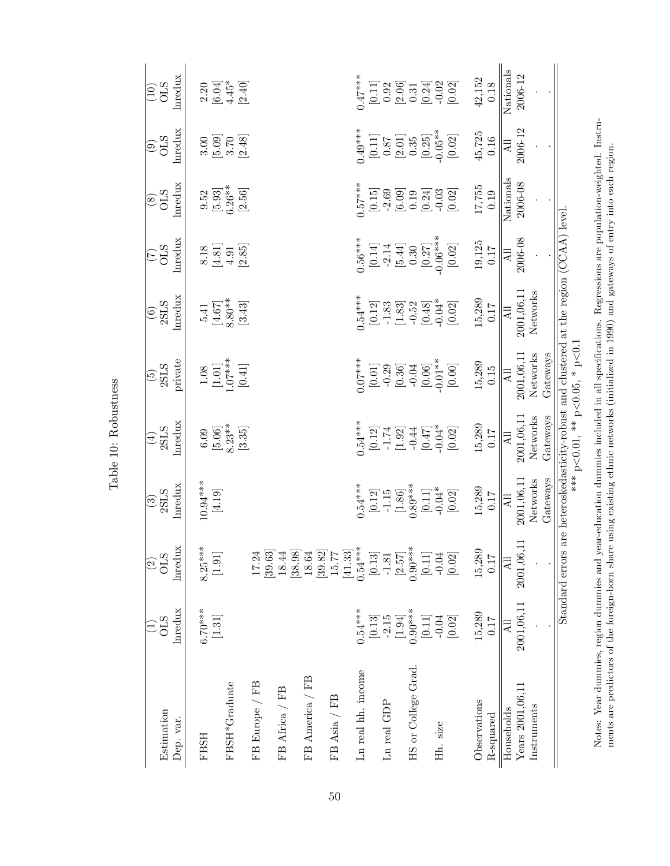| ž                  |  |
|--------------------|--|
| Ć                  |  |
| $\frac{3}{1}$<br>Į |  |

<span id="page-52-0"></span>

| Estimation<br>Dep. var. | lnredux<br>$\widehat{\Xi}_{\text{CS}}^{\text{C}}$ | lnredux<br>$\frac{25}{3}$                                                                                                                                                                                                                                                                                                                                                                                                                                                                                                                                                                                                        | Inredux<br>$\frac{(3)}{2\text{SLS}}$                                                                                                                                        | Inredux<br>$\frac{(4)}{2\mathrm{SLS}}$                       | private<br>$\frac{(5)}{2\text{SLS}}$                                                                                                                           | hredux<br>$\frac{(6)}{2\text{SLS}}$                                                                                                             | lmedux<br>$\widetilde{C}$<br>SHO                                                                                     | Inredux<br>$\frac{6}{20}$                                                                                                                                                                                                                                                                                                                                                                                     | Inredux<br>$\frac{570}{60}$                                                                  | Inredux<br>$\frac{570}{100}$                                 |
|-------------------------|---------------------------------------------------|----------------------------------------------------------------------------------------------------------------------------------------------------------------------------------------------------------------------------------------------------------------------------------------------------------------------------------------------------------------------------------------------------------------------------------------------------------------------------------------------------------------------------------------------------------------------------------------------------------------------------------|-----------------------------------------------------------------------------------------------------------------------------------------------------------------------------|--------------------------------------------------------------|----------------------------------------------------------------------------------------------------------------------------------------------------------------|-------------------------------------------------------------------------------------------------------------------------------------------------|----------------------------------------------------------------------------------------------------------------------|---------------------------------------------------------------------------------------------------------------------------------------------------------------------------------------------------------------------------------------------------------------------------------------------------------------------------------------------------------------------------------------------------------------|----------------------------------------------------------------------------------------------|--------------------------------------------------------------|
| FBSH                    | $6.70***$                                         | $8.25***$                                                                                                                                                                                                                                                                                                                                                                                                                                                                                                                                                                                                                        | $10.94***$                                                                                                                                                                  |                                                              |                                                                                                                                                                |                                                                                                                                                 |                                                                                                                      |                                                                                                                                                                                                                                                                                                                                                                                                               |                                                                                              |                                                              |
| FBSH*Graduate           | $[1.31]$                                          | $[1.91] \centering% \includegraphics[width=1.8\columnwidth]{figures/fig_1_1-fig_2.pdf} \includegraphics[width=1.8\columnwidth]{figures/fig_1_2-fig_2.pdf} \includegraphics[width=1.8\columnwidth]{figures/fig_1_2-fig_2.pdf} \includegraphics[width=1.8\columnwidth]{figures/fig_1_2-fig_2.pdf} \includegraphics[width=1.8\columnwidth]{figures/fig_1_2-fig_2.pdf} \includegraphics[width=1.8\columnwidth]{figures/fig_1_2-fig_2.pdf} \includegraphics[width=1.8\columnwidth]{figures/fig_1_2-fig_2.pdf} \includegraphics[width=1.8\columnwidth]{figures/fig_1_2-fig_2.pdf} \include$                                            | $\left[4.19\right]$                                                                                                                                                         | $\begin{array}{c} 6.09 \\ 5.06] \\ 8.23 \\ 3.35 \end{array}$ | $\begin{array}{c} 1.08 \\ [1.01] \\ 1.07^{***} \\ [0.41] \\ \hline \end{array}$                                                                                | $[4.67] \\ [4.67] \\ 8.80^{**} \\ [3.43]$                                                                                                       | $\begin{array}{c} 8.18 \\ 4.51 \\ 4.95 \\ \hline \end{array}$                                                        | $\begin{array}{l} 9.52 \\ 5.93 \\ 5.26^{**} \\ 2.56 \end{array}$                                                                                                                                                                                                                                                                                                                                              |                                                                                              | $\begin{array}{c} 2.20 \\ 2.34 \\ -4.49 \\ 2.40 \end{array}$ |
|                         |                                                   |                                                                                                                                                                                                                                                                                                                                                                                                                                                                                                                                                                                                                                  |                                                                                                                                                                             |                                                              |                                                                                                                                                                |                                                                                                                                                 |                                                                                                                      |                                                                                                                                                                                                                                                                                                                                                                                                               |                                                                                              |                                                              |
| FB Europe / FB          |                                                   | 17.24<br>[39, 63]                                                                                                                                                                                                                                                                                                                                                                                                                                                                                                                                                                                                                |                                                                                                                                                                             |                                                              |                                                                                                                                                                |                                                                                                                                                 |                                                                                                                      |                                                                                                                                                                                                                                                                                                                                                                                                               |                                                                                              |                                                              |
| FB Africa / FB          |                                                   | 18.44<br>[38.98]                                                                                                                                                                                                                                                                                                                                                                                                                                                                                                                                                                                                                 |                                                                                                                                                                             |                                                              |                                                                                                                                                                |                                                                                                                                                 |                                                                                                                      |                                                                                                                                                                                                                                                                                                                                                                                                               |                                                                                              |                                                              |
| FB America / FB         |                                                   | 18.64<br>[39.82]                                                                                                                                                                                                                                                                                                                                                                                                                                                                                                                                                                                                                 |                                                                                                                                                                             |                                                              |                                                                                                                                                                |                                                                                                                                                 |                                                                                                                      |                                                                                                                                                                                                                                                                                                                                                                                                               |                                                                                              |                                                              |
| FB Asia / FB            |                                                   | 15.77<br>[41.33]                                                                                                                                                                                                                                                                                                                                                                                                                                                                                                                                                                                                                 |                                                                                                                                                                             |                                                              |                                                                                                                                                                |                                                                                                                                                 |                                                                                                                      |                                                                                                                                                                                                                                                                                                                                                                                                               |                                                                                              |                                                              |
| Ln real hh. income      | $0.54***$                                         | $0.54***$                                                                                                                                                                                                                                                                                                                                                                                                                                                                                                                                                                                                                        |                                                                                                                                                                             |                                                              |                                                                                                                                                                |                                                                                                                                                 |                                                                                                                      |                                                                                                                                                                                                                                                                                                                                                                                                               |                                                                                              |                                                              |
|                         | $[0.13]$                                          | $[0.13] \centering% \includegraphics[width=1.8\columnwidth]{figures/fig_1_1.pdf} \includegraphics[width=1.8\columnwidth]{figures/fig_1_2.pdf} \includegraphics[width=1.8\columnwidth]{figures/fig_1_2.pdf} \includegraphics[width=1.8\columnwidth]{figures/fig_1_2.pdf} \includegraphics[width=1.8\columnwidth]{figures/fig_1_2.pdf} \includegraphics[width=1.8\columnwidth]{figures/fig_1_2.pdf} \includegraphics[width=1.8\columnwidth]{figures/fig_1_2.pdf} \includegraphics[width=1.8\columnwidth]{figures/fig_1_2.pdf} \includegraphics[width=1.8\columnwidth]{figures/fig_1_2.pdf} \includegraphics[width=1.8\columnwidth$ |                                                                                                                                                                             |                                                              |                                                                                                                                                                |                                                                                                                                                 |                                                                                                                      |                                                                                                                                                                                                                                                                                                                                                                                                               |                                                                                              |                                                              |
| Ln real GDP             | $-2.15$                                           | $-1.81$                                                                                                                                                                                                                                                                                                                                                                                                                                                                                                                                                                                                                          |                                                                                                                                                                             |                                                              |                                                                                                                                                                |                                                                                                                                                 |                                                                                                                      |                                                                                                                                                                                                                                                                                                                                                                                                               |                                                                                              |                                                              |
| HS or College Grad.     | $0.90***$<br>$[1.94]$                             | $0.90***$<br>$[2.57]$                                                                                                                                                                                                                                                                                                                                                                                                                                                                                                                                                                                                            | $\begin{array}{l} 0.54^{***} \\[-2pt] 0.12 \\[-2pt] -1.15 \\[-2pt] -1.36] \\[-2pt] 0.89^{***} \\[-2pt] 0.89^{***} \\[-2pt] 0.02] \\[-2pt] 0.02] \\[-2pt] 0.02] \end{array}$ | **<br>0.12]<br>0.17 0.31<br>0.04<br>0.04<br>0.04             | $\begin{array}{c} 0.07^{***} \\[-2pt] 0.01] \\[-2pt] -0.29 \\[-2pt] -0.36] \\[-2pt] 0.04] \\[-2pt] -0.06] \\[-2pt] -0.01^{**} \\[-2pt] -0.01^{**} \end{array}$ | $\begin{array}{l} .54*** \\[-2pt] 0.12] \\[-2pt] 0.33 \\[-2pt] -1.83 \\[-2pt] -1.83 \\[-2pt] -0.52 \\[-2pt] -0.48] \\[-2pt] -0.04* \end{array}$ | $\begin{array}{c} 0.56*** \\[-2pt] -2.14 \\[-2pt] -2.14 \\[-2pt] -5.30 \\[-2pt] -0.30 \\[-2pt] -0.06*** \end{array}$ | $\begin{array}{l} \texttt{157} \texttt{*} \ \texttt{15} \ \texttt{15} \ \texttt{16} \ \texttt{26} \ \texttt{3} \ \texttt{4} \ \texttt{5} \ \texttt{6} \ \texttt{7} \ \texttt{8} \ \texttt{9} \ \texttt{10} \ \texttt{11} \ \texttt{12} \ \texttt{13} \ \texttt{14} \ \texttt{15} \ \texttt{16} \ \texttt{17} \ \texttt{18} \ \texttt{19} \ \texttt{19} \ \texttt{19} \ \texttt{10} \ \texttt{19} \ \texttt{1$ | $(0.11)$<br>$[0.11]$<br>$(0.87)$<br>$(2.01)$<br>$(0.25)$<br>$(0.05)$<br>$(0.02)$<br>$[0.02]$ |                                                              |
|                         | $[0.11]$                                          | $[0.11]$                                                                                                                                                                                                                                                                                                                                                                                                                                                                                                                                                                                                                         |                                                                                                                                                                             |                                                              |                                                                                                                                                                |                                                                                                                                                 |                                                                                                                      |                                                                                                                                                                                                                                                                                                                                                                                                               |                                                                                              |                                                              |
| Hh. size                | $-0.04$                                           | $-0.04$                                                                                                                                                                                                                                                                                                                                                                                                                                                                                                                                                                                                                          |                                                                                                                                                                             |                                                              |                                                                                                                                                                |                                                                                                                                                 |                                                                                                                      |                                                                                                                                                                                                                                                                                                                                                                                                               |                                                                                              |                                                              |
|                         | $\left[0.02\right]$                               | [0.02]                                                                                                                                                                                                                                                                                                                                                                                                                                                                                                                                                                                                                           |                                                                                                                                                                             | $\left[0.02\right]$                                          | $\left[ 0.00 \right]$                                                                                                                                          | [0.02]                                                                                                                                          | $[0.02]$                                                                                                             |                                                                                                                                                                                                                                                                                                                                                                                                               |                                                                                              |                                                              |
| Observations            | 15,289                                            | 15,289                                                                                                                                                                                                                                                                                                                                                                                                                                                                                                                                                                                                                           |                                                                                                                                                                             | $15,289$<br>0.17                                             | $15,289$<br>0.15                                                                                                                                               | $15,289$<br>0.17                                                                                                                                |                                                                                                                      |                                                                                                                                                                                                                                                                                                                                                                                                               |                                                                                              |                                                              |
| R-squared               | <b>117</b>                                        | 0.17                                                                                                                                                                                                                                                                                                                                                                                                                                                                                                                                                                                                                             | $15,289$<br>0.17                                                                                                                                                            |                                                              |                                                                                                                                                                |                                                                                                                                                 | $\frac{19,125}{0.17}$                                                                                                | $17,755$<br>0.19                                                                                                                                                                                                                                                                                                                                                                                              | $45,725$<br>$0.16$                                                                           | $\begin{array}{c} 42,152 \\ 0.18 \end{array}$                |
| Households              | $\overline{A}$                                    | All                                                                                                                                                                                                                                                                                                                                                                                                                                                                                                                                                                                                                              | Ę                                                                                                                                                                           | $\overline{ \mathcal{A} }$                                   | All                                                                                                                                                            | $\overline{R}$                                                                                                                                  | All                                                                                                                  | Nationals                                                                                                                                                                                                                                                                                                                                                                                                     | Āll                                                                                          | Nationals                                                    |
| Years 2001,06,11        | 2001,06,11                                        | 2001,06,                                                                                                                                                                                                                                                                                                                                                                                                                                                                                                                                                                                                                         | 2001,06,11                                                                                                                                                                  | 2001,06,11                                                   | 2001,06,11                                                                                                                                                     | 2001,06,11                                                                                                                                      | 2006-08                                                                                                              | 2006-08                                                                                                                                                                                                                                                                                                                                                                                                       | 2006-12                                                                                      | 2006-12                                                      |
| Instruments             |                                                   |                                                                                                                                                                                                                                                                                                                                                                                                                                                                                                                                                                                                                                  | Networks                                                                                                                                                                    | Networks                                                     | Networks                                                                                                                                                       | Networks                                                                                                                                        |                                                                                                                      |                                                                                                                                                                                                                                                                                                                                                                                                               |                                                                                              |                                                              |
|                         |                                                   |                                                                                                                                                                                                                                                                                                                                                                                                                                                                                                                                                                                                                                  | Gateways                                                                                                                                                                    | Gateways                                                     | Gateways                                                                                                                                                       |                                                                                                                                                 |                                                                                                                      |                                                                                                                                                                                                                                                                                                                                                                                                               |                                                                                              |                                                              |
|                         |                                                   | Standard errors                                                                                                                                                                                                                                                                                                                                                                                                                                                                                                                                                                                                                  |                                                                                                                                                                             |                                                              | are heteroskedasticity-robust and clustered at the region $(CCAA)$ level<br>*** $p<0.01$ , ** $p<0.05$ , * $p<0.1$                                             |                                                                                                                                                 |                                                                                                                      |                                                                                                                                                                                                                                                                                                                                                                                                               |                                                                                              |                                                              |

Notes: Year dummies, region dummies and year-education dummies included in all specifications. Regressions are population-weighted. Instru-<br>ments are predictors of the foreign-born share using existing ethnic networks (ini Notes: Year dummies, region dummies and year-education dummies included in all specifications. Regressions are population-weighted. Instruments are predictors of the foreign-born share using existing ethnic networks (initialized in 1990) and gateways of entry into each region.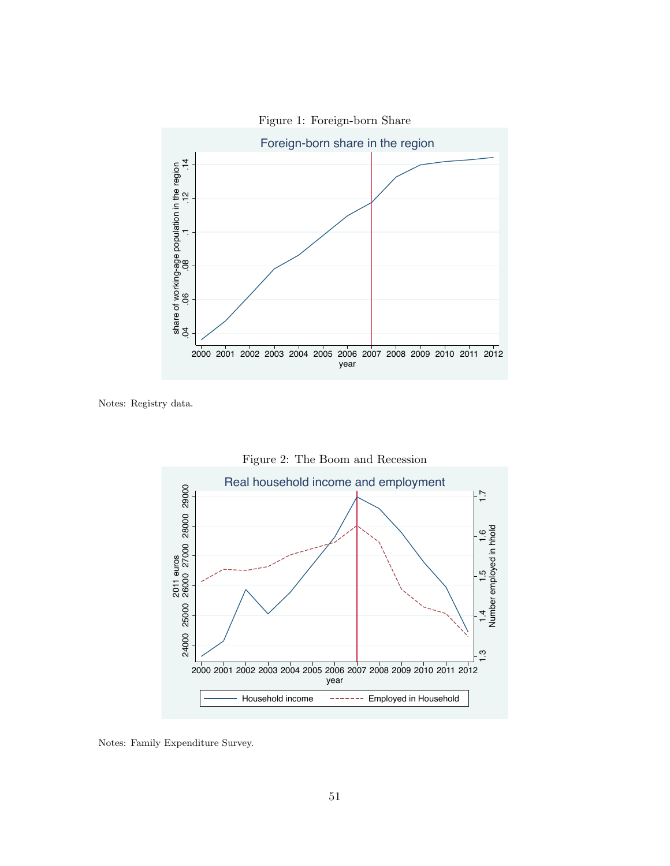<span id="page-53-0"></span>

<span id="page-53-1"></span>Notes: Registry data.



Notes: Family Expenditure Survey.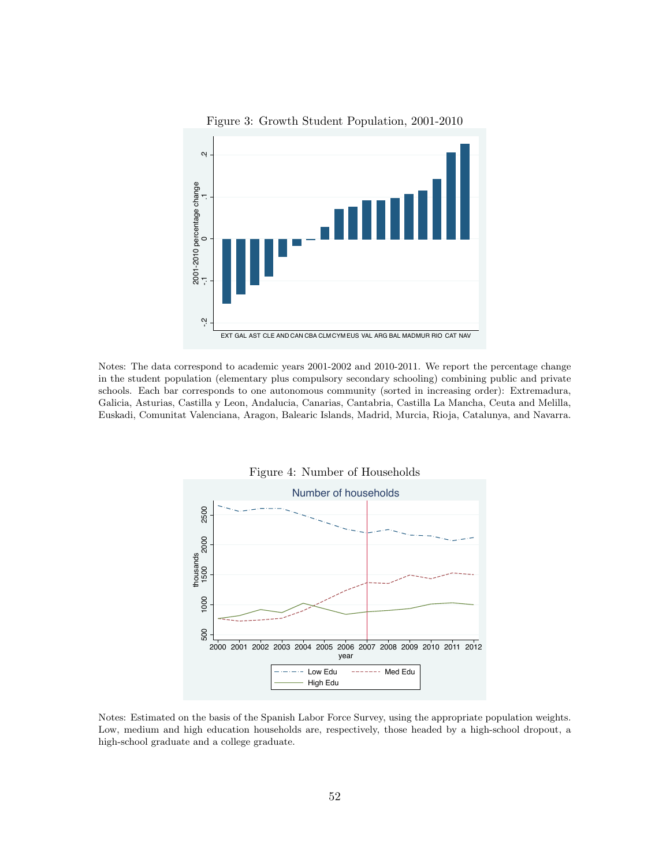<span id="page-54-0"></span>

Figure 3: Growth Student Population, 2001-2010

Notes: The data correspond to academic years 2001-2002 and 2010-2011. We report the percentage change in the student population (elementary plus compulsory secondary schooling) combining public and private schools. Each bar corresponds to one autonomous community (sorted in increasing order): Extremadura, Galicia, Asturias, Castilla y Leon, Andalucia, Canarias, Cantabria, Castilla La Mancha, Ceuta and Melilla, Euskadi, Comunitat Valenciana, Aragon, Balearic Islands, Madrid, Murcia, Rioja, Catalunya, and Navarra.

<span id="page-54-1"></span>

Notes: Estimated on the basis of the Spanish Labor Force Survey, using the appropriate population weights. Low, medium and high education households are, respectively, those headed by a high-school dropout, a high-school graduate and a college graduate.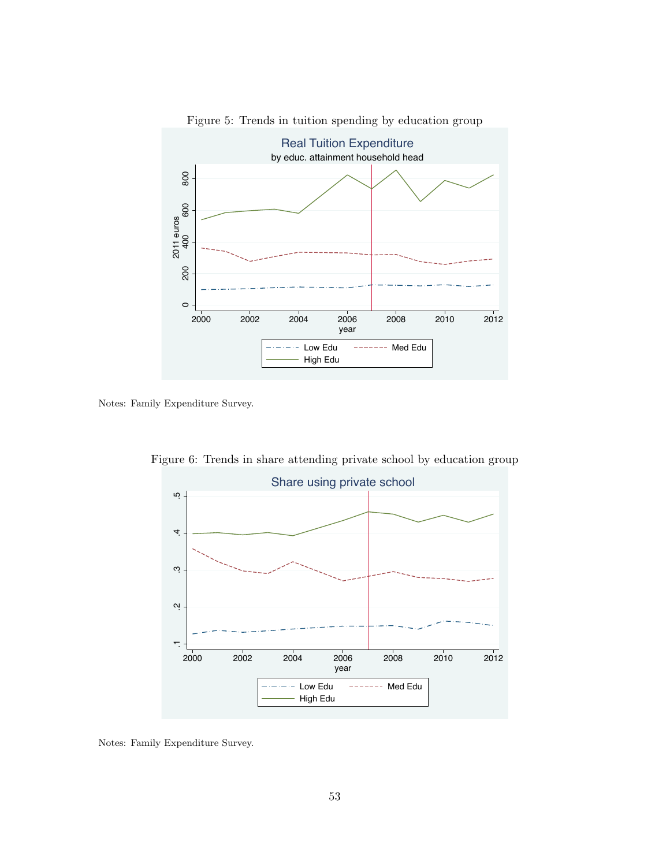<span id="page-55-0"></span>

Figure 5: Trends in tuition spending by education group

<span id="page-55-1"></span>Notes: Family Expenditure Survey.



Figure 6: Trends in share attending private school by education group

Notes: Family Expenditure Survey.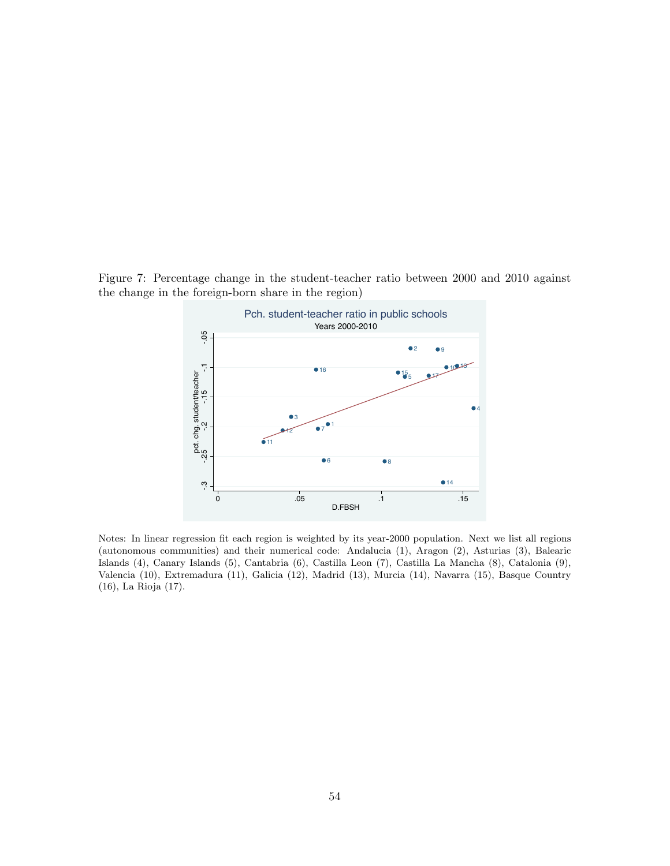<span id="page-56-0"></span>Figure 7: Percentage change in the student-teacher ratio between 2000 and 2010 against the change in the foreign-born share in the region)



Notes: In linear regression fit each region is weighted by its year-2000 population. Next we list all regions (autonomous communities) and their numerical code: Andalucia (1), Aragon (2), Asturias (3), Balearic Islands (4), Canary Islands (5), Cantabria (6), Castilla Leon (7), Castilla La Mancha (8), Catalonia (9), Valencia (10), Extremadura (11), Galicia (12), Madrid (13), Murcia (14), Navarra (15), Basque Country (16), La Rioja (17).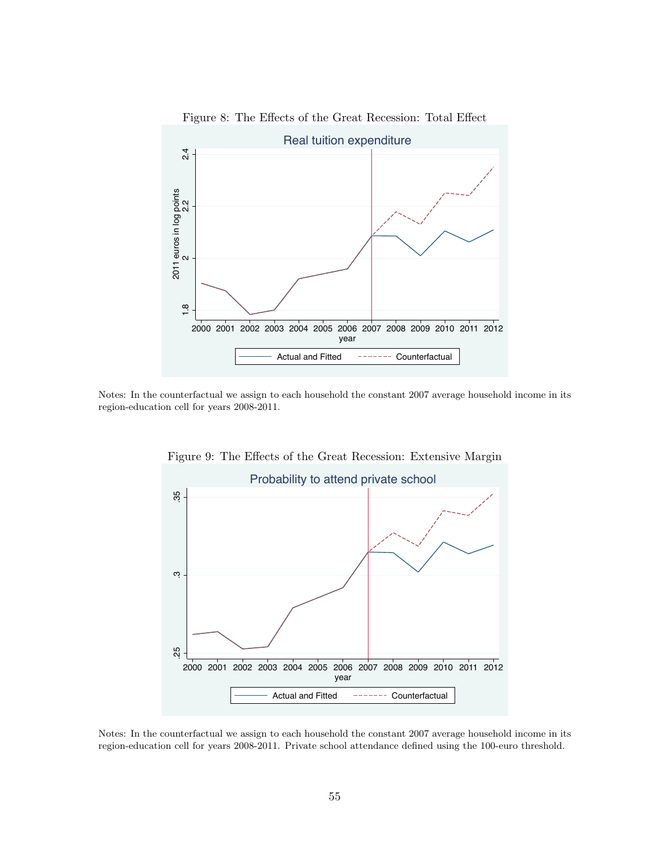<span id="page-57-0"></span>

Figure 8: The Effects of the Great Recession: Total Effect

<span id="page-57-1"></span>Notes: In the counterfactual we assign to each household the constant 2007 average household income in its region-education cell for years 2008-2011.



Figure 9: The Effects of the Great Recession: Extensive Margin

Notes: In the counterfactual we assign to each household the constant 2007 average household income in its region-education cell for years 2008-2011. Private school attendance defined using the 100-euro threshold.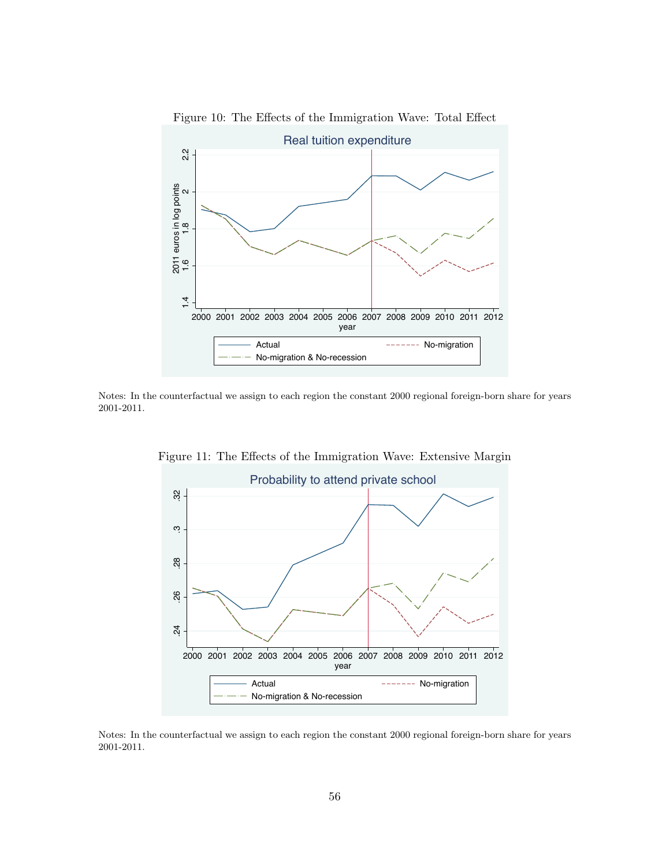<span id="page-58-0"></span>

Figure 10: The Effects of the Immigration Wave: Total Effect

<span id="page-58-1"></span>Notes: In the counterfactual we assign to each region the constant 2000 regional foreign-born share for years 2001-2011.



Figure 11: The Effects of the Immigration Wave: Extensive Margin

Notes: In the counterfactual we assign to each region the constant 2000 regional foreign-born share for years 2001-2011.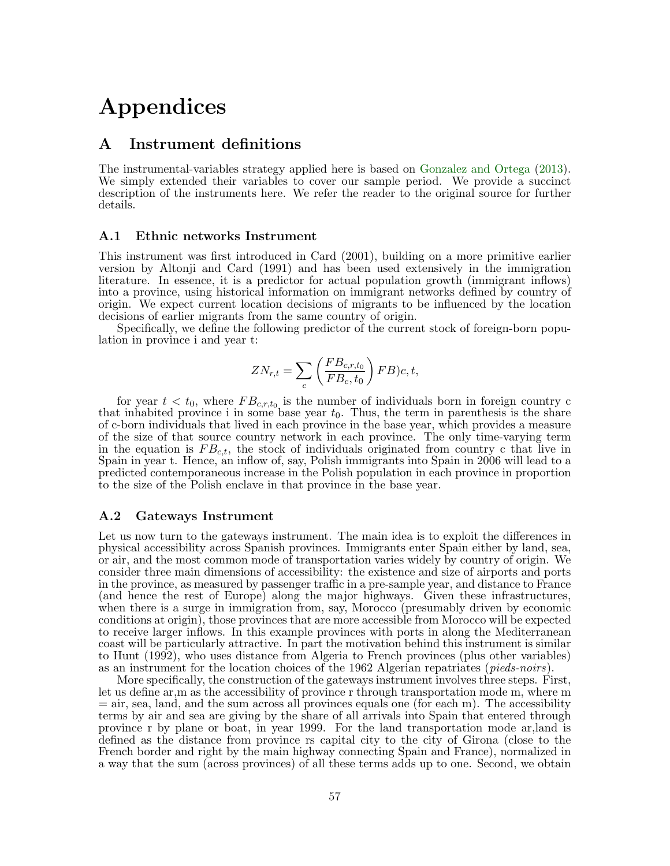## Appendices

### A Instrument definitions

The instrumental-variables strategy applied here is based on [Gonzalez and Ortega](#page-41-10) [\(2013\)](#page-41-10). We simply extended their variables to cover our sample period. We provide a succinct description of the instruments here. We refer the reader to the original source for further details.

#### A.1 Ethnic networks Instrument

This instrument was first introduced in Card (2001), building on a more primitive earlier version by Altonji and Card (1991) and has been used extensively in the immigration literature. In essence, it is a predictor for actual population growth (immigrant inflows) into a province, using historical information on immigrant networks defined by country of origin. We expect current location decisions of migrants to be influenced by the location decisions of earlier migrants from the same country of origin.

Specifically, we define the following predictor of the current stock of foreign-born population in province i and year t:

$$
ZN_{r,t} = \sum_{c} \left(\frac{FB_{c,r,t_0}}{FB_c, t_0}\right) FB)c, t,
$$

for year  $t < t_0$ , where  $FB_{c,r,t_0}$  is the number of individuals born in foreign country c that inhabited province i in some base year  $t_0$ . Thus, the term in parenthesis is the share of c-born individuals that lived in each province in the base year, which provides a measure of the size of that source country network in each province. The only time-varying term in the equation is  $FB_{c,t}$ , the stock of individuals originated from country c that live in Spain in year t. Hence, an inflow of, say, Polish immigrants into Spain in 2006 will lead to a predicted contemporaneous increase in the Polish population in each province in proportion to the size of the Polish enclave in that province in the base year.

#### A.2 Gateways Instrument

Let us now turn to the gateways instrument. The main idea is to exploit the differences in physical accessibility across Spanish provinces. Immigrants enter Spain either by land, sea, or air, and the most common mode of transportation varies widely by country of origin. We consider three main dimensions of accessibility: the existence and size of airports and ports in the province, as measured by passenger traffic in a pre-sample year, and distance to France (and hence the rest of Europe) along the major highways. Given these infrastructures, when there is a surge in immigration from, say, Morocco (presumably driven by economic conditions at origin), those provinces that are more accessible from Morocco will be expected to receive larger inflows. In this example provinces with ports in along the Mediterranean coast will be particularly attractive. In part the motivation behind this instrument is similar to Hunt (1992), who uses distance from Algeria to French provinces (plus other variables) as an instrument for the location choices of the 1962 Algerian repatriates (*pieds-noirs*).

More specifically, the construction of the gateways instrument involves three steps. First, let us define ar,m as the accessibility of province r through transportation mode m, where m  $=$  air, sea, land, and the sum across all provinces equals one (for each m). The accessibility terms by air and sea are giving by the share of all arrivals into Spain that entered through province r by plane or boat, in year 1999. For the land transportation mode ar,land is defined as the distance from province rs capital city to the city of Girona (close to the French border and right by the main highway connecting Spain and France), normalized in a way that the sum (across provinces) of all these terms adds up to one. Second, we obtain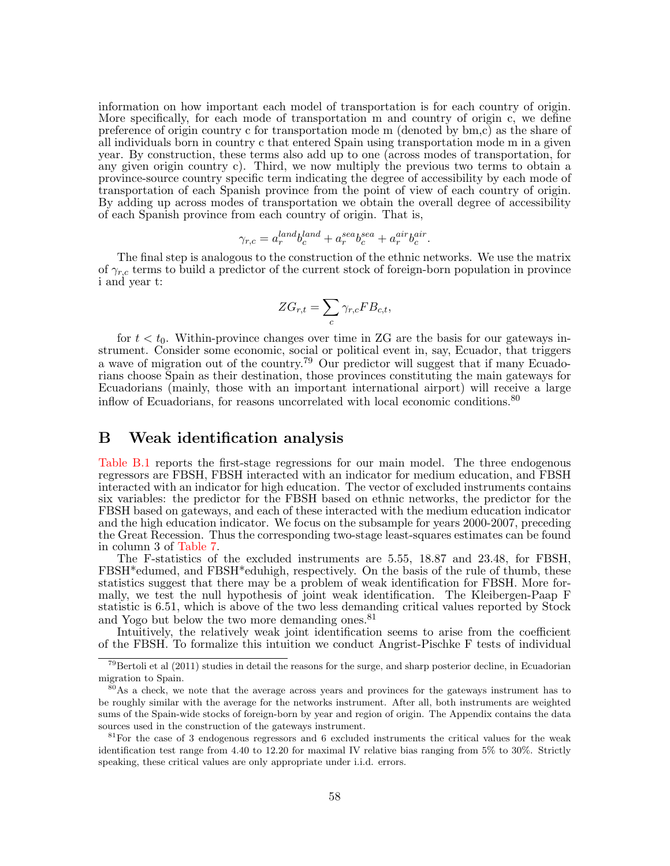information on how important each model of transportation is for each country of origin. More specifically, for each mode of transportation m and country of origin c, we define preference of origin country c for transportation mode m (denoted by bm,c) as the share of all individuals born in country c that entered Spain using transportation mode m in a given year. By construction, these terms also add up to one (across modes of transportation, for any given origin country c). Third, we now multiply the previous two terms to obtain a province-source country specific term indicating the degree of accessibility by each mode of transportation of each Spanish province from the point of view of each country of origin. By adding up across modes of transportation we obtain the overall degree of accessibility of each Spanish province from each country of origin. That is,

$$
\gamma_{r,c} = a_r^{land} b_c^{land} + a_r^{sea} b_c^{sea} + a_r^{air} b_c^{air}.
$$

The final step is analogous to the construction of the ethnic networks. We use the matrix of  $\gamma_{r,c}$  terms to build a predictor of the current stock of foreign-born population in province i and year t:

$$
ZG_{r,t} = \sum_{c} \gamma_{r,c} FB_{c,t},
$$

for  $t < t_0$ . Within-province changes over time in ZG are the basis for our gateways instrument. Consider some economic, social or political event in, say, Ecuador, that triggers a wave of migration out of the country.<sup>79</sup> Our predictor will suggest that if many Ecuadorians choose Spain as their destination, those provinces constituting the main gateways for Ecuadorians (mainly, those with an important international airport) will receive a large inflow of Ecuadorians, for reasons uncorrelated with local economic conditions.<sup>80</sup>

### B Weak identification analysis

[Table B.1](#page-62-0) reports the first-stage regressions for our main model. The three endogenous regressors are FBSH, FBSH interacted with an indicator for medium education, and FBSH interacted with an indicator for high education. The vector of excluded instruments contains six variables: the predictor for the FBSH based on ethnic networks, the predictor for the FBSH based on gateways, and each of these interacted with the medium education indicator and the high education indicator. We focus on the subsample for years 2000-2007, preceding the Great Recession. Thus the corresponding two-stage least-squares estimates can be found in column 3 of [Table 7.](#page-49-0)

The F-statistics of the excluded instruments are 5.55, 18.87 and 23.48, for FBSH, FBSH\*edumed, and FBSH\*eduhigh, respectively. On the basis of the rule of thumb, these statistics suggest that there may be a problem of weak identification for FBSH. More formally, we test the null hypothesis of joint weak identification. The Kleibergen-Paap F statistic is 6.51, which is above of the two less demanding critical values reported by Stock and Yogo but below the two more demanding ones.<sup>81</sup>

Intuitively, the relatively weak joint identification seems to arise from the coefficient of the FBSH. To formalize this intuition we conduct Angrist-Pischke F tests of individual

 $^{79}$ Bertoli et al (2011) studies in detail the reasons for the surge, and sharp posterior decline, in Ecuadorian migration to Spain.

<sup>&</sup>lt;sup>80</sup>As a check, we note that the average across years and provinces for the gateways instrument has to be roughly similar with the average for the networks instrument. After all, both instruments are weighted sums of the Spain-wide stocks of foreign-born by year and region of origin. The Appendix contains the data sources used in the construction of the gateways instrument.

<sup>&</sup>lt;sup>81</sup>For the case of 3 endogenous regressors and 6 excluded instruments the critical values for the weak identification test range from 4.40 to 12.20 for maximal IV relative bias ranging from 5% to 30%. Strictly speaking, these critical values are only appropriate under i.i.d. errors.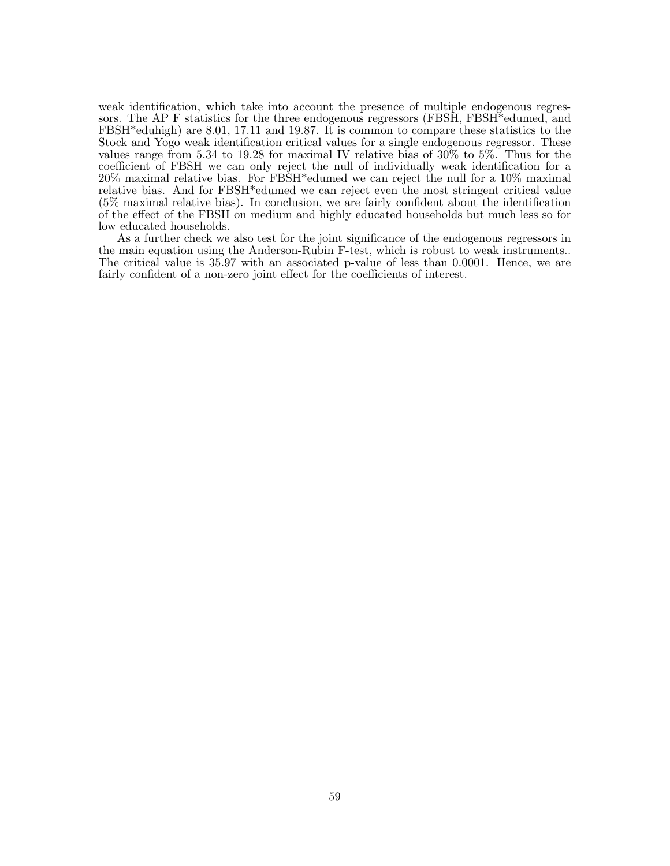weak identification, which take into account the presence of multiple endogenous regressors. The AP F statistics for the three endogenous regressors (FBSH, FBSH\*edumed, and FBSH\*eduhigh) are 8.01, 17.11 and 19.87. It is common to compare these statistics to the Stock and Yogo weak identification critical values for a single endogenous regressor. These values range from 5.34 to 19.28 for maximal IV relative bias of 30% to 5%. Thus for the coefficient of FBSH we can only reject the null of individually weak identification for a 20% maximal relative bias. For FBSH\*edumed we can reject the null for a 10% maximal relative bias. And for FBSH\*edumed we can reject even the most stringent critical value (5% maximal relative bias). In conclusion, we are fairly confident about the identification of the effect of the FBSH on medium and highly educated households but much less so for low educated households.

As a further check we also test for the joint significance of the endogenous regressors in the main equation using the Anderson-Rubin F-test, which is robust to weak instruments.. The critical value is 35.97 with an associated p-value of less than 0.0001. Hence, we are fairly confident of a non-zero joint effect for the coefficients of interest.